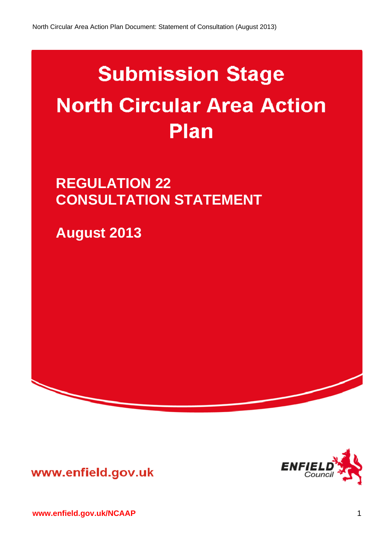# **Submission Stage North Circular Area Action Plan**

# **REGULATION 22 CONSULTATION STATEMENT**

**August 2013** 



www.enfield.gov.uk

**www.enfield.gov.uk/NCAAP** 1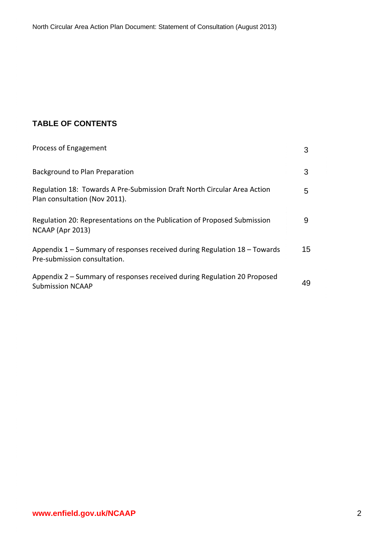## **TABLE OF CONTENTS**

| Process of Engagement                                                                                     | 3  |
|-----------------------------------------------------------------------------------------------------------|----|
| Background to Plan Preparation                                                                            | 3  |
| Regulation 18: Towards A Pre-Submission Draft North Circular Area Action<br>Plan consultation (Nov 2011). | 5  |
| Regulation 20: Representations on the Publication of Proposed Submission<br>NCAAP (Apr 2013)              | 9  |
| Appendix 1 – Summary of responses received during Regulation 18 – Towards<br>Pre-submission consultation. | 15 |
| Appendix 2 – Summary of responses received during Regulation 20 Proposed<br><b>Submission NCAAP</b>       | 49 |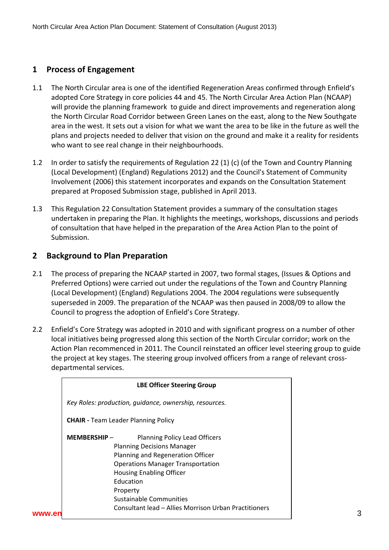#### **1 Process of Engagement**

- 1.1 The North Circular area is one of the identified Regeneration Areas confirmed through Enfield's adopted Core Strategy in core policies 44 and 45. The North Circular Area Action Plan (NCAAP) will provide the planning framework to guide and direct improvements and regeneration along the North Circular Road Corridor between Green Lanes on the east, along to the New Southgate area in the west. It sets out a vision for what we want the area to be like in the future as well the plans and projects needed to deliver that vision on the ground and make it a reality for residents who want to see real change in their neighbourhoods.
- 1.2 In order to satisfy the requirements of Regulation 22 (1) (c) (of the Town and Country Planning (Local Development) (England) Regulations 2012) and the Council's Statement of Community Involvement (2006) this statement incorporates and expands on the Consultation Statement prepared at Proposed Submission stage, published in April 2013.
- 1.3 This Regulation 22 Consultation Statement provides a summary of the consultation stages undertaken in preparing the Plan. It highlights the meetings, workshops, discussions and periods of consultation that have helped in the preparation of the Area Action Plan to the point of Submission.

#### **2 Background to Plan Preparation**

- 2.1 The process of preparing the NCAAP started in 2007, two formal stages, (Issues & Options and Preferred Options) were carried out under the regulations of the Town and Country Planning (Local Development) (England) Regulations 2004. The 2004 regulations were subsequently superseded in 2009. The preparation of the NCAAP was then paused in 2008/09 to allow the Council to progress the adoption of Enfield's Core Strategy.
- 2.2 Enfield's Core Strategy was adopted in 2010 and with significant progress on a number of other local initiatives being progressed along this section of the North Circular corridor; work on the Action Plan recommenced in 2011. The Council reinstated an officer level steering group to guide the project at key stages. The steering group involved officers from a range of relevant crossdepartmental services.

|                                            | <b>LBE Officer Steering Group</b>                      |  |
|--------------------------------------------|--------------------------------------------------------|--|
|                                            | Key Roles: production, quidance, ownership, resources. |  |
| <b>CHAIR - Team Leader Planning Policy</b> |                                                        |  |
| MEMBERSHIP-                                | <b>Planning Policy Lead Officers</b>                   |  |
|                                            | <b>Planning Decisions Manager</b>                      |  |
|                                            | Planning and Regeneration Officer                      |  |
|                                            | <b>Operations Manager Transportation</b>               |  |
|                                            | <b>Housing Enabling Officer</b>                        |  |
|                                            | Education                                              |  |
|                                            | Property                                               |  |
|                                            | Sustainable Communities                                |  |
|                                            | Consultant lead - Allies Morrison Urban Practitioners  |  |
| www.en                                     |                                                        |  |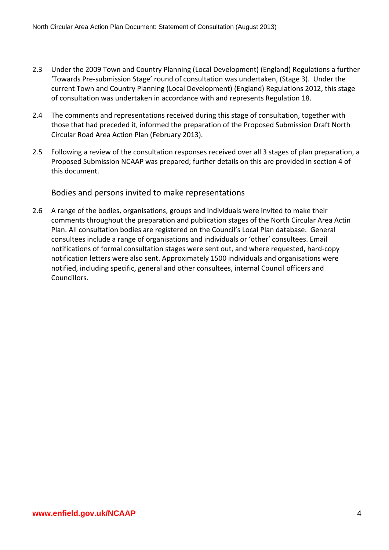- 2.3 Under the 2009 Town and Country Planning (Local Development) (England) Regulations a further 'Towards Pre‐submission Stage' round of consultation was undertaken, (Stage 3). Under the current Town and Country Planning (Local Development) (England) Regulations 2012, this stage of consultation was undertaken in accordance with and represents Regulation 18.
- 2.4 The comments and representations received during this stage of consultation, together with those that had preceded it, informed the preparation of the Proposed Submission Draft North Circular Road Area Action Plan (February 2013).
- 2.5 Following a review of the consultation responses received over all 3 stages of plan preparation, a Proposed Submission NCAAP was prepared; further details on this are provided in section 4 of this document.

Bodies and persons invited to make representations

2.6 A range of the bodies, organisations, groups and individuals were invited to make their comments throughout the preparation and publication stages of the North Circular Area Actin Plan. All consultation bodies are registered on the Council's Local Plan database. General consultees include a range of organisations and individuals or 'other' consultees. Email notifications of formal consultation stages were sent out, and where requested, hard‐copy notification letters were also sent. Approximately 1500 individuals and organisations were notified, including specific, general and other consultees, internal Council officers and Councillors.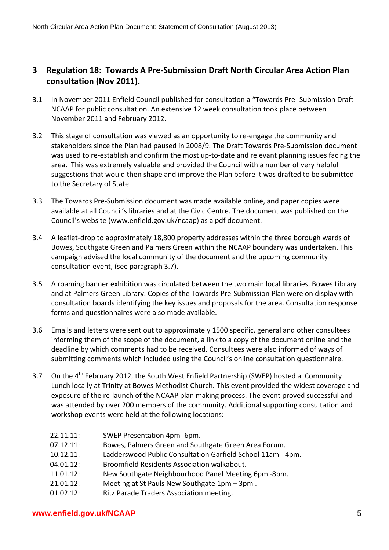#### **3 Regulation 18: Towards A Pre‐Submission Draft North Circular Area Action Plan consultation (Nov 2011).**

- 3.1 In November 2011 Enfield Council published for consultation a "Towards Pre‐ Submission Draft NCAAP for public consultation. An extensive 12 week consultation took place between November 2011 and February 2012.
- 3.2 This stage of consultation was viewed as an opportunity to re-engage the community and stakeholders since the Plan had paused in 2008/9. The Draft Towards Pre‐Submission document was used to re-establish and confirm the most up-to-date and relevant planning issues facing the area. This was extremely valuable and provided the Council with a number of very helpful suggestions that would then shape and improve the Plan before it was drafted to be submitted to the Secretary of State.
- 3.3 The Towards Pre‐Submission document was made available online, and paper copies were available at all Council's libraries and at the Civic Centre. The document was published on the Council's website (www.enfield.gov.uk/ncaap) as a pdf document.
- 3.4 A leaflet-drop to approximately 18,800 property addresses within the three borough wards of Bowes, Southgate Green and Palmers Green within the NCAAP boundary was undertaken. This campaign advised the local community of the document and the upcoming community consultation event, (see paragraph 3.7).
- 3.5 A roaming banner exhibition was circulated between the two main local libraries, Bowes Library and at Palmers Green Library. Copies of the Towards Pre‐Submission Plan were on display with consultation boards identifying the key issues and proposals for the area. Consultation response forms and questionnaires were also made available.
- 3.6 Emails and letters were sent out to approximately 1500 specific, general and other consultees informing them of the scope of the document, a link to a copy of the document online and the deadline by which comments had to be received. Consultees were also informed of ways of submitting comments which included using the Council's online consultation questionnaire.
- 3.7 On the 4<sup>th</sup> February 2012, the South West Enfield Partnership (SWEP) hosted a Community Lunch locally at Trinity at Bowes Methodist Church. This event provided the widest coverage and exposure of the re‐launch of the NCAAP plan making process. The event proved successful and was attended by over 200 members of the community. Additional supporting consultation and workshop events were held at the following locations:
	- 22.11.11: SWEP Presentation 4pm ‐6pm.
	- 07.12.11: Bowes, Palmers Green and Southgate Green Area Forum.
	- 10.12.11: Ladderswood Public Consultation Garfield School 11am ‐ 4pm.
	- 04.01.12: Broomfield Residents Association walkabout.
	- 11.01.12: New Southgate Neighbourhood Panel Meeting 6pm ‐8pm.
	- 21.01.12: Meeting at St Pauls New Southgate 1pm 3pm .
	- 01.02.12: Ritz Parade Traders Association meeting.

#### **www.enfield.gov.uk/NCAAP** 5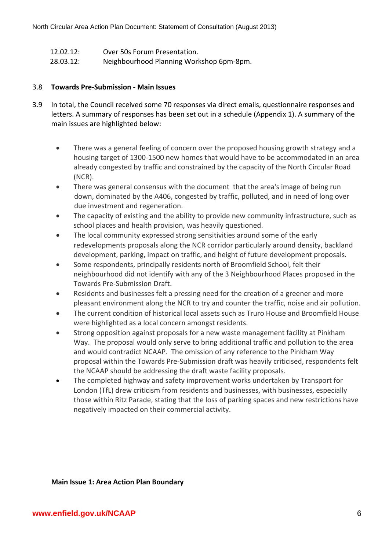- 12.02.12: Over 50s Forum Presentation.
- 28.03.12: Neighbourhood Planning Workshop 6pm‐8pm.

#### 3.8 **Towards Pre‐Submission ‐ Main Issues**

- 3.9 In total, the Council received some 70 responses via direct emails, questionnaire responses and letters. A summary of responses has been set out in a schedule (Appendix 1). A summary of the main issues are highlighted below:
	- There was a general feeling of concern over the proposed housing growth strategy and a housing target of 1300‐1500 new homes that would have to be accommodated in an area already congested by traffic and constrained by the capacity of the North Circular Road (NCR).
	- There was general consensus with the document that the area's image of being run down, dominated by the A406, congested by traffic, polluted, and in need of long over due investment and regeneration.
	- The capacity of existing and the ability to provide new community infrastructure, such as school places and health provision, was heavily questioned.
	- The local community expressed strong sensitivities around some of the early redevelopments proposals along the NCR corridor particularly around density, backland development, parking, impact on traffic, and height of future development proposals.
	- Some respondents, principally residents north of Broomfield School, felt their neighbourhood did not identify with any of the 3 Neighbourhood Places proposed in the Towards Pre‐Submission Draft.
	- Residents and businesses felt a pressing need for the creation of a greener and more pleasant environment along the NCR to try and counter the traffic, noise and air pollution.
	- The current condition of historical local assets such as Truro House and Broomfield House were highlighted as a local concern amongst residents.
	- Strong opposition against proposals for a new waste management facility at Pinkham Way. The proposal would only serve to bring additional traffic and pollution to the area and would contradict NCAAP. The omission of any reference to the Pinkham Way proposal within the Towards Pre‐Submission draft was heavily criticised, respondents felt the NCAAP should be addressing the draft waste facility proposals.
	- The completed highway and safety improvement works undertaken by Transport for London (TfL) drew criticism from residents and businesses, with businesses, especially those within Ritz Parade, stating that the loss of parking spaces and new restrictions have negatively impacted on their commercial activity.

**Main Issue 1: Area Action Plan Boundary**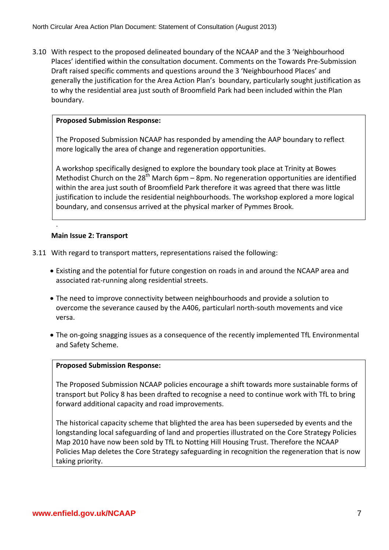3.10 With respect to the proposed delineated boundary of the NCAAP and the 3 'Neighbourhood Places' identified within the consultation document. Comments on the Towards Pre‐Submission Draft raised specific comments and questions around the 3 'Neighbourhood Places' and generally the justification for the Area Action Plan's boundary, particularly sought justification as to why the residential area just south of Broomfield Park had been included within the Plan boundary.

#### **Proposed Submission Response:**

The Proposed Submission NCAAP has responded by amending the AAP boundary to reflect more logically the area of change and regeneration opportunities.

A workshop specifically designed to explore the boundary took place at Trinity at Bowes Methodist Church on the  $28<sup>th</sup>$  March 6pm – 8pm. No regeneration opportunities are identified within the area just south of Broomfield Park therefore it was agreed that there was little justification to include the residential neighbourhoods. The workshop explored a more logical boundary, and consensus arrived at the physical marker of Pymmes Brook.

#### **Main Issue 2: Transport**

.

- 3.11 With regard to transport matters, representations raised the following:
	- Existing and the potential for future congestion on roads in and around the NCAAP area and associated rat‐running along residential streets.
	- The need to improve connectivity between neighbourhoods and provide a solution to overcome the severance caused by the A406, particularl north‐south movements and vice versa.
	- The on‐going snagging issues as a consequence of the recently implemented TfL Environmental and Safety Scheme.

#### **Proposed Submission Response:**

The Proposed Submission NCAAP policies encourage a shift towards more sustainable forms of transport but Policy 8 has been drafted to recognise a need to continue work with TfL to bring forward additional capacity and road improvements.

The historical capacity scheme that blighted the area has been superseded by events and the longstanding local safeguarding of land and properties illustrated on the Core Strategy Policies Map 2010 have now been sold by TfL to Notting Hill Housing Trust. Therefore the NCAAP Policies Map deletes the Core Strategy safeguarding in recognition the regeneration that is now taking priority.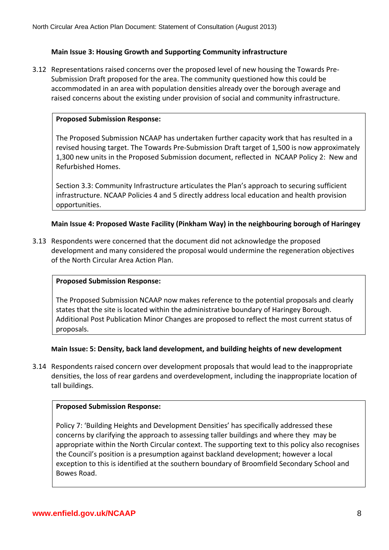#### **Main Issue 3: Housing Growth and Supporting Community infrastructure**

3.12 Representations raised concerns over the proposed level of new housing the Towards Pre‐ Submission Draft proposed for the area. The community questioned how this could be accommodated in an area with population densities already over the borough average and raised concerns about the existing under provision of social and community infrastructure.

#### **Proposed Submission Response:**

The Proposed Submission NCAAP has undertaken further capacity work that has resulted in a revised housing target. The Towards Pre‐Submission Draft target of 1,500 is now approximately 1,300 new units in the Proposed Submission document, reflected in NCAAP Policy 2: New and Refurbished Homes.

Section 3.3: Community Infrastructure articulates the Plan's approach to securing sufficient infrastructure. NCAAP Policies 4 and 5 directly address local education and health provision opportunities.

#### **Main Issue 4: Proposed Waste Facility (Pinkham Way) in the neighbouring borough of Haringey**

3.13 Respondents were concerned that the document did not acknowledge the proposed development and many considered the proposal would undermine the regeneration objectives of the North Circular Area Action Plan.

#### **Proposed Submission Response:**

The Proposed Submission NCAAP now makes reference to the potential proposals and clearly states that the site is located within the administrative boundary of Haringey Borough. Additional Post Publication Minor Changes are proposed to reflect the most current status of proposals.

#### **Main Issue: 5: Density, back land development, and building heights of new development**

3.14 Respondents raised concern over development proposals that would lead to the inappropriate densities, the loss of rear gardens and overdevelopment, including the inappropriate location of tall buildings.

#### **Proposed Submission Response:**

Policy 7: 'Building Heights and Development Densities' has specifically addressed these concerns by clarifying the approach to assessing taller buildings and where they may be appropriate within the North Circular context. The supporting text to this policy also recognises the Council's position is a presumption against backland development; however a local exception to this is identified at the southern boundary of Broomfield Secondary School and Bowes Road.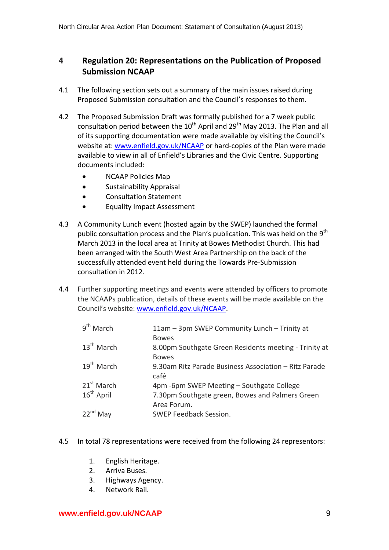#### **4 Regulation 20: Representations on the Publication of Proposed Submission NCAAP**

- 4.1 The following section sets out a summary of the main issues raised during Proposed Submission consultation and the Council's responses to them.
- 4.2 The Proposed Submission Draft was formally published for a 7 week public consultation period between the  $10^{th}$  April and  $29^{th}$  May 2013. The Plan and all of its supporting documentation were made available by visiting the Council's website at: www.enfield.gov.uk/NCAAP or hard-copies of the Plan were made available to view in all of Enfield's Libraries and the Civic Centre. Supporting documents included:
	- NCAAP Policies Map
	- **•** Sustainability Appraisal
	- Consultation Statement
	- Equality Impact Assessment
- 4.3 A Community Lunch event (hosted again by the SWEP) launched the formal public consultation process and the Plan's publication. This was held on the 9<sup>th</sup> March 2013 in the local area at Trinity at Bowes Methodist Church. This had been arranged with the South West Area Partnership on the back of the successfully attended event held during the Towards Pre‐Submission consultation in 2012.
- 4.4 Further supporting meetings and events were attended by officers to promote the NCAAPs publication, details of these events will be made available on the Council's website: www.enfield.gov.uk/NCAAP.

| $9^{th}$ March         | 11am - 3pm SWEP Community Lunch - Trinity at          |  |
|------------------------|-------------------------------------------------------|--|
|                        | <b>Bowes</b>                                          |  |
| 13 <sup>th</sup> March | 8.00pm Southgate Green Residents meeting - Trinity at |  |
|                        | <b>Bowes</b>                                          |  |
| 19 <sup>th</sup> March | 9.30am Ritz Parade Business Association - Ritz Parade |  |
|                        | café                                                  |  |
| $21st$ March           | 4pm -6pm SWEP Meeting - Southgate College             |  |
| $16th$ April           | 7.30pm Southgate green, Bowes and Palmers Green       |  |
|                        | Area Forum.                                           |  |
| $22^{nd}$ May          | SWEP Feedback Session.                                |  |
|                        |                                                       |  |

- 4.5 In total 78 representations were received from the following 24 representors:
	- 1. English Heritage.
	- 2. Arriva Buses.
	- 3. Highways Agency.
	- 4. Network Rail.

**www.enfield.gov.uk/NCAAP** 9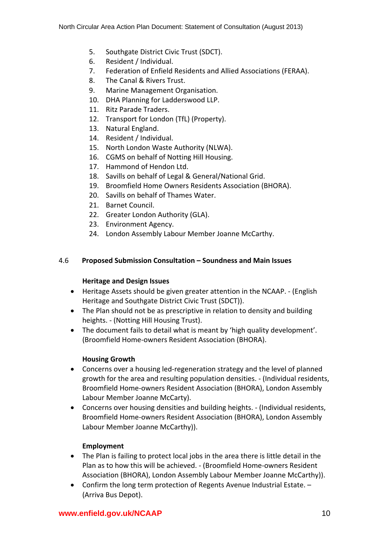- 5. Southgate District Civic Trust (SDCT).
- 6. Resident / Individual.
- 7. Federation of Enfield Residents and Allied Associations (FERAA).
- 8. The Canal & Rivers Trust.
- 9. Marine Management Organisation.
- 10. DHA Planning for Ladderswood LLP.
- 11. Ritz Parade Traders.
- 12. Transport for London (TfL) (Property).
- 13. Natural England.
- 14. Resident / Individual.
- 15. North London Waste Authority (NLWA).
- 16. CGMS on behalf of Notting Hill Housing.
- 17. Hammond of Hendon Ltd.
- 18. Savills on behalf of Legal & General/National Grid.
- 19. Broomfield Home Owners Residents Association (BHORA).
- 20. Savills on behalf of Thames Water.
- 21. Barnet Council.
- 22. Greater London Authority (GLA).
- 23. Environment Agency.
- 24. London Assembly Labour Member Joanne McCarthy.

#### 4.6 **Proposed Submission Consultation – Soundness and Main Issues**

#### **Heritage and Design Issues**

- Heritage Assets should be given greater attention in the NCAAP. ‐ (English Heritage and Southgate District Civic Trust (SDCT)).
- The Plan should not be as prescriptive in relation to density and building heights. ‐ (Notting Hill Housing Trust).
- The document fails to detail what is meant by 'high quality development'. (Broomfield Home‐owners Resident Association (BHORA).

#### **Housing Growth**

- Concerns over a housing led-regeneration strategy and the level of planned growth for the area and resulting population densities. ‐ (Individual residents, Broomfield Home‐owners Resident Association (BHORA), London Assembly Labour Member Joanne McCarty).
- Concerns over housing densities and building heights. ‐ (Individual residents, Broomfield Home‐owners Resident Association (BHORA), London Assembly Labour Member Joanne McCarthy)).

#### **Employment**

- The Plan is failing to protect local jobs in the area there is little detail in the Plan as to how this will be achieved. ‐ (Broomfield Home‐owners Resident Association (BHORA), London Assembly Labour Member Joanne McCarthy)).
- Confirm the long term protection of Regents Avenue Industrial Estate. (Arriva Bus Depot).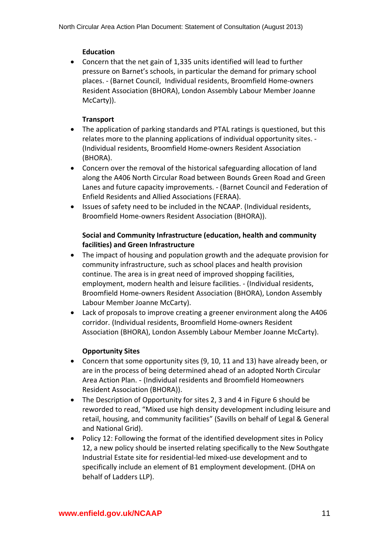#### **Education**

 Concern that the net gain of 1,335 units identified will lead to further pressure on Barnet's schools, in particular the demand for primary school places. ‐ (Barnet Council, Individual residents, Broomfield Home‐owners Resident Association (BHORA), London Assembly Labour Member Joanne McCarty)).

#### **Transport**

- The application of parking standards and PTAL ratings is questioned, but this relates more to the planning applications of individual opportunity sites. ‐ (Individual residents, Broomfield Home‐owners Resident Association (BHORA).
- Concern over the removal of the historical safeguarding allocation of land along the A406 North Circular Road between Bounds Green Road and Green Lanes and future capacity improvements. ‐ (Barnet Council and Federation of Enfield Residents and Allied Associations (FERAA).
- Issues of safety need to be included in the NCAAP. (Individual residents, Broomfield Home‐owners Resident Association (BHORA)).

#### **Social and Community Infrastructure (education, health and community facilities) and Green Infrastructure**

- The impact of housing and population growth and the adequate provision for community infrastructure, such as school places and health provision continue. The area is in great need of improved shopping facilities, employment, modern health and leisure facilities. ‐ (Individual residents, Broomfield Home‐owners Resident Association (BHORA), London Assembly Labour Member Joanne McCarty).
- Lack of proposals to improve creating a greener environment along the A406 corridor. (Individual residents, Broomfield Home‐owners Resident Association (BHORA), London Assembly Labour Member Joanne McCarty).

#### **Opportunity Sites**

- Concern that some opportunity sites (9, 10, 11 and 13) have already been, or are in the process of being determined ahead of an adopted North Circular Area Action Plan. - (Individual residents and Broomfield Homeowners Resident Association (BHORA)).
- The Description of Opportunity for sites 2, 3 and 4 in Figure 6 should be reworded to read, "Mixed use high density development including leisure and retail, housing, and community facilities" (Savills on behalf of Legal & General and National Grid).
- Policy 12: Following the format of the identified development sites in Policy 12, a new policy should be inserted relating specifically to the New Southgate Industrial Estate site for residential‐led mixed‐use development and to specifically include an element of B1 employment development. (DHA on behalf of Ladders LLP).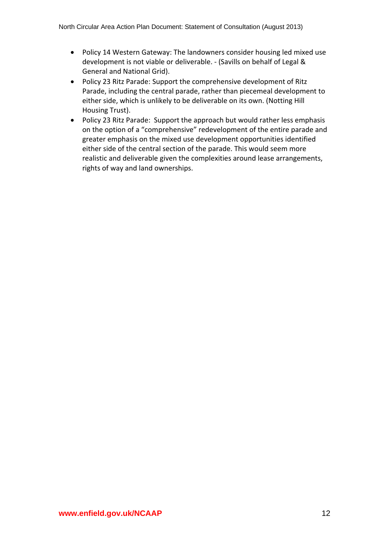- Policy 14 Western Gateway: The landowners consider housing led mixed use development is not viable or deliverable. ‐ (Savills on behalf of Legal & General and National Grid).
- Policy 23 Ritz Parade: Support the comprehensive development of Ritz Parade, including the central parade, rather than piecemeal development to either side, which is unlikely to be deliverable on its own. (Notting Hill Housing Trust).
- Policy 23 Ritz Parade: Support the approach but would rather less emphasis on the option of a "comprehensive" redevelopment of the entire parade and greater emphasis on the mixed use development opportunities identified either side of the central section of the parade. This would seem more realistic and deliverable given the complexities around lease arrangements, rights of way and land ownerships.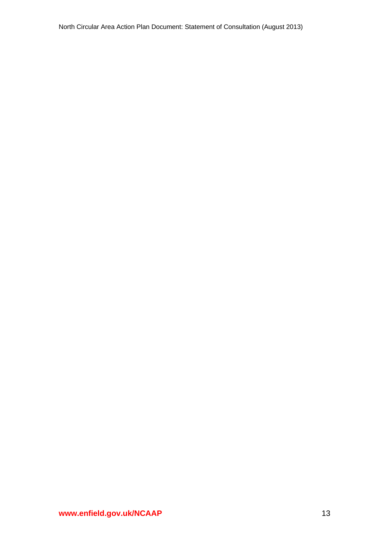North Circular Area Action Plan Document: Statement of Consultation (August 2013)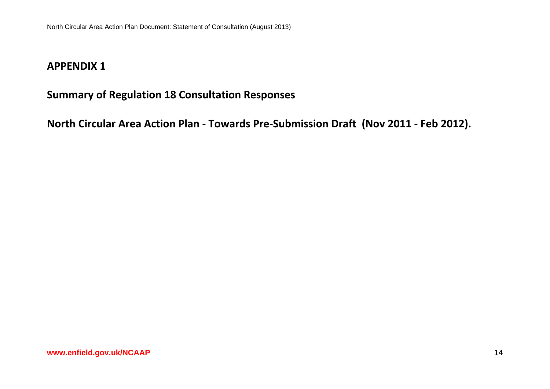## **APPENDIX 1**

# **Summary of Regulation 18 Consultation Responses**

**North Circular Area Action Plan ‐ Towards Pre‐Submission Draft (Nov 2011 ‐ Feb 2012).**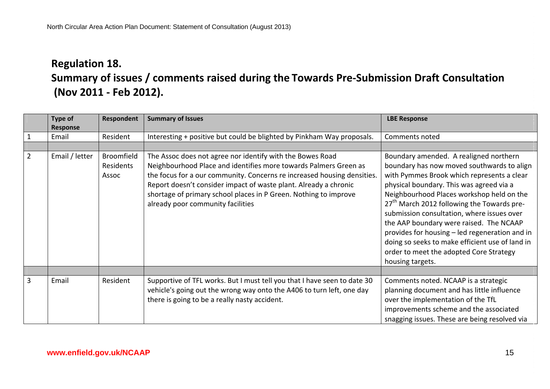# **Regulation 18. Summary of issues / comments raised during the Towards Pre‐Submission Draft Consultation (Nov 2011 ‐ Feb 2012).**

|   | Type of<br>Response | <b>Respondent</b>                       | <b>Summary of Issues</b>                                                                                                                                                                                                                                                                                                                                                              | <b>LBE Response</b>                                                                                                                                                                                                                                                                                                                                                                                                                                                                                                                      |
|---|---------------------|-----------------------------------------|---------------------------------------------------------------------------------------------------------------------------------------------------------------------------------------------------------------------------------------------------------------------------------------------------------------------------------------------------------------------------------------|------------------------------------------------------------------------------------------------------------------------------------------------------------------------------------------------------------------------------------------------------------------------------------------------------------------------------------------------------------------------------------------------------------------------------------------------------------------------------------------------------------------------------------------|
|   | Email               | Resident                                | Interesting + positive but could be blighted by Pinkham Way proposals.                                                                                                                                                                                                                                                                                                                | Comments noted                                                                                                                                                                                                                                                                                                                                                                                                                                                                                                                           |
|   |                     |                                         |                                                                                                                                                                                                                                                                                                                                                                                       |                                                                                                                                                                                                                                                                                                                                                                                                                                                                                                                                          |
| 2 | Email / letter      | <b>Broomfield</b><br>Residents<br>Assoc | The Assoc does not agree nor identify with the Bowes Road<br>Neighbourhood Place and identifies more towards Palmers Green as<br>the focus for a our community. Concerns re increased housing densities.<br>Report doesn't consider impact of waste plant. Already a chronic<br>shortage of primary school places in P Green. Nothing to improve<br>already poor community facilities | Boundary amended. A realigned northern<br>boundary has now moved southwards to align<br>with Pymmes Brook which represents a clear<br>physical boundary. This was agreed via a<br>Neighbourhood Places workshop held on the<br>$27th$ March 2012 following the Towards pre-<br>submission consultation, where issues over<br>the AAP boundary were raised. The NCAAP<br>provides for housing - led regeneration and in<br>doing so seeks to make efficient use of land in<br>order to meet the adopted Core Strategy<br>housing targets. |
|   |                     |                                         |                                                                                                                                                                                                                                                                                                                                                                                       |                                                                                                                                                                                                                                                                                                                                                                                                                                                                                                                                          |
| 3 | Email               | Resident                                | Supportive of TFL works. But I must tell you that I have seen to date 30<br>vehicle's going out the wrong way onto the A406 to turn left, one day<br>there is going to be a really nasty accident.                                                                                                                                                                                    | Comments noted. NCAAP is a strategic<br>planning document and has little influence<br>over the implementation of the TfL<br>improvements scheme and the associated<br>snagging issues. These are being resolved via                                                                                                                                                                                                                                                                                                                      |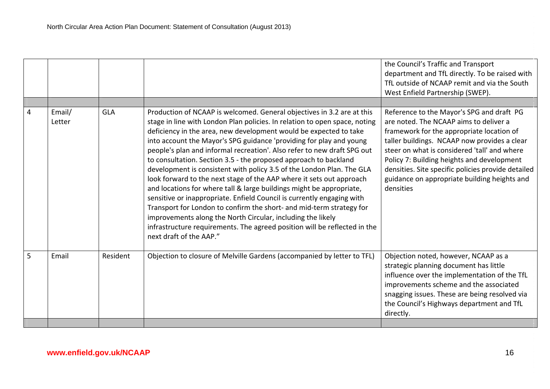|   |                  |            |                                                                                                                                                                                                                                                                                                                                                                                                                                                                                                                                                                                                                                                                                                                                                                                                                                                                                                                                                                                                   | the Council's Traffic and Transport<br>department and TfL directly. To be raised with<br>TfL outside of NCAAP remit and via the South<br>West Enfield Partnership (SWEP).                                                                                                                                                                                                                         |
|---|------------------|------------|---------------------------------------------------------------------------------------------------------------------------------------------------------------------------------------------------------------------------------------------------------------------------------------------------------------------------------------------------------------------------------------------------------------------------------------------------------------------------------------------------------------------------------------------------------------------------------------------------------------------------------------------------------------------------------------------------------------------------------------------------------------------------------------------------------------------------------------------------------------------------------------------------------------------------------------------------------------------------------------------------|---------------------------------------------------------------------------------------------------------------------------------------------------------------------------------------------------------------------------------------------------------------------------------------------------------------------------------------------------------------------------------------------------|
|   |                  |            |                                                                                                                                                                                                                                                                                                                                                                                                                                                                                                                                                                                                                                                                                                                                                                                                                                                                                                                                                                                                   |                                                                                                                                                                                                                                                                                                                                                                                                   |
| 4 | Email/<br>Letter | <b>GLA</b> | Production of NCAAP is welcomed. General objectives in 3.2 are at this<br>stage in line with London Plan policies. In relation to open space, noting<br>deficiency in the area, new development would be expected to take<br>into account the Mayor's SPG guidance 'providing for play and young<br>people's plan and informal recreation'. Also refer to new draft SPG out<br>to consultation. Section 3.5 - the proposed approach to backland<br>development is consistent with policy 3.5 of the London Plan. The GLA<br>look forward to the next stage of the AAP where it sets out approach<br>and locations for where tall & large buildings might be appropriate,<br>sensitive or inappropriate. Enfield Council is currently engaging with<br>Transport for London to confirm the short- and mid-term strategy for<br>improvements along the North Circular, including the likely<br>infrastructure requirements. The agreed position will be reflected in the<br>next draft of the AAP." | Reference to the Mayor's SPG and draft PG<br>are noted. The NCAAP aims to deliver a<br>framework for the appropriate location of<br>taller buildings. NCAAP now provides a clear<br>steer on what is considered 'tall' and where<br>Policy 7: Building heights and development<br>densities. Site specific policies provide detailed<br>guidance on appropriate building heights and<br>densities |
| 5 | Email            | Resident   | Objection to closure of Melville Gardens (accompanied by letter to TFL)                                                                                                                                                                                                                                                                                                                                                                                                                                                                                                                                                                                                                                                                                                                                                                                                                                                                                                                           | Objection noted, however, NCAAP as a<br>strategic planning document has little<br>influence over the implementation of the TfL<br>improvements scheme and the associated<br>snagging issues. These are being resolved via<br>the Council's Highways department and TfL<br>directly.                                                                                                               |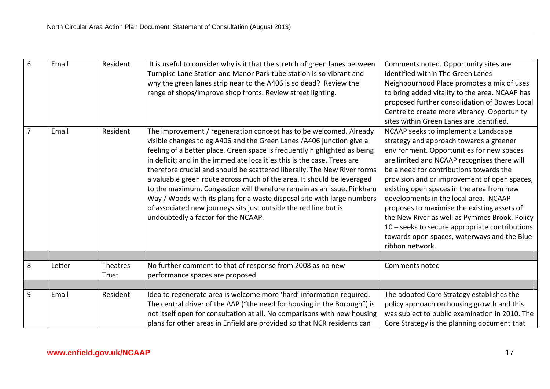| $6\phantom{1}$ | Email  | Resident          | It is useful to consider why is it that the stretch of green lanes between<br>Turnpike Lane Station and Manor Park tube station is so vibrant and<br>why the green lanes strip near to the A406 is so dead? Review the<br>range of shops/improve shop fronts. Review street lighting.                                                                                                                                                                                                                                                                                                                                                                                                                                    | Comments noted. Opportunity sites are<br>identified within The Green Lanes<br>Neighbourhood Place promotes a mix of uses<br>to bring added vitality to the area. NCAAP has<br>proposed further consolidation of Bowes Local<br>Centre to create more vibrancy. Opportunity<br>sites within Green Lanes are identified.                                                                                                                                                                                                                                                           |
|----------------|--------|-------------------|--------------------------------------------------------------------------------------------------------------------------------------------------------------------------------------------------------------------------------------------------------------------------------------------------------------------------------------------------------------------------------------------------------------------------------------------------------------------------------------------------------------------------------------------------------------------------------------------------------------------------------------------------------------------------------------------------------------------------|----------------------------------------------------------------------------------------------------------------------------------------------------------------------------------------------------------------------------------------------------------------------------------------------------------------------------------------------------------------------------------------------------------------------------------------------------------------------------------------------------------------------------------------------------------------------------------|
| $\overline{7}$ | Email  | Resident          | The improvement / regeneration concept has to be welcomed. Already<br>visible changes to eg A406 and the Green Lanes / A406 junction give a<br>feeling of a better place. Green space is frequently highlighted as being<br>in deficit; and in the immediate localities this is the case. Trees are<br>therefore crucial and should be scattered liberally. The New River forms<br>a valuable green route across much of the area. It should be leveraged<br>to the maximum. Congestion will therefore remain as an issue. Pinkham<br>Way / Woods with its plans for a waste disposal site with large numbers<br>of associated new journeys sits just outside the red line but is<br>undoubtedly a factor for the NCAAP. | NCAAP seeks to implement a Landscape<br>strategy and approach towards a greener<br>environment. Opportunities for new spaces<br>are limited and NCAAP recognises there will<br>be a need for contributions towards the<br>provision and or improvement of open spaces,<br>existing open spaces in the area from new<br>developments in the local area. NCAAP<br>proposes to maximise the existing assets of<br>the New River as well as Pymmes Brook. Policy<br>10 - seeks to secure appropriate contributions<br>towards open spaces, waterways and the Blue<br>ribbon network. |
|                |        |                   |                                                                                                                                                                                                                                                                                                                                                                                                                                                                                                                                                                                                                                                                                                                          |                                                                                                                                                                                                                                                                                                                                                                                                                                                                                                                                                                                  |
| 8              | Letter | Theatres<br>Trust | No further comment to that of response from 2008 as no new<br>performance spaces are proposed.                                                                                                                                                                                                                                                                                                                                                                                                                                                                                                                                                                                                                           | Comments noted                                                                                                                                                                                                                                                                                                                                                                                                                                                                                                                                                                   |
|                |        |                   |                                                                                                                                                                                                                                                                                                                                                                                                                                                                                                                                                                                                                                                                                                                          |                                                                                                                                                                                                                                                                                                                                                                                                                                                                                                                                                                                  |
| 9              | Email  | Resident          | Idea to regenerate area is welcome more 'hard' information required.<br>The central driver of the AAP ("the need for housing in the Borough") is<br>not itself open for consultation at all. No comparisons with new housing<br>plans for other areas in Enfield are provided so that NCR residents can                                                                                                                                                                                                                                                                                                                                                                                                                  | The adopted Core Strategy establishes the<br>policy approach on housing growth and this<br>was subject to public examination in 2010. The<br>Core Strategy is the planning document that                                                                                                                                                                                                                                                                                                                                                                                         |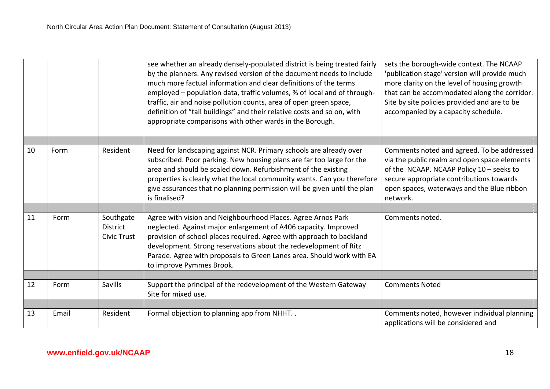|    |       |                                             | see whether an already densely-populated district is being treated fairly<br>by the planners. Any revised version of the document needs to include<br>much more factual information and clear definitions of the terms<br>employed - population data, traffic volumes, % of local and of through-<br>traffic, air and noise pollution counts, area of open green space,<br>definition of "tall buildings" and their relative costs and so on, with<br>appropriate comparisons with other wards in the Borough. | sets the borough-wide context. The NCAAP<br>'publication stage' version will provide much<br>more clarity on the level of housing growth<br>that can be accommodated along the corridor.<br>Site by site policies provided and are to be<br>accompanied by a capacity schedule. |
|----|-------|---------------------------------------------|----------------------------------------------------------------------------------------------------------------------------------------------------------------------------------------------------------------------------------------------------------------------------------------------------------------------------------------------------------------------------------------------------------------------------------------------------------------------------------------------------------------|---------------------------------------------------------------------------------------------------------------------------------------------------------------------------------------------------------------------------------------------------------------------------------|
|    |       |                                             |                                                                                                                                                                                                                                                                                                                                                                                                                                                                                                                |                                                                                                                                                                                                                                                                                 |
| 10 | Form  | Resident                                    | Need for landscaping against NCR. Primary schools are already over<br>subscribed. Poor parking. New housing plans are far too large for the<br>area and should be scaled down. Refurbishment of the existing<br>properties is clearly what the local community wants. Can you therefore<br>give assurances that no planning permission will be given until the plan<br>is finalised?                                                                                                                           | Comments noted and agreed. To be addressed<br>via the public realm and open space elements<br>of the NCAAP. NCAAP Policy 10 - seeks to<br>secure appropriate contributions towards<br>open spaces, waterways and the Blue ribbon<br>network.                                    |
|    |       |                                             |                                                                                                                                                                                                                                                                                                                                                                                                                                                                                                                |                                                                                                                                                                                                                                                                                 |
| 11 | Form  | Southgate<br><b>District</b><br>Civic Trust | Agree with vision and Neighbourhood Places. Agree Arnos Park<br>neglected. Against major enlargement of A406 capacity. Improved<br>provision of school places required. Agree with approach to backland<br>development. Strong reservations about the redevelopment of Ritz<br>Parade. Agree with proposals to Green Lanes area. Should work with EA<br>to improve Pymmes Brook.                                                                                                                               | Comments noted.                                                                                                                                                                                                                                                                 |
|    |       |                                             |                                                                                                                                                                                                                                                                                                                                                                                                                                                                                                                |                                                                                                                                                                                                                                                                                 |
| 12 | Form  | <b>Savills</b>                              | Support the principal of the redevelopment of the Western Gateway<br>Site for mixed use.                                                                                                                                                                                                                                                                                                                                                                                                                       | <b>Comments Noted</b>                                                                                                                                                                                                                                                           |
| 13 | Email | Resident                                    | Formal objection to planning app from NHHT                                                                                                                                                                                                                                                                                                                                                                                                                                                                     | Comments noted, however individual planning<br>applications will be considered and                                                                                                                                                                                              |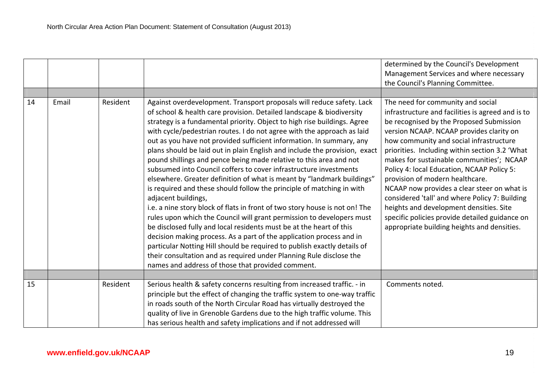|    |       |          |                                                                                                                                                                                                                                                                                                                                                                                                                                                                                                                                                                                                                                                                                                                                                                                                                                                                                                                                                                                                                                                                                                                                                                                                                                                                                               | determined by the Council's Development<br>Management Services and where necessary                                                                                                                                                                                                                                                                                                                                                                                                                                                                                                                                                                     |
|----|-------|----------|-----------------------------------------------------------------------------------------------------------------------------------------------------------------------------------------------------------------------------------------------------------------------------------------------------------------------------------------------------------------------------------------------------------------------------------------------------------------------------------------------------------------------------------------------------------------------------------------------------------------------------------------------------------------------------------------------------------------------------------------------------------------------------------------------------------------------------------------------------------------------------------------------------------------------------------------------------------------------------------------------------------------------------------------------------------------------------------------------------------------------------------------------------------------------------------------------------------------------------------------------------------------------------------------------|--------------------------------------------------------------------------------------------------------------------------------------------------------------------------------------------------------------------------------------------------------------------------------------------------------------------------------------------------------------------------------------------------------------------------------------------------------------------------------------------------------------------------------------------------------------------------------------------------------------------------------------------------------|
|    |       |          |                                                                                                                                                                                                                                                                                                                                                                                                                                                                                                                                                                                                                                                                                                                                                                                                                                                                                                                                                                                                                                                                                                                                                                                                                                                                                               | the Council's Planning Committee.                                                                                                                                                                                                                                                                                                                                                                                                                                                                                                                                                                                                                      |
| 14 | Email | Resident | Against overdevelopment. Transport proposals will reduce safety. Lack<br>of school & health care provision. Detailed landscape & biodiversity<br>strategy is a fundamental priority. Object to high rise buildings. Agree<br>with cycle/pedestrian routes. I do not agree with the approach as laid<br>out as you have not provided sufficient information. In summary, any<br>plans should be laid out in plain English and include the provision, exact<br>pound shillings and pence being made relative to this area and not<br>subsumed into Council coffers to cover infrastructure investments<br>elsewhere. Greater definition of what is meant by "landmark buildings"<br>is required and these should follow the principle of matching in with<br>adjacent buildings,<br>i.e. a nine story block of flats in front of two story house is not on! The<br>rules upon which the Council will grant permission to developers must<br>be disclosed fully and local residents must be at the heart of this<br>decision making process. As a part of the application process and in<br>particular Notting Hill should be required to publish exactly details of<br>their consultation and as required under Planning Rule disclose the<br>names and address of those that provided comment. | The need for community and social<br>infrastructure and facilities is agreed and is to<br>be recognised by the Proposed Submission<br>version NCAAP. NCAAP provides clarity on<br>how community and social infrastructure<br>priorities. Including within section 3.2 'What<br>makes for sustainable communities'; NCAAP<br>Policy 4: local Education, NCAAP Policy 5:<br>provision of modern healthcare.<br>NCAAP now provides a clear steer on what is<br>considered 'tall' and where Policy 7: Building<br>heights and development densities. Site<br>specific policies provide detailed guidance on<br>appropriate building heights and densities. |
|    |       |          |                                                                                                                                                                                                                                                                                                                                                                                                                                                                                                                                                                                                                                                                                                                                                                                                                                                                                                                                                                                                                                                                                                                                                                                                                                                                                               |                                                                                                                                                                                                                                                                                                                                                                                                                                                                                                                                                                                                                                                        |
| 15 |       | Resident | Serious health & safety concerns resulting from increased traffic. - in<br>principle but the effect of changing the traffic system to one-way traffic<br>in roads south of the North Circular Road has virtually destroyed the<br>quality of live in Grenoble Gardens due to the high traffic volume. This<br>has serious health and safety implications and if not addressed will                                                                                                                                                                                                                                                                                                                                                                                                                                                                                                                                                                                                                                                                                                                                                                                                                                                                                                            | Comments noted.                                                                                                                                                                                                                                                                                                                                                                                                                                                                                                                                                                                                                                        |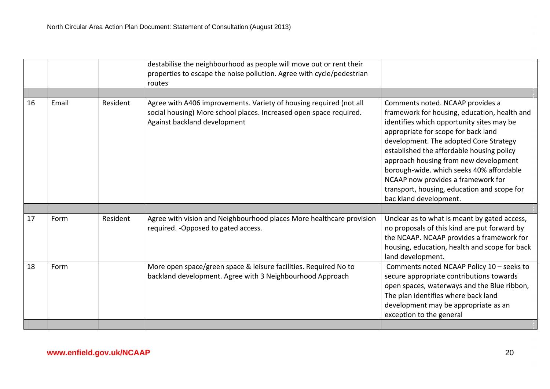|    |       |          | destabilise the neighbourhood as people will move out or rent their<br>properties to escape the noise pollution. Agree with cycle/pedestrian<br>routes                   |                                                                                                                                                                                                                                                                                                                                                                                                                                                                 |
|----|-------|----------|--------------------------------------------------------------------------------------------------------------------------------------------------------------------------|-----------------------------------------------------------------------------------------------------------------------------------------------------------------------------------------------------------------------------------------------------------------------------------------------------------------------------------------------------------------------------------------------------------------------------------------------------------------|
|    |       |          |                                                                                                                                                                          |                                                                                                                                                                                                                                                                                                                                                                                                                                                                 |
| 16 | Email | Resident | Agree with A406 improvements. Variety of housing required (not all<br>social housing) More school places. Increased open space required.<br>Against backland development | Comments noted. NCAAP provides a<br>framework for housing, education, health and<br>identifies which opportunity sites may be<br>appropriate for scope for back land<br>development. The adopted Core Strategy<br>established the affordable housing policy<br>approach housing from new development<br>borough-wide. which seeks 40% affordable<br>NCAAP now provides a framework for<br>transport, housing, education and scope for<br>bac kland development. |
|    |       |          |                                                                                                                                                                          |                                                                                                                                                                                                                                                                                                                                                                                                                                                                 |
| 17 | Form  | Resident | Agree with vision and Neighbourhood places More healthcare provision<br>required. - Opposed to gated access.                                                             | Unclear as to what is meant by gated access,<br>no proposals of this kind are put forward by<br>the NCAAP. NCAAP provides a framework for<br>housing, education, health and scope for back<br>land development.                                                                                                                                                                                                                                                 |
| 18 | Form  |          | More open space/green space & leisure facilities. Required No to<br>backland development. Agree with 3 Neighbourhood Approach                                            | Comments noted NCAAP Policy 10 - seeks to<br>secure appropriate contributions towards<br>open spaces, waterways and the Blue ribbon,<br>The plan identifies where back land<br>development may be appropriate as an<br>exception to the general                                                                                                                                                                                                                 |
|    |       |          |                                                                                                                                                                          |                                                                                                                                                                                                                                                                                                                                                                                                                                                                 |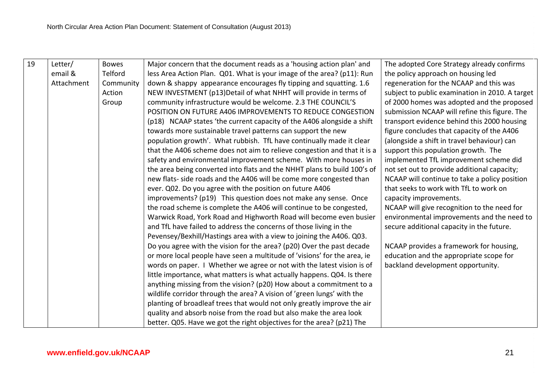| 19 | Letter/    | <b>Bowes</b> | Major concern that the document reads as a 'housing action plan' and     | The adopted Core Strategy already confirms      |
|----|------------|--------------|--------------------------------------------------------------------------|-------------------------------------------------|
|    | email &    | Telford      | less Area Action Plan. Q01. What is your image of the area? (p11): Run   | the policy approach on housing led              |
|    | Attachment | Community    | down & shappy appearance encourages fly tipping and squatting. 1.6       | regeneration for the NCAAP and this was         |
|    |            | Action       | NEW INVESTMENT (p13) Detail of what NHHT will provide in terms of        | subject to public examination in 2010. A target |
|    |            | Group        | community infrastructure would be welcome. 2.3 THE COUNCIL'S             | of 2000 homes was adopted and the proposed      |
|    |            |              | POSITION ON FUTURE A406 IMPROVEMENTS TO REDUCE CONGESTION                | submission NCAAP will refine this figure. The   |
|    |            |              | (p18) NCAAP states 'the current capacity of the A406 alongside a shift   | transport evidence behind this 2000 housing     |
|    |            |              | towards more sustainable travel patterns can support the new             | figure concludes that capacity of the A406      |
|    |            |              | population growth'. What rubbish. TfL have continually made it clear     | (alongside a shift in travel behaviour) can     |
|    |            |              | that the A406 scheme does not aim to relieve congestion and that it is a | support this population growth. The             |
|    |            |              | safety and environmental improvement scheme. With more houses in         | implemented TfL improvement scheme did          |
|    |            |              | the area being converted into flats and the NHHT plans to build 100's of | not set out to provide additional capacity;     |
|    |            |              | new flats- side roads and the A406 will be come more congested than      | NCAAP will continue to take a policy position   |
|    |            |              | ever. Q02. Do you agree with the position on future A406                 | that seeks to work with TfL to work on          |
|    |            |              | improvements? (p19) This question does not make any sense. Once          | capacity improvements.                          |
|    |            |              | the road scheme is complete the A406 will continue to be congested,      | NCAAP will give recognition to the need for     |
|    |            |              | Warwick Road, York Road and Highworth Road will become even busier       | environmental improvements and the need to      |
|    |            |              | and TfL have failed to address the concerns of those living in the       | secure additional capacity in the future.       |
|    |            |              | Pevensey/Bexhill/Hastings area with a view to joining the A406. Q03.     |                                                 |
|    |            |              | Do you agree with the vision for the area? (p20) Over the past decade    | NCAAP provides a framework for housing,         |
|    |            |              | or more local people have seen a multitude of 'visions' for the area, ie | education and the appropriate scope for         |
|    |            |              | words on paper. I Whether we agree or not with the latest vision is of   | backland development opportunity.               |
|    |            |              | little importance, what matters is what actually happens. Q04. Is there  |                                                 |
|    |            |              | anything missing from the vision? (p20) How about a commitment to a      |                                                 |
|    |            |              | wildlife corridor through the area? A vision of 'green lungs' with the   |                                                 |
|    |            |              | planting of broadleaf trees that would not only greatly improve the air  |                                                 |
|    |            |              | quality and absorb noise from the road but also make the area look       |                                                 |
|    |            |              | better. Q05. Have we got the right objectives for the area? (p21) The    |                                                 |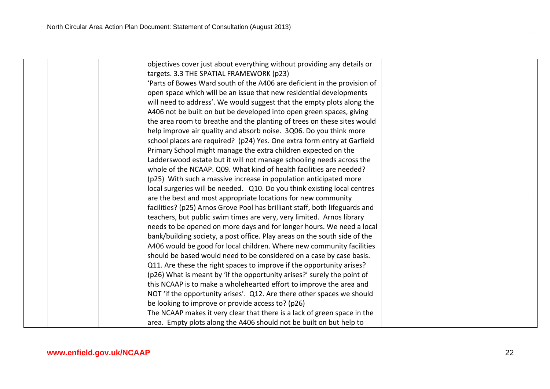|  | objectives cover just about everything without providing any details or     |  |
|--|-----------------------------------------------------------------------------|--|
|  | targets. 3.3 THE SPATIAL FRAMEWORK (p23)                                    |  |
|  | 'Parts of Bowes Ward south of the A406 are deficient in the provision of    |  |
|  | open space which will be an issue that new residential developments         |  |
|  | will need to address'. We would suggest that the empty plots along the      |  |
|  | A406 not be built on but be developed into open green spaces, giving        |  |
|  | the area room to breathe and the planting of trees on these sites would     |  |
|  | help improve air quality and absorb noise. 3Q06. Do you think more          |  |
|  | school places are required? (p24) Yes. One extra form entry at Garfield     |  |
|  | Primary School might manage the extra children expected on the              |  |
|  | Ladderswood estate but it will not manage schooling needs across the        |  |
|  | whole of the NCAAP. Q09. What kind of health facilities are needed?         |  |
|  | (p25) With such a massive increase in population anticipated more           |  |
|  | local surgeries will be needed. Q10. Do you think existing local centres    |  |
|  | are the best and most appropriate locations for new community               |  |
|  | facilities? (p25) Arnos Grove Pool has brilliant staff, both lifeguards and |  |
|  | teachers, but public swim times are very, very limited. Arnos library       |  |
|  | needs to be opened on more days and for longer hours. We need a local       |  |
|  | bank/building society, a post office. Play areas on the south side of the   |  |
|  | A406 would be good for local children. Where new community facilities       |  |
|  | should be based would need to be considered on a case by case basis.        |  |
|  | Q11. Are these the right spaces to improve if the opportunity arises?       |  |
|  | (p26) What is meant by 'if the opportunity arises?' surely the point of     |  |
|  | this NCAAP is to make a wholehearted effort to improve the area and         |  |
|  | NOT 'if the opportunity arises'. Q12. Are there other spaces we should      |  |
|  | be looking to improve or provide access to? (p26)                           |  |
|  | The NCAAP makes it very clear that there is a lack of green space in the    |  |
|  | area. Empty plots along the A406 should not be built on but help to         |  |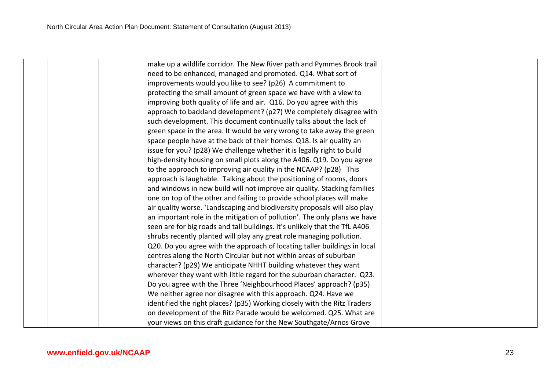|  | make up a wildlife corridor. The New River path and Pymmes Brook trail     |  |
|--|----------------------------------------------------------------------------|--|
|  | need to be enhanced, managed and promoted. Q14. What sort of               |  |
|  | improvements would you like to see? (p26) A commitment to                  |  |
|  | protecting the small amount of green space we have with a view to          |  |
|  | improving both quality of life and air. Q16. Do you agree with this        |  |
|  | approach to backland development? (p27) We completely disagree with        |  |
|  | such development. This document continually talks about the lack of        |  |
|  | green space in the area. It would be very wrong to take away the green     |  |
|  | space people have at the back of their homes. Q18. Is air quality an       |  |
|  | issue for you? (p28) We challenge whether it is legally right to build     |  |
|  | high-density housing on small plots along the A406. Q19. Do you agree      |  |
|  | to the approach to improving air quality in the NCAAP? (p28) This          |  |
|  | approach is laughable. Talking about the positioning of rooms, doors       |  |
|  | and windows in new build will not improve air quality. Stacking families   |  |
|  | one on top of the other and failing to provide school places will make     |  |
|  | air quality worse. 'Landscaping and biodiversity proposals will also play  |  |
|  | an important role in the mitigation of pollution'. The only plans we have  |  |
|  | seen are for big roads and tall buildings. It's unlikely that the TfL A406 |  |
|  | shrubs recently planted will play any great role managing pollution.       |  |
|  | Q20. Do you agree with the approach of locating taller buildings in local  |  |
|  | centres along the North Circular but not within areas of suburban          |  |
|  | character? (p29) We anticipate NHHT building whatever they want            |  |
|  | wherever they want with little regard for the suburban character. Q23.     |  |
|  | Do you agree with the Three 'Neighbourhood Places' approach? (p35)         |  |
|  | We neither agree nor disagree with this approach. Q24. Have we             |  |
|  | identified the right places? (p35) Working closely with the Ritz Traders   |  |
|  | on development of the Ritz Parade would be welcomed. Q25. What are         |  |
|  | your views on this draft guidance for the New Southgate/Arnos Grove        |  |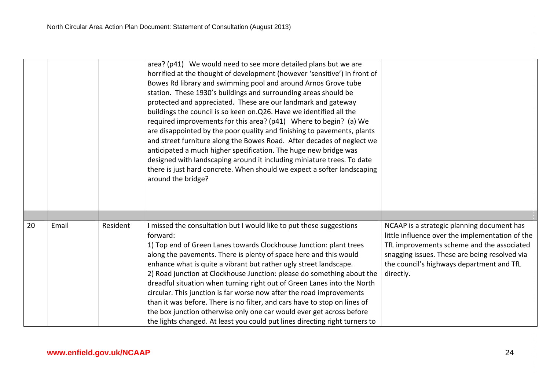|    |       |          | area? (p41) We would need to see more detailed plans but we are<br>horrified at the thought of development (however 'sensitive') in front of<br>Bowes Rd library and swimming pool and around Arnos Grove tube<br>station. These 1930's buildings and surrounding areas should be<br>protected and appreciated. These are our landmark and gateway<br>buildings the council is so keen on. Q26. Have we identified all the<br>required improvements for this area? (p41) Where to begin? (a) We<br>are disappointed by the poor quality and finishing to pavements, plants<br>and street furniture along the Bowes Road. After decades of neglect we<br>anticipated a much higher specification. The huge new bridge was<br>designed with landscaping around it including miniature trees. To date<br>there is just hard concrete. When should we expect a softer landscaping<br>around the bridge? |                                                                                                                                                                                                                                                        |
|----|-------|----------|-----------------------------------------------------------------------------------------------------------------------------------------------------------------------------------------------------------------------------------------------------------------------------------------------------------------------------------------------------------------------------------------------------------------------------------------------------------------------------------------------------------------------------------------------------------------------------------------------------------------------------------------------------------------------------------------------------------------------------------------------------------------------------------------------------------------------------------------------------------------------------------------------------|--------------------------------------------------------------------------------------------------------------------------------------------------------------------------------------------------------------------------------------------------------|
| 20 | Email | Resident | I missed the consultation but I would like to put these suggestions<br>forward:<br>1) Top end of Green Lanes towards Clockhouse Junction: plant trees<br>along the pavements. There is plenty of space here and this would<br>enhance what is quite a vibrant but rather ugly street landscape.<br>2) Road junction at Clockhouse Junction: please do something about the<br>dreadful situation when turning right out of Green Lanes into the North<br>circular. This junction is far worse now after the road improvements<br>than it was before. There is no filter, and cars have to stop on lines of<br>the box junction otherwise only one car would ever get across before<br>the lights changed. At least you could put lines directing right turners to                                                                                                                                    | NCAAP is a strategic planning document has<br>little influence over the implementation of the<br>TfL improvements scheme and the associated<br>snagging issues. These are being resolved via<br>the council's highways department and TfL<br>directly. |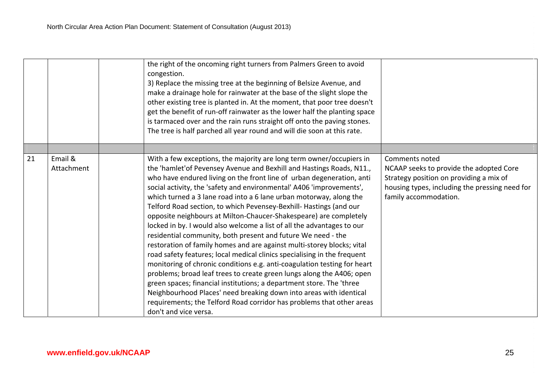|    |                       | the right of the oncoming right turners from Palmers Green to avoid<br>congestion.<br>3) Replace the missing tree at the beginning of Belsize Avenue, and<br>make a drainage hole for rainwater at the base of the slight slope the<br>other existing tree is planted in. At the moment, that poor tree doesn't<br>get the benefit of run-off rainwater as the lower half the planting space<br>is tarmaced over and the rain runs straight off onto the paving stones.<br>The tree is half parched all year round and will die soon at this rate.                                                                                                                                                                                                                                                                                                                                                                                                                                                                                                                                                                                                                                                                   |                                                                                                                                                                                 |
|----|-----------------------|----------------------------------------------------------------------------------------------------------------------------------------------------------------------------------------------------------------------------------------------------------------------------------------------------------------------------------------------------------------------------------------------------------------------------------------------------------------------------------------------------------------------------------------------------------------------------------------------------------------------------------------------------------------------------------------------------------------------------------------------------------------------------------------------------------------------------------------------------------------------------------------------------------------------------------------------------------------------------------------------------------------------------------------------------------------------------------------------------------------------------------------------------------------------------------------------------------------------|---------------------------------------------------------------------------------------------------------------------------------------------------------------------------------|
|    |                       |                                                                                                                                                                                                                                                                                                                                                                                                                                                                                                                                                                                                                                                                                                                                                                                                                                                                                                                                                                                                                                                                                                                                                                                                                      |                                                                                                                                                                                 |
| 21 | Email &<br>Attachment | With a few exceptions, the majority are long term owner/occupiers in<br>the 'hamlet' of Pevensey Avenue and Bexhill and Hastings Roads, N11.,<br>who have endured living on the front line of urban degeneration, anti<br>social activity, the 'safety and environmental' A406 'improvements',<br>which turned a 3 lane road into a 6 lane urban motorway, along the<br>Telford Road section, to which Pevensey-Bexhill- Hastings (and our<br>opposite neighbours at Milton-Chaucer-Shakespeare) are completely<br>locked in by. I would also welcome a list of all the advantages to our<br>residential community, both present and future We need - the<br>restoration of family homes and are against multi-storey blocks; vital<br>road safety features; local medical clinics specialising in the frequent<br>monitoring of chronic conditions e.g. anti-coagulation testing for heart<br>problems; broad leaf trees to create green lungs along the A406; open<br>green spaces; financial institutions; a department store. The 'three<br>Neighbourhood Places' need breaking down into areas with identical<br>requirements; the Telford Road corridor has problems that other areas<br>don't and vice versa. | Comments noted<br>NCAAP seeks to provide the adopted Core<br>Strategy position on providing a mix of<br>housing types, including the pressing need for<br>family accommodation. |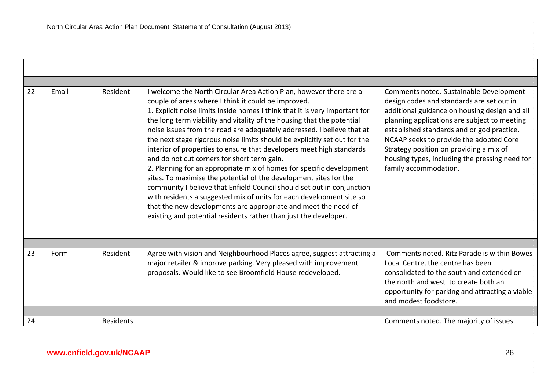| 22 | Email | Resident  | I welcome the North Circular Area Action Plan, however there are a<br>couple of areas where I think it could be improved.<br>1. Explicit noise limits inside homes I think that it is very important for<br>the long term viability and vitality of the housing that the potential<br>noise issues from the road are adequately addressed. I believe that at<br>the next stage rigorous noise limits should be explicitly set out for the<br>interior of properties to ensure that developers meet high standards<br>and do not cut corners for short term gain.<br>2. Planning for an appropriate mix of homes for specific development<br>sites. To maximise the potential of the development sites for the<br>community I believe that Enfield Council should set out in conjunction<br>with residents a suggested mix of units for each development site so<br>that the new developments are appropriate and meet the need of<br>existing and potential residents rather than just the developer. | Comments noted. Sustainable Development<br>design codes and standards are set out in<br>additional guidance on housing design and all<br>planning applications are subject to meeting<br>established standards and or god practice.<br>NCAAP seeks to provide the adopted Core<br>Strategy position on providing a mix of<br>housing types, including the pressing need for<br>family accommodation. |
|----|-------|-----------|-------------------------------------------------------------------------------------------------------------------------------------------------------------------------------------------------------------------------------------------------------------------------------------------------------------------------------------------------------------------------------------------------------------------------------------------------------------------------------------------------------------------------------------------------------------------------------------------------------------------------------------------------------------------------------------------------------------------------------------------------------------------------------------------------------------------------------------------------------------------------------------------------------------------------------------------------------------------------------------------------------|------------------------------------------------------------------------------------------------------------------------------------------------------------------------------------------------------------------------------------------------------------------------------------------------------------------------------------------------------------------------------------------------------|
|    |       |           |                                                                                                                                                                                                                                                                                                                                                                                                                                                                                                                                                                                                                                                                                                                                                                                                                                                                                                                                                                                                       |                                                                                                                                                                                                                                                                                                                                                                                                      |
| 23 | Form  | Resident  | Agree with vision and Neighbourhood Places agree, suggest attracting a<br>major retailer & improve parking. Very pleased with improvement<br>proposals. Would like to see Broomfield House redeveloped.                                                                                                                                                                                                                                                                                                                                                                                                                                                                                                                                                                                                                                                                                                                                                                                               | Comments noted. Ritz Parade is within Bowes<br>Local Centre, the centre has been<br>consolidated to the south and extended on<br>the north and west to create both an<br>opportunity for parking and attracting a viable<br>and modest foodstore.                                                                                                                                                    |
|    |       |           |                                                                                                                                                                                                                                                                                                                                                                                                                                                                                                                                                                                                                                                                                                                                                                                                                                                                                                                                                                                                       |                                                                                                                                                                                                                                                                                                                                                                                                      |
| 24 |       | Residents |                                                                                                                                                                                                                                                                                                                                                                                                                                                                                                                                                                                                                                                                                                                                                                                                                                                                                                                                                                                                       | Comments noted. The majority of issues                                                                                                                                                                                                                                                                                                                                                               |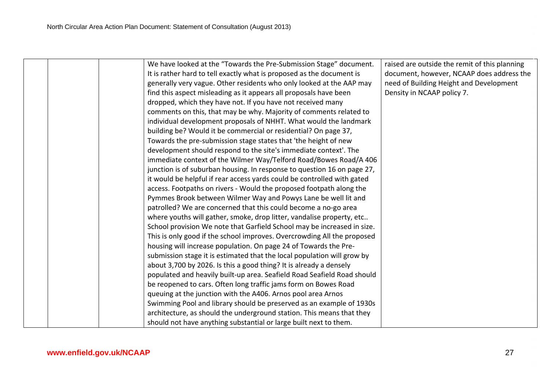|  | We have looked at the "Towards the Pre-Submission Stage" document.      | raised are outside the remit of this planning |
|--|-------------------------------------------------------------------------|-----------------------------------------------|
|  | It is rather hard to tell exactly what is proposed as the document is   | document, however, NCAAP does address the     |
|  | generally very vague. Other residents who only looked at the AAP may    | need of Building Height and Development       |
|  | find this aspect misleading as it appears all proposals have been       | Density in NCAAP policy 7.                    |
|  | dropped, which they have not. If you have not received many             |                                               |
|  | comments on this, that may be why. Majority of comments related to      |                                               |
|  | individual development proposals of NHHT. What would the landmark       |                                               |
|  | building be? Would it be commercial or residential? On page 37,         |                                               |
|  | Towards the pre-submission stage states that 'the height of new         |                                               |
|  | development should respond to the site's immediate context'. The        |                                               |
|  | immediate context of the Wilmer Way/Telford Road/Bowes Road/A 406       |                                               |
|  | junction is of suburban housing. In response to question 16 on page 27, |                                               |
|  | it would be helpful if rear access yards could be controlled with gated |                                               |
|  | access. Footpaths on rivers - Would the proposed footpath along the     |                                               |
|  | Pymmes Brook between Wilmer Way and Powys Lane be well lit and          |                                               |
|  | patrolled? We are concerned that this could become a no-go area         |                                               |
|  | where youths will gather, smoke, drop litter, vandalise property, etc   |                                               |
|  | School provision We note that Garfield School may be increased in size. |                                               |
|  | This is only good if the school improves. Overcrowding All the proposed |                                               |
|  | housing will increase population. On page 24 of Towards the Pre-        |                                               |
|  | submission stage it is estimated that the local population will grow by |                                               |
|  | about 3,700 by 2026. Is this a good thing? It is already a densely      |                                               |
|  | populated and heavily built-up area. Seafield Road Seafield Road should |                                               |
|  | be reopened to cars. Often long traffic jams form on Bowes Road         |                                               |
|  | queuing at the junction with the A406. Arnos pool area Arnos            |                                               |
|  | Swimming Pool and library should be preserved as an example of 1930s    |                                               |
|  | architecture, as should the underground station. This means that they   |                                               |
|  | should not have anything substantial or large built next to them.       |                                               |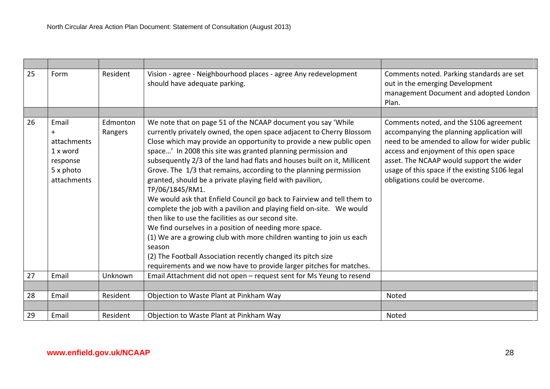| 25 | Form                                                                                  | Resident            | Vision - agree - Neighbourhood places - agree Any redevelopment<br>should have adequate parking.                                                                                                                                                                                                                                                                                                                                                                                                                                                                                                                                                                                                                                                                                                                                                                                                                                                                                                         | Comments noted. Parking standards are set<br>out in the emerging Development<br>management Document and adopted London<br>Plan.                                                                                                                                                                                 |
|----|---------------------------------------------------------------------------------------|---------------------|----------------------------------------------------------------------------------------------------------------------------------------------------------------------------------------------------------------------------------------------------------------------------------------------------------------------------------------------------------------------------------------------------------------------------------------------------------------------------------------------------------------------------------------------------------------------------------------------------------------------------------------------------------------------------------------------------------------------------------------------------------------------------------------------------------------------------------------------------------------------------------------------------------------------------------------------------------------------------------------------------------|-----------------------------------------------------------------------------------------------------------------------------------------------------------------------------------------------------------------------------------------------------------------------------------------------------------------|
|    |                                                                                       |                     |                                                                                                                                                                                                                                                                                                                                                                                                                                                                                                                                                                                                                                                                                                                                                                                                                                                                                                                                                                                                          |                                                                                                                                                                                                                                                                                                                 |
| 26 | Email<br>$\ddot{}$<br>attachments<br>1 x word<br>response<br>5 x photo<br>attachments | Edmonton<br>Rangers | We note that on page 51 of the NCAAP document you say 'While<br>currently privately owned, the open space adjacent to Cherry Blossom<br>Close which may provide an opportunity to provide a new public open<br>space' In 2008 this site was granted planning permission and<br>subsequently 2/3 of the land had flats and houses built on it, Millicent<br>Grove. The 1/3 that remains, according to the planning permission<br>granted, should be a private playing field with pavilion,<br>TP/06/1845/RM1.<br>We would ask that Enfield Council go back to Fairview and tell them to<br>complete the job with a pavilion and playing field on-site. We would<br>then like to use the facilities as our second site.<br>We find ourselves in a position of needing more space.<br>(1) We are a growing club with more children wanting to join us each<br>season<br>(2) The Football Association recently changed its pitch size<br>requirements and we now have to provide larger pitches for matches. | Comments noted, and the S106 agreement<br>accompanying the planning application will<br>need to be amended to allow for wider public<br>access and enjoyment of this open space<br>asset. The NCAAP would support the wider<br>usage of this space if the existing S106 legal<br>obligations could be overcome. |
| 27 | Email                                                                                 | Unknown             | Email Attachment did not open - request sent for Ms Yeung to resend                                                                                                                                                                                                                                                                                                                                                                                                                                                                                                                                                                                                                                                                                                                                                                                                                                                                                                                                      |                                                                                                                                                                                                                                                                                                                 |
|    |                                                                                       |                     |                                                                                                                                                                                                                                                                                                                                                                                                                                                                                                                                                                                                                                                                                                                                                                                                                                                                                                                                                                                                          |                                                                                                                                                                                                                                                                                                                 |
| 28 | Email                                                                                 | Resident            | Objection to Waste Plant at Pinkham Way                                                                                                                                                                                                                                                                                                                                                                                                                                                                                                                                                                                                                                                                                                                                                                                                                                                                                                                                                                  | Noted                                                                                                                                                                                                                                                                                                           |
|    |                                                                                       |                     |                                                                                                                                                                                                                                                                                                                                                                                                                                                                                                                                                                                                                                                                                                                                                                                                                                                                                                                                                                                                          |                                                                                                                                                                                                                                                                                                                 |
| 29 | Email                                                                                 | Resident            | Objection to Waste Plant at Pinkham Way                                                                                                                                                                                                                                                                                                                                                                                                                                                                                                                                                                                                                                                                                                                                                                                                                                                                                                                                                                  | Noted                                                                                                                                                                                                                                                                                                           |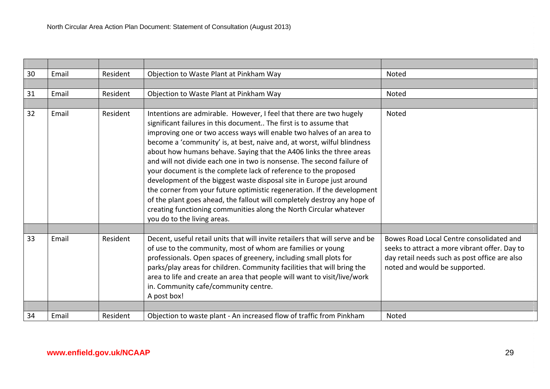| 30 | Email | Resident | Objection to Waste Plant at Pinkham Way                                                                                                                                                                                                                                                                                                                                                                                                                                                                                                                                                                                                                                                                                                                                                                                                              | Noted                                                                                                                                                                       |
|----|-------|----------|------------------------------------------------------------------------------------------------------------------------------------------------------------------------------------------------------------------------------------------------------------------------------------------------------------------------------------------------------------------------------------------------------------------------------------------------------------------------------------------------------------------------------------------------------------------------------------------------------------------------------------------------------------------------------------------------------------------------------------------------------------------------------------------------------------------------------------------------------|-----------------------------------------------------------------------------------------------------------------------------------------------------------------------------|
|    |       |          |                                                                                                                                                                                                                                                                                                                                                                                                                                                                                                                                                                                                                                                                                                                                                                                                                                                      |                                                                                                                                                                             |
| 31 | Email | Resident | Objection to Waste Plant at Pinkham Way                                                                                                                                                                                                                                                                                                                                                                                                                                                                                                                                                                                                                                                                                                                                                                                                              | Noted                                                                                                                                                                       |
|    |       |          |                                                                                                                                                                                                                                                                                                                                                                                                                                                                                                                                                                                                                                                                                                                                                                                                                                                      |                                                                                                                                                                             |
| 32 | Email | Resident | Intentions are admirable. However, I feel that there are two hugely<br>significant failures in this document The first is to assume that<br>improving one or two access ways will enable two halves of an area to<br>become a 'community' is, at best, naive and, at worst, wilful blindness<br>about how humans behave. Saying that the A406 links the three areas<br>and will not divide each one in two is nonsense. The second failure of<br>your document is the complete lack of reference to the proposed<br>development of the biggest waste disposal site in Europe just around<br>the corner from your future optimistic regeneration. If the development<br>of the plant goes ahead, the fallout will completely destroy any hope of<br>creating functioning communities along the North Circular whatever<br>you do to the living areas. | <b>Noted</b>                                                                                                                                                                |
|    |       |          |                                                                                                                                                                                                                                                                                                                                                                                                                                                                                                                                                                                                                                                                                                                                                                                                                                                      |                                                                                                                                                                             |
| 33 | Email | Resident | Decent, useful retail units that will invite retailers that will serve and be<br>of use to the community, most of whom are families or young<br>professionals. Open spaces of greenery, including small plots for<br>parks/play areas for children. Community facilities that will bring the<br>area to life and create an area that people will want to visit/live/work<br>in. Community cafe/community centre.<br>A post box!                                                                                                                                                                                                                                                                                                                                                                                                                      | Bowes Road Local Centre consolidated and<br>seeks to attract a more vibrant offer. Day to<br>day retail needs such as post office are also<br>noted and would be supported. |
|    |       |          |                                                                                                                                                                                                                                                                                                                                                                                                                                                                                                                                                                                                                                                                                                                                                                                                                                                      |                                                                                                                                                                             |
| 34 | Email | Resident | Objection to waste plant - An increased flow of traffic from Pinkham                                                                                                                                                                                                                                                                                                                                                                                                                                                                                                                                                                                                                                                                                                                                                                                 | Noted                                                                                                                                                                       |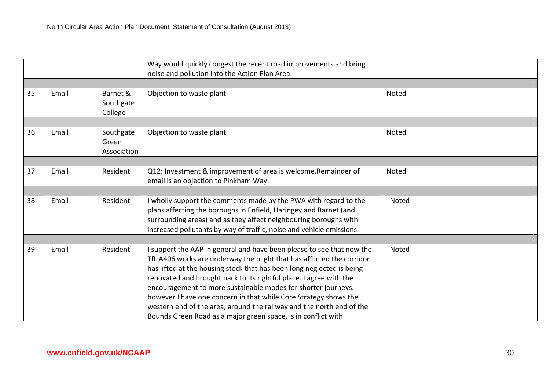|    |       |                                   | Way would quickly congest the recent road improvements and bring<br>noise and pollution into the Action Plan Area.                                                                                                                                                                                                                                                                                                                                                                                                                                                           |       |
|----|-------|-----------------------------------|------------------------------------------------------------------------------------------------------------------------------------------------------------------------------------------------------------------------------------------------------------------------------------------------------------------------------------------------------------------------------------------------------------------------------------------------------------------------------------------------------------------------------------------------------------------------------|-------|
|    |       |                                   |                                                                                                                                                                                                                                                                                                                                                                                                                                                                                                                                                                              |       |
| 35 | Email | Barnet &<br>Southgate<br>College  | Objection to waste plant                                                                                                                                                                                                                                                                                                                                                                                                                                                                                                                                                     | Noted |
|    |       |                                   |                                                                                                                                                                                                                                                                                                                                                                                                                                                                                                                                                                              |       |
| 36 | Email | Southgate<br>Green<br>Association | Objection to waste plant                                                                                                                                                                                                                                                                                                                                                                                                                                                                                                                                                     | Noted |
|    |       |                                   |                                                                                                                                                                                                                                                                                                                                                                                                                                                                                                                                                                              |       |
| 37 | Email | Resident                          | Q12: Investment & improvement of area is welcome. Remainder of<br>email is an objection to Pinkham Way.                                                                                                                                                                                                                                                                                                                                                                                                                                                                      | Noted |
|    |       |                                   |                                                                                                                                                                                                                                                                                                                                                                                                                                                                                                                                                                              |       |
| 38 | Email | Resident                          | I wholly support the comments made by the PWA with regard to the<br>plans affecting the boroughs in Enfield, Haringey and Barnet (and<br>surrounding areas) and as they affect neighbouring boroughs with<br>increased pollutants by way of traffic, noise and vehicle emissions.                                                                                                                                                                                                                                                                                            | Noted |
|    |       |                                   |                                                                                                                                                                                                                                                                                                                                                                                                                                                                                                                                                                              |       |
| 39 | Email | Resident                          | I support the AAP in general and have been please to see that now the<br>TfL A406 works are underway the blight that has afflicted the corridor<br>has lifted at the housing stock that has been long neglected is being<br>renovated and brought back to its rightful place. I agree with the<br>encouragement to more sustainable modes for shorter journeys.<br>however I have one concern in that while Core Strategy shows the<br>western end of the area, around the railway and the north end of the<br>Bounds Green Road as a major green space, is in conflict with | Noted |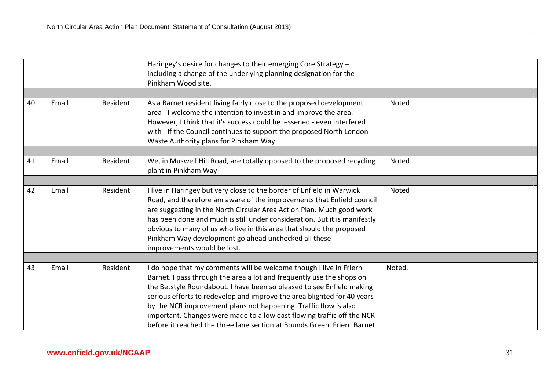|    |       |          | Haringey's desire for changes to their emerging Core Strategy -<br>including a change of the underlying planning designation for the<br>Pinkham Wood site.                                                                                                                                                                                                                                                                                                                                                               |        |
|----|-------|----------|--------------------------------------------------------------------------------------------------------------------------------------------------------------------------------------------------------------------------------------------------------------------------------------------------------------------------------------------------------------------------------------------------------------------------------------------------------------------------------------------------------------------------|--------|
|    |       |          |                                                                                                                                                                                                                                                                                                                                                                                                                                                                                                                          |        |
| 40 | Email | Resident | As a Barnet resident living fairly close to the proposed development<br>area - I welcome the intention to invest in and improve the area.<br>However, I think that it's success could be lessened - even interfered<br>with - if the Council continues to support the proposed North London<br>Waste Authority plans for Pinkham Way                                                                                                                                                                                     | Noted  |
|    |       |          |                                                                                                                                                                                                                                                                                                                                                                                                                                                                                                                          |        |
| 41 | Email | Resident | We, in Muswell Hill Road, are totally opposed to the proposed recycling<br>plant in Pinkham Way                                                                                                                                                                                                                                                                                                                                                                                                                          | Noted  |
|    |       |          |                                                                                                                                                                                                                                                                                                                                                                                                                                                                                                                          |        |
| 42 | Email | Resident | I live in Haringey but very close to the border of Enfield in Warwick<br>Road, and therefore am aware of the improvements that Enfield council<br>are suggesting in the North Circular Area Action Plan. Much good work<br>has been done and much is still under consideration. But it is manifestly<br>obvious to many of us who live in this area that should the proposed<br>Pinkham Way development go ahead unchecked all these<br>improvements would be lost.                                                      | Noted  |
|    |       |          |                                                                                                                                                                                                                                                                                                                                                                                                                                                                                                                          |        |
| 43 | Email | Resident | I do hope that my comments will be welcome though I live in Friern<br>Barnet. I pass through the area a lot and frequently use the shops on<br>the Betstyle Roundabout. I have been so pleased to see Enfield making<br>serious efforts to redevelop and improve the area blighted for 40 years<br>by the NCR improvement plans not happening. Traffic flow is also<br>important. Changes were made to allow east flowing traffic off the NCR<br>before it reached the three lane section at Bounds Green. Friern Barnet | Noted. |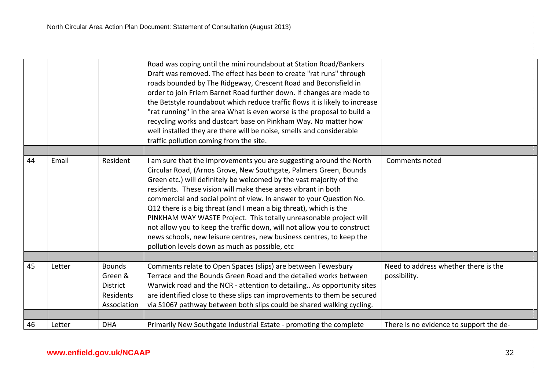|    |        |                                                                         | Road was coping until the mini roundabout at Station Road/Bankers<br>Draft was removed. The effect has been to create "rat runs" through<br>roads bounded by The Ridgeway, Crescent Road and Beconsfield in<br>order to join Friern Barnet Road further down. If changes are made to<br>the Betstyle roundabout which reduce traffic flows it is likely to increase<br>"rat running" in the area What is even worse is the proposal to build a<br>recycling works and dustcart base on Pinkham Way. No matter how<br>well installed they are there will be noise, smells and considerable<br>traffic pollution coming from the site.                                                                   |                                                      |
|----|--------|-------------------------------------------------------------------------|--------------------------------------------------------------------------------------------------------------------------------------------------------------------------------------------------------------------------------------------------------------------------------------------------------------------------------------------------------------------------------------------------------------------------------------------------------------------------------------------------------------------------------------------------------------------------------------------------------------------------------------------------------------------------------------------------------|------------------------------------------------------|
|    |        |                                                                         |                                                                                                                                                                                                                                                                                                                                                                                                                                                                                                                                                                                                                                                                                                        |                                                      |
| 44 | Email  | Resident                                                                | I am sure that the improvements you are suggesting around the North<br>Circular Road, (Arnos Grove, New Southgate, Palmers Green, Bounds<br>Green etc.) will definitely be welcomed by the vast majority of the<br>residents. These vision will make these areas vibrant in both<br>commercial and social point of view. In answer to your Question No.<br>Q12 there is a big threat (and I mean a big threat), which is the<br>PINKHAM WAY WASTE Project. This totally unreasonable project will<br>not allow you to keep the traffic down, will not allow you to construct<br>news schools, new leisure centres, new business centres, to keep the<br>pollution levels down as much as possible, etc | Comments noted                                       |
|    |        |                                                                         |                                                                                                                                                                                                                                                                                                                                                                                                                                                                                                                                                                                                                                                                                                        |                                                      |
| 45 | Letter | <b>Bounds</b><br>Green &<br><b>District</b><br>Residents<br>Association | Comments relate to Open Spaces (slips) are between Tewesbury<br>Terrace and the Bounds Green Road and the detailed works between<br>Warwick road and the NCR - attention to detailing As opportunity sites<br>are identified close to these slips can improvements to them be secured<br>via S106? pathway between both slips could be shared walking cycling.                                                                                                                                                                                                                                                                                                                                         | Need to address whether there is the<br>possibility. |
|    |        |                                                                         |                                                                                                                                                                                                                                                                                                                                                                                                                                                                                                                                                                                                                                                                                                        |                                                      |
| 46 | Letter | <b>DHA</b>                                                              | Primarily New Southgate Industrial Estate - promoting the complete                                                                                                                                                                                                                                                                                                                                                                                                                                                                                                                                                                                                                                     | There is no evidence to support the de-              |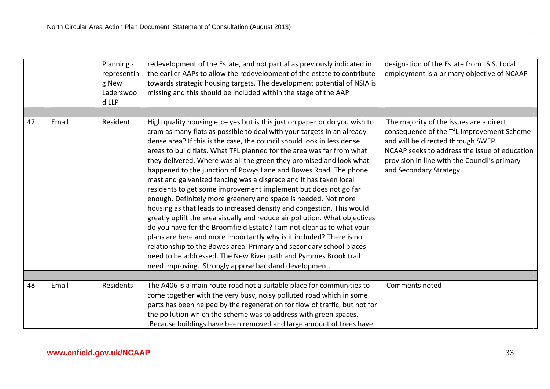|    |       | Planning -<br>representin<br>g New<br>Laderswoo<br>d LLP | redevelopment of the Estate, and not partial as previously indicated in<br>the earlier AAPs to allow the redevelopment of the estate to contribute<br>towards strategic housing targets. The development potential of NSIA is<br>missing and this should be included within the stage of the AAP                                                                                                                                                                                                                                                                                                                                                                                                                                                                                                                                                                                                                                                                                                                                                                                                                                                                     | designation of the Estate from LSIS. Local<br>employment is a primary objective of NCAAP                                                                                                                                                               |
|----|-------|----------------------------------------------------------|----------------------------------------------------------------------------------------------------------------------------------------------------------------------------------------------------------------------------------------------------------------------------------------------------------------------------------------------------------------------------------------------------------------------------------------------------------------------------------------------------------------------------------------------------------------------------------------------------------------------------------------------------------------------------------------------------------------------------------------------------------------------------------------------------------------------------------------------------------------------------------------------------------------------------------------------------------------------------------------------------------------------------------------------------------------------------------------------------------------------------------------------------------------------|--------------------------------------------------------------------------------------------------------------------------------------------------------------------------------------------------------------------------------------------------------|
|    |       |                                                          |                                                                                                                                                                                                                                                                                                                                                                                                                                                                                                                                                                                                                                                                                                                                                                                                                                                                                                                                                                                                                                                                                                                                                                      |                                                                                                                                                                                                                                                        |
| 47 | Email | Resident                                                 | High quality housing etc-yes but is this just on paper or do you wish to<br>cram as many flats as possible to deal with your targets in an already<br>dense area? If this is the case, the council should look in less dense<br>areas to build flats. What TFL planned for the area was far from what<br>they delivered. Where was all the green they promised and look what<br>happened to the junction of Powys Lane and Bowes Road. The phone<br>mast and galvanized fencing was a disgrace and it has taken local<br>residents to get some improvement implement but does not go far<br>enough. Definitely more greenery and space is needed. Not more<br>housing as that leads to increased density and congestion. This would<br>greatly uplift the area visually and reduce air pollution. What objectives<br>do you have for the Broomfield Estate? I am not clear as to what your<br>plans are here and more importantly why is it included? There is no<br>relationship to the Bowes area. Primary and secondary school places<br>need to be addressed. The New River path and Pymmes Brook trail<br>need improving. Strongly appose backland development. | The majority of the issues are a direct<br>consequence of the TfL Improvement Scheme<br>and will be directed through SWEP.<br>NCAAP seeks to address the issue of education<br>provision in line with the Council's primary<br>and Secondary Strategy. |
|    |       |                                                          |                                                                                                                                                                                                                                                                                                                                                                                                                                                                                                                                                                                                                                                                                                                                                                                                                                                                                                                                                                                                                                                                                                                                                                      |                                                                                                                                                                                                                                                        |
| 48 | Email | Residents                                                | The A406 is a main route road not a suitable place for communities to<br>come together with the very busy, noisy polluted road which in some<br>parts has been helped by the regeneration for flow of traffic, but not for<br>the pollution which the scheme was to address with green spaces.<br>Because buildings have been removed and large amount of trees have                                                                                                                                                                                                                                                                                                                                                                                                                                                                                                                                                                                                                                                                                                                                                                                                 | Comments noted                                                                                                                                                                                                                                         |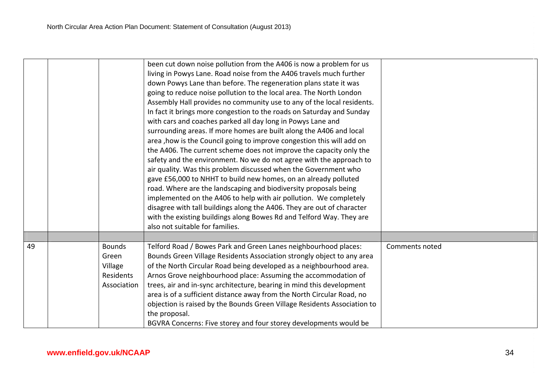|    |                                                               | been cut down noise pollution from the A406 is now a problem for us<br>living in Powys Lane. Road noise from the A406 travels much further<br>down Powys Lane than before. The regeneration plans state it was<br>going to reduce noise pollution to the local area. The North London<br>Assembly Hall provides no community use to any of the local residents.<br>In fact it brings more congestion to the roads on Saturday and Sunday<br>with cars and coaches parked all day long in Powys Lane and<br>surrounding areas. If more homes are built along the A406 and local<br>area , how is the Council going to improve congestion this will add on<br>the A406. The current scheme does not improve the capacity only the<br>safety and the environment. No we do not agree with the approach to<br>air quality. Was this problem discussed when the Government who<br>gave £56,000 to NHHT to build new homes, on an already polluted<br>road. Where are the landscaping and biodiversity proposals being<br>implemented on the A406 to help with air pollution. We completely<br>disagree with tall buildings along the A406. They are out of character<br>with the existing buildings along Bowes Rd and Telford Way. They are<br>also not suitable for families. |                |
|----|---------------------------------------------------------------|----------------------------------------------------------------------------------------------------------------------------------------------------------------------------------------------------------------------------------------------------------------------------------------------------------------------------------------------------------------------------------------------------------------------------------------------------------------------------------------------------------------------------------------------------------------------------------------------------------------------------------------------------------------------------------------------------------------------------------------------------------------------------------------------------------------------------------------------------------------------------------------------------------------------------------------------------------------------------------------------------------------------------------------------------------------------------------------------------------------------------------------------------------------------------------------------------------------------------------------------------------------------------|----------------|
|    |                                                               |                                                                                                                                                                                                                                                                                                                                                                                                                                                                                                                                                                                                                                                                                                                                                                                                                                                                                                                                                                                                                                                                                                                                                                                                                                                                            |                |
| 49 | <b>Bounds</b><br>Green<br>Village<br>Residents<br>Association | Telford Road / Bowes Park and Green Lanes neighbourhood places:<br>Bounds Green Village Residents Association strongly object to any area<br>of the North Circular Road being developed as a neighbourhood area.<br>Arnos Grove neighbourhood place: Assuming the accommodation of<br>trees, air and in-sync architecture, bearing in mind this development<br>area is of a sufficient distance away from the North Circular Road, no<br>objection is raised by the Bounds Green Village Residents Association to<br>the proposal.<br>BGVRA Concerns: Five storey and four storey developments would be                                                                                                                                                                                                                                                                                                                                                                                                                                                                                                                                                                                                                                                                    | Comments noted |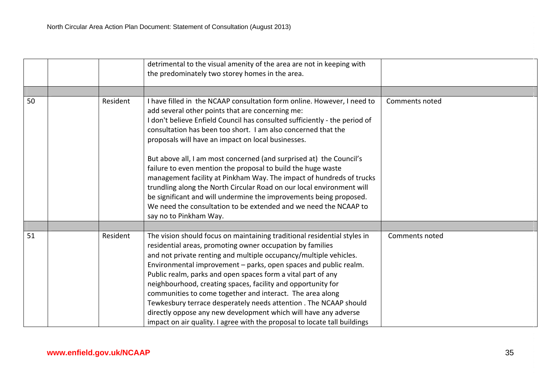|    |          | detrimental to the visual amenity of the area are not in keeping with<br>the predominately two storey homes in the area.                                                                                                                                                                                                                                                                                                                                                                                                                                                                                                                                                                                                                                                                     |                |
|----|----------|----------------------------------------------------------------------------------------------------------------------------------------------------------------------------------------------------------------------------------------------------------------------------------------------------------------------------------------------------------------------------------------------------------------------------------------------------------------------------------------------------------------------------------------------------------------------------------------------------------------------------------------------------------------------------------------------------------------------------------------------------------------------------------------------|----------------|
|    |          |                                                                                                                                                                                                                                                                                                                                                                                                                                                                                                                                                                                                                                                                                                                                                                                              |                |
| 50 | Resident | I have filled in the NCAAP consultation form online. However, I need to<br>add several other points that are concerning me:<br>I don't believe Enfield Council has consulted sufficiently - the period of<br>consultation has been too short. I am also concerned that the<br>proposals will have an impact on local businesses.<br>But above all, I am most concerned (and surprised at) the Council's<br>failure to even mention the proposal to build the huge waste<br>management facility at Pinkham Way. The impact of hundreds of trucks<br>trundling along the North Circular Road on our local environment will<br>be significant and will undermine the improvements being proposed.<br>We need the consultation to be extended and we need the NCAAP to<br>say no to Pinkham Way. | Comments noted |
|    |          |                                                                                                                                                                                                                                                                                                                                                                                                                                                                                                                                                                                                                                                                                                                                                                                              |                |
| 51 | Resident | The vision should focus on maintaining traditional residential styles in<br>residential areas, promoting owner occupation by families<br>and not private renting and multiple occupancy/multiple vehicles.<br>Environmental improvement - parks, open spaces and public realm.<br>Public realm, parks and open spaces form a vital part of any<br>neighbourhood, creating spaces, facility and opportunity for<br>communities to come together and interact. The area along<br>Tewkesbury terrace desperately needs attention . The NCAAP should<br>directly oppose any new development which will have any adverse<br>impact on air quality. I agree with the proposal to locate tall buildings                                                                                             | Comments noted |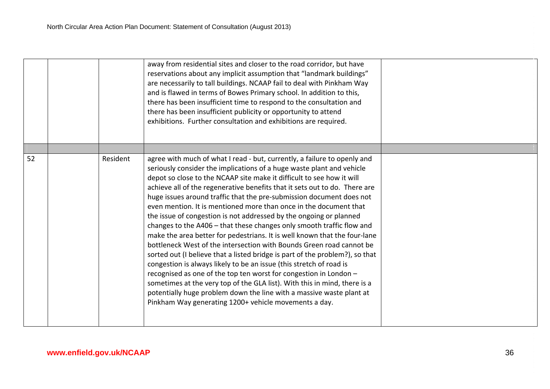|    |          | away from residential sites and closer to the road corridor, but have<br>reservations about any implicit assumption that "landmark buildings"<br>are necessarily to tall buildings. NCAAP fail to deal with Pinkham Way<br>and is flawed in terms of Bowes Primary school. In addition to this,<br>there has been insufficient time to respond to the consultation and<br>there has been insufficient publicity or opportunity to attend<br>exhibitions. Further consultation and exhibitions are required.                                                                                                                                                                                                                                                                                                                                                                                                                                                                                                                                                                                                                                                                                         |  |
|----|----------|-----------------------------------------------------------------------------------------------------------------------------------------------------------------------------------------------------------------------------------------------------------------------------------------------------------------------------------------------------------------------------------------------------------------------------------------------------------------------------------------------------------------------------------------------------------------------------------------------------------------------------------------------------------------------------------------------------------------------------------------------------------------------------------------------------------------------------------------------------------------------------------------------------------------------------------------------------------------------------------------------------------------------------------------------------------------------------------------------------------------------------------------------------------------------------------------------------|--|
|    |          |                                                                                                                                                                                                                                                                                                                                                                                                                                                                                                                                                                                                                                                                                                                                                                                                                                                                                                                                                                                                                                                                                                                                                                                                     |  |
| 52 | Resident | agree with much of what I read - but, currently, a failure to openly and<br>seriously consider the implications of a huge waste plant and vehicle<br>depot so close to the NCAAP site make it difficult to see how it will<br>achieve all of the regenerative benefits that it sets out to do. There are<br>huge issues around traffic that the pre-submission document does not<br>even mention. It is mentioned more than once in the document that<br>the issue of congestion is not addressed by the ongoing or planned<br>changes to the A406 - that these changes only smooth traffic flow and<br>make the area better for pedestrians. It is well known that the four-lane<br>bottleneck West of the intersection with Bounds Green road cannot be<br>sorted out (I believe that a listed bridge is part of the problem?), so that<br>congestion is always likely to be an issue (this stretch of road is<br>recognised as one of the top ten worst for congestion in London -<br>sometimes at the very top of the GLA list). With this in mind, there is a<br>potentially huge problem down the line with a massive waste plant at<br>Pinkham Way generating 1200+ vehicle movements a day. |  |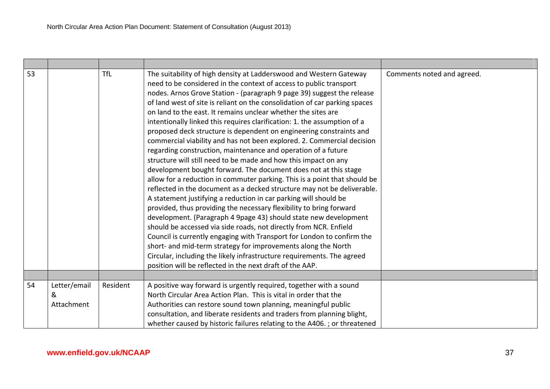| 53 |                                 | <b>TfL</b> | The suitability of high density at Ladderswood and Western Gateway<br>need to be considered in the context of access to public transport<br>nodes. Arnos Grove Station - (paragraph 9 page 39) suggest the release<br>of land west of site is reliant on the consolidation of car parking spaces<br>on land to the east. It remains unclear whether the sites are<br>intentionally linked this requires clarification: 1. the assumption of a<br>proposed deck structure is dependent on engineering constraints and<br>commercial viability and has not been explored. 2. Commercial decision<br>regarding construction, maintenance and operation of a future<br>structure will still need to be made and how this impact on any<br>development bought forward. The document does not at this stage<br>allow for a reduction in commuter parking. This is a point that should be<br>reflected in the document as a decked structure may not be deliverable.<br>A statement justifying a reduction in car parking will should be<br>provided, thus providing the necessary flexibility to bring forward<br>development. (Paragraph 4 9page 43) should state new development<br>should be accessed via side roads, not directly from NCR. Enfield<br>Council is currently engaging with Transport for London to confirm the<br>short- and mid-term strategy for improvements along the North<br>Circular, including the likely infrastructure requirements. The agreed<br>position will be reflected in the next draft of the AAP. | Comments noted and agreed. |
|----|---------------------------------|------------|------------------------------------------------------------------------------------------------------------------------------------------------------------------------------------------------------------------------------------------------------------------------------------------------------------------------------------------------------------------------------------------------------------------------------------------------------------------------------------------------------------------------------------------------------------------------------------------------------------------------------------------------------------------------------------------------------------------------------------------------------------------------------------------------------------------------------------------------------------------------------------------------------------------------------------------------------------------------------------------------------------------------------------------------------------------------------------------------------------------------------------------------------------------------------------------------------------------------------------------------------------------------------------------------------------------------------------------------------------------------------------------------------------------------------------------------------------------------------------------------------------------------------------|----------------------------|
|    |                                 |            |                                                                                                                                                                                                                                                                                                                                                                                                                                                                                                                                                                                                                                                                                                                                                                                                                                                                                                                                                                                                                                                                                                                                                                                                                                                                                                                                                                                                                                                                                                                                    |                            |
| 54 | Letter/email<br>&<br>Attachment | Resident   | A positive way forward is urgently required, together with a sound<br>North Circular Area Action Plan. This is vital in order that the<br>Authorities can restore sound town planning, meaningful public<br>consultation, and liberate residents and traders from planning blight,<br>whether caused by historic failures relating to the A406.; or threatened                                                                                                                                                                                                                                                                                                                                                                                                                                                                                                                                                                                                                                                                                                                                                                                                                                                                                                                                                                                                                                                                                                                                                                     |                            |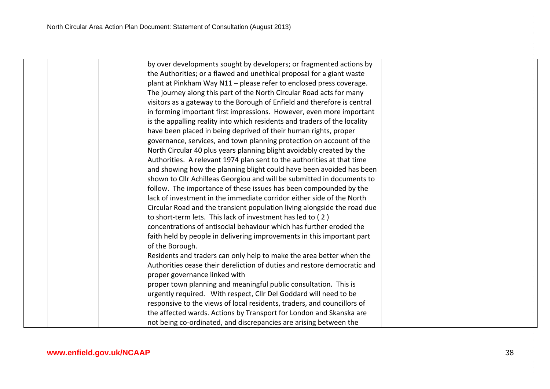|  | by over developments sought by developers; or fragmented actions by       |  |
|--|---------------------------------------------------------------------------|--|
|  | the Authorities; or a flawed and unethical proposal for a giant waste     |  |
|  | plant at Pinkham Way N11 - please refer to enclosed press coverage.       |  |
|  | The journey along this part of the North Circular Road acts for many      |  |
|  | visitors as a gateway to the Borough of Enfield and therefore is central  |  |
|  | in forming important first impressions. However, even more important      |  |
|  | is the appalling reality into which residents and traders of the locality |  |
|  | have been placed in being deprived of their human rights, proper          |  |
|  | governance, services, and town planning protection on account of the      |  |
|  | North Circular 40 plus years planning blight avoidably created by the     |  |
|  | Authorities. A relevant 1974 plan sent to the authorities at that time    |  |
|  | and showing how the planning blight could have been avoided has been      |  |
|  | shown to Cllr Achilleas Georgiou and will be submitted in documents to    |  |
|  | follow. The importance of these issues has been compounded by the         |  |
|  | lack of investment in the immediate corridor either side of the North     |  |
|  | Circular Road and the transient population living alongside the road due  |  |
|  | to short-term lets. This lack of investment has led to (2)                |  |
|  | concentrations of antisocial behaviour which has further eroded the       |  |
|  | faith held by people in delivering improvements in this important part    |  |
|  | of the Borough.                                                           |  |
|  | Residents and traders can only help to make the area better when the      |  |
|  | Authorities cease their dereliction of duties and restore democratic and  |  |
|  | proper governance linked with                                             |  |
|  | proper town planning and meaningful public consultation. This is          |  |
|  | urgently required. With respect, Cllr Del Goddard will need to be         |  |
|  | responsive to the views of local residents, traders, and councillors of   |  |
|  | the affected wards. Actions by Transport for London and Skanska are       |  |
|  | not being co-ordinated, and discrepancies are arising between the         |  |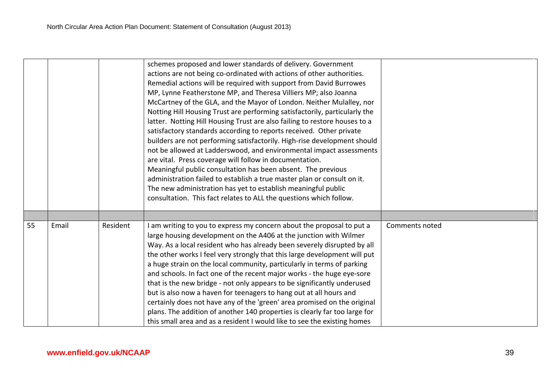|    |       |          | schemes proposed and lower standards of delivery. Government<br>actions are not being co-ordinated with actions of other authorities.<br>Remedial actions will be required with support from David Burrowes<br>MP, Lynne Featherstone MP, and Theresa Villiers MP; also Joanna<br>McCartney of the GLA, and the Mayor of London. Neither Mulalley, nor<br>Notting Hill Housing Trust are performing satisfactorily, particularly the<br>latter. Notting Hill Housing Trust are also failing to restore houses to a<br>satisfactory standards according to reports received. Other private<br>builders are not performing satisfactorily. High-rise development should<br>not be allowed at Ladderswood, and environmental impact assessments<br>are vital. Press coverage will follow in documentation.<br>Meaningful public consultation has been absent. The previous<br>administration failed to establish a true master plan or consult on it.<br>The new administration has yet to establish meaningful public<br>consultation. This fact relates to ALL the questions which follow. |                |
|----|-------|----------|-------------------------------------------------------------------------------------------------------------------------------------------------------------------------------------------------------------------------------------------------------------------------------------------------------------------------------------------------------------------------------------------------------------------------------------------------------------------------------------------------------------------------------------------------------------------------------------------------------------------------------------------------------------------------------------------------------------------------------------------------------------------------------------------------------------------------------------------------------------------------------------------------------------------------------------------------------------------------------------------------------------------------------------------------------------------------------------------|----------------|
|    |       |          |                                                                                                                                                                                                                                                                                                                                                                                                                                                                                                                                                                                                                                                                                                                                                                                                                                                                                                                                                                                                                                                                                           |                |
| 55 | Email | Resident | I am writing to you to express my concern about the proposal to put a<br>large housing development on the A406 at the junction with Wilmer<br>Way. As a local resident who has already been severely disrupted by all<br>the other works I feel very strongly that this large development will put<br>a huge strain on the local community, particularly in terms of parking<br>and schools. In fact one of the recent major works - the huge eye-sore<br>that is the new bridge - not only appears to be significantly underused<br>but is also now a haven for teenagers to hang out at all hours and<br>certainly does not have any of the 'green' area promised on the original<br>plans. The addition of another 140 properties is clearly far too large for<br>this small area and as a resident I would like to see the existing homes                                                                                                                                                                                                                                             | Comments noted |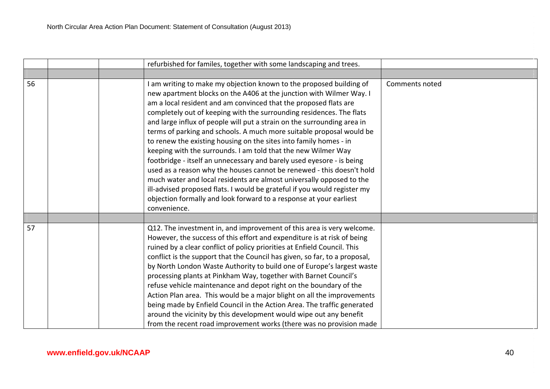|    | refurbished for familes, together with some landscaping and trees.                                                                                                                                                                                                                                                                                                                                                                                                                                                                                                                                                                                                                                                                                                                                                                                                                                                                                                          |                |
|----|-----------------------------------------------------------------------------------------------------------------------------------------------------------------------------------------------------------------------------------------------------------------------------------------------------------------------------------------------------------------------------------------------------------------------------------------------------------------------------------------------------------------------------------------------------------------------------------------------------------------------------------------------------------------------------------------------------------------------------------------------------------------------------------------------------------------------------------------------------------------------------------------------------------------------------------------------------------------------------|----------------|
|    |                                                                                                                                                                                                                                                                                                                                                                                                                                                                                                                                                                                                                                                                                                                                                                                                                                                                                                                                                                             |                |
| 56 | I am writing to make my objection known to the proposed building of<br>new apartment blocks on the A406 at the junction with Wilmer Way. I<br>am a local resident and am convinced that the proposed flats are<br>completely out of keeping with the surrounding residences. The flats<br>and large influx of people will put a strain on the surrounding area in<br>terms of parking and schools. A much more suitable proposal would be<br>to renew the existing housing on the sites into family homes - in<br>keeping with the surrounds. I am told that the new Wilmer Way<br>footbridge - itself an unnecessary and barely used eyesore - is being<br>used as a reason why the houses cannot be renewed - this doesn't hold<br>much water and local residents are almost universally opposed to the<br>ill-advised proposed flats. I would be grateful if you would register my<br>objection formally and look forward to a response at your earliest<br>convenience. | Comments noted |
|    |                                                                                                                                                                                                                                                                                                                                                                                                                                                                                                                                                                                                                                                                                                                                                                                                                                                                                                                                                                             |                |
| 57 | Q12. The investment in, and improvement of this area is very welcome.<br>However, the success of this effort and expenditure is at risk of being<br>ruined by a clear conflict of policy priorities at Enfield Council. This<br>conflict is the support that the Council has given, so far, to a proposal,<br>by North London Waste Authority to build one of Europe's largest waste<br>processing plants at Pinkham Way, together with Barnet Council's<br>refuse vehicle maintenance and depot right on the boundary of the<br>Action Plan area. This would be a major blight on all the improvements<br>being made by Enfield Council in the Action Area. The traffic generated<br>around the vicinity by this development would wipe out any benefit<br>from the recent road improvement works (there was no provision made                                                                                                                                             |                |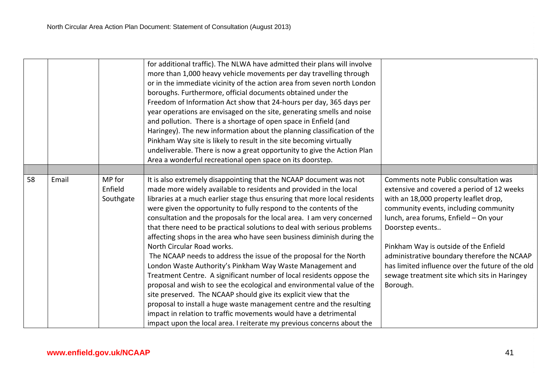|    |       |                                | for additional traffic). The NLWA have admitted their plans will involve<br>more than 1,000 heavy vehicle movements per day travelling through<br>or in the immediate vicinity of the action area from seven north London<br>boroughs. Furthermore, official documents obtained under the<br>Freedom of Information Act show that 24-hours per day, 365 days per<br>year operations are envisaged on the site, generating smells and noise<br>and pollution. There is a shortage of open space in Enfield (and<br>Haringey). The new information about the planning classification of the<br>Pinkham Way site is likely to result in the site becoming virtually<br>undeliverable. There is now a great opportunity to give the Action Plan<br>Area a wonderful recreational open space on its doorstep.                                                                                                                                                                                                                                                                                                                               |                                                                                                                                                                                                                                                                                                                                                                                                                                           |
|----|-------|--------------------------------|----------------------------------------------------------------------------------------------------------------------------------------------------------------------------------------------------------------------------------------------------------------------------------------------------------------------------------------------------------------------------------------------------------------------------------------------------------------------------------------------------------------------------------------------------------------------------------------------------------------------------------------------------------------------------------------------------------------------------------------------------------------------------------------------------------------------------------------------------------------------------------------------------------------------------------------------------------------------------------------------------------------------------------------------------------------------------------------------------------------------------------------|-------------------------------------------------------------------------------------------------------------------------------------------------------------------------------------------------------------------------------------------------------------------------------------------------------------------------------------------------------------------------------------------------------------------------------------------|
|    |       |                                |                                                                                                                                                                                                                                                                                                                                                                                                                                                                                                                                                                                                                                                                                                                                                                                                                                                                                                                                                                                                                                                                                                                                        |                                                                                                                                                                                                                                                                                                                                                                                                                                           |
| 58 | Email | MP for<br>Enfield<br>Southgate | It is also extremely disappointing that the NCAAP document was not<br>made more widely available to residents and provided in the local<br>libraries at a much earlier stage thus ensuring that more local residents<br>were given the opportunity to fully respond to the contents of the<br>consultation and the proposals for the local area. I am very concerned<br>that there need to be practical solutions to deal with serious problems<br>affecting shops in the area who have seen business diminish during the<br>North Circular Road works.<br>The NCAAP needs to address the issue of the proposal for the North<br>London Waste Authority's Pinkham Way Waste Management and<br>Treatment Centre. A significant number of local residents oppose the<br>proposal and wish to see the ecological and environmental value of the<br>site preserved. The NCAAP should give its explicit view that the<br>proposal to install a huge waste management centre and the resulting<br>impact in relation to traffic movements would have a detrimental<br>impact upon the local area. I reiterate my previous concerns about the | Comments note Public consultation was<br>extensive and covered a period of 12 weeks<br>with an 18,000 property leaflet drop,<br>community events, including community<br>lunch, area forums, Enfield - On your<br>Doorstep events<br>Pinkham Way is outside of the Enfield<br>administrative boundary therefore the NCAAP<br>has limited influence over the future of the old<br>sewage treatment site which sits in Haringey<br>Borough. |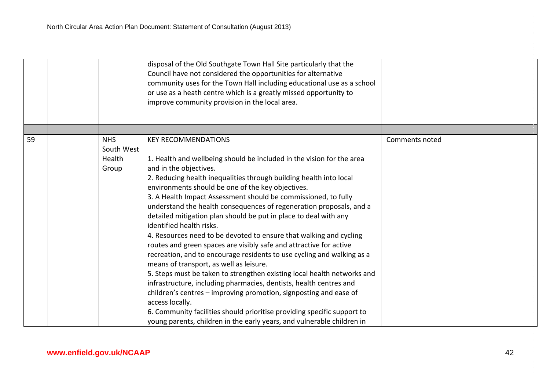|    |                                             | disposal of the Old Southgate Town Hall Site particularly that the<br>Council have not considered the opportunities for alternative<br>community uses for the Town Hall including educational use as a school<br>or use as a heath centre which is a greatly missed opportunity to<br>improve community provision in the local area.                                                                                                                                                                                                                                                                                                                                                                                                                                                                                                                                                                                                                                                                                                                                                                                                                             |                |
|----|---------------------------------------------|------------------------------------------------------------------------------------------------------------------------------------------------------------------------------------------------------------------------------------------------------------------------------------------------------------------------------------------------------------------------------------------------------------------------------------------------------------------------------------------------------------------------------------------------------------------------------------------------------------------------------------------------------------------------------------------------------------------------------------------------------------------------------------------------------------------------------------------------------------------------------------------------------------------------------------------------------------------------------------------------------------------------------------------------------------------------------------------------------------------------------------------------------------------|----------------|
| 59 | <b>NHS</b><br>South West<br>Health<br>Group | <b>KEY RECOMMENDATIONS</b><br>1. Health and wellbeing should be included in the vision for the area<br>and in the objectives.<br>2. Reducing health inequalities through building health into local<br>environments should be one of the key objectives.<br>3. A Health Impact Assessment should be commissioned, to fully<br>understand the health consequences of regeneration proposals, and a<br>detailed mitigation plan should be put in place to deal with any<br>identified health risks.<br>4. Resources need to be devoted to ensure that walking and cycling<br>routes and green spaces are visibly safe and attractive for active<br>recreation, and to encourage residents to use cycling and walking as a<br>means of transport, as well as leisure.<br>5. Steps must be taken to strengthen existing local health networks and<br>infrastructure, including pharmacies, dentists, health centres and<br>children's centres – improving promotion, signposting and ease of<br>access locally.<br>6. Community facilities should prioritise providing specific support to<br>young parents, children in the early years, and vulnerable children in | Comments noted |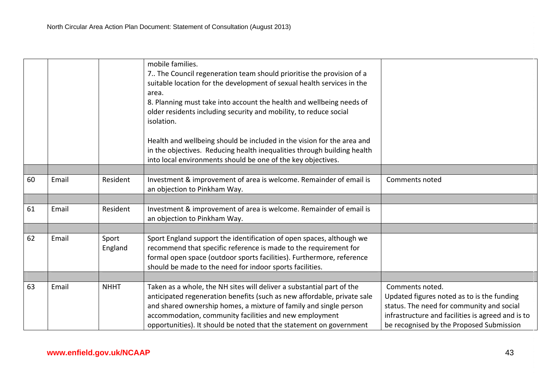|    |       |                  | mobile families.<br>7 The Council regeneration team should prioritise the provision of a<br>suitable location for the development of sexual health services in the<br>area.<br>8. Planning must take into account the health and wellbeing needs of<br>older residents including security and mobility, to reduce social<br>isolation.                 |                                                                                                                                                                                                             |
|----|-------|------------------|--------------------------------------------------------------------------------------------------------------------------------------------------------------------------------------------------------------------------------------------------------------------------------------------------------------------------------------------------------|-------------------------------------------------------------------------------------------------------------------------------------------------------------------------------------------------------------|
|    |       |                  | Health and wellbeing should be included in the vision for the area and<br>in the objectives. Reducing health inequalities through building health<br>into local environments should be one of the key objectives.                                                                                                                                      |                                                                                                                                                                                                             |
|    |       |                  |                                                                                                                                                                                                                                                                                                                                                        |                                                                                                                                                                                                             |
| 60 | Email | Resident         | Investment & improvement of area is welcome. Remainder of email is<br>an objection to Pinkham Way.                                                                                                                                                                                                                                                     | Comments noted                                                                                                                                                                                              |
|    |       |                  |                                                                                                                                                                                                                                                                                                                                                        |                                                                                                                                                                                                             |
| 61 | Email | Resident         | Investment & improvement of area is welcome. Remainder of email is<br>an objection to Pinkham Way.                                                                                                                                                                                                                                                     |                                                                                                                                                                                                             |
|    |       |                  |                                                                                                                                                                                                                                                                                                                                                        |                                                                                                                                                                                                             |
| 62 | Email | Sport<br>England | Sport England support the identification of open spaces, although we<br>recommend that specific reference is made to the requirement for<br>formal open space (outdoor sports facilities). Furthermore, reference<br>should be made to the need for indoor sports facilities.                                                                          |                                                                                                                                                                                                             |
|    |       |                  |                                                                                                                                                                                                                                                                                                                                                        |                                                                                                                                                                                                             |
| 63 | Email | <b>NHHT</b>      | Taken as a whole, the NH sites will deliver a substantial part of the<br>anticipated regeneration benefits (such as new affordable, private sale<br>and shared ownership homes, a mixture of family and single person<br>accommodation, community facilities and new employment<br>opportunities). It should be noted that the statement on government | Comments noted.<br>Updated figures noted as to is the funding<br>status. The need for community and social<br>infrastructure and facilities is agreed and is to<br>be recognised by the Proposed Submission |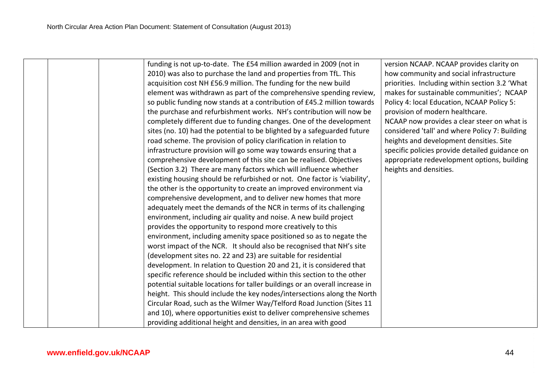|  | funding is not up-to-date. The £54 million awarded in 2009 (not in          | version NCAAP. NCAAP provides clarity on       |
|--|-----------------------------------------------------------------------------|------------------------------------------------|
|  | 2010) was also to purchase the land and properties from TfL. This           | how community and social infrastructure        |
|  | acquisition cost NH £56.9 million. The funding for the new build            | priorities. Including within section 3.2 'What |
|  | element was withdrawn as part of the comprehensive spending review,         | makes for sustainable communities'; NCAAP      |
|  | so public funding now stands at a contribution of £45.2 million towards     | Policy 4: local Education, NCAAP Policy 5:     |
|  | the purchase and refurbishment works. NH's contribution will now be         | provision of modern healthcare.                |
|  | completely different due to funding changes. One of the development         | NCAAP now provides a clear steer on what is    |
|  | sites (no. 10) had the potential to be blighted by a safeguarded future     | considered 'tall' and where Policy 7: Building |
|  | road scheme. The provision of policy clarification in relation to           | heights and development densities. Site        |
|  | infrastructure provision will go some way towards ensuring that a           | specific policies provide detailed guidance on |
|  | comprehensive development of this site can be realised. Objectives          | appropriate redevelopment options, building    |
|  | (Section 3.2) There are many factors which will influence whether           | heights and densities.                         |
|  | existing housing should be refurbished or not. One factor is 'viability',   |                                                |
|  | the other is the opportunity to create an improved environment via          |                                                |
|  | comprehensive development, and to deliver new homes that more               |                                                |
|  | adequately meet the demands of the NCR in terms of its challenging          |                                                |
|  | environment, including air quality and noise. A new build project           |                                                |
|  | provides the opportunity to respond more creatively to this                 |                                                |
|  | environment, including amenity space positioned so as to negate the         |                                                |
|  | worst impact of the NCR. It should also be recognised that NH's site        |                                                |
|  | (development sites no. 22 and 23) are suitable for residential              |                                                |
|  | development. In relation to Question 20 and 21, it is considered that       |                                                |
|  | specific reference should be included within this section to the other      |                                                |
|  | potential suitable locations for taller buildings or an overall increase in |                                                |
|  | height. This should include the key nodes/intersections along the North     |                                                |
|  | Circular Road, such as the Wilmer Way/Telford Road Junction (Sites 11       |                                                |
|  | and 10), where opportunities exist to deliver comprehensive schemes         |                                                |
|  | providing additional height and densities, in an area with good             |                                                |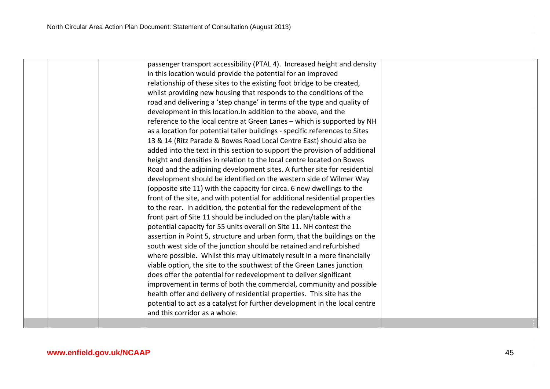|  | passenger transport accessibility (PTAL 4). Increased height and density    |  |
|--|-----------------------------------------------------------------------------|--|
|  | in this location would provide the potential for an improved                |  |
|  | relationship of these sites to the existing foot bridge to be created,      |  |
|  | whilst providing new housing that responds to the conditions of the         |  |
|  | road and delivering a 'step change' in terms of the type and quality of     |  |
|  | development in this location. In addition to the above, and the             |  |
|  | reference to the local centre at Green Lanes - which is supported by NH     |  |
|  | as a location for potential taller buildings - specific references to Sites |  |
|  | 13 & 14 (Ritz Parade & Bowes Road Local Centre East) should also be         |  |
|  | added into the text in this section to support the provision of additional  |  |
|  | height and densities in relation to the local centre located on Bowes       |  |
|  | Road and the adjoining development sites. A further site for residential    |  |
|  | development should be identified on the western side of Wilmer Way          |  |
|  | (opposite site 11) with the capacity for circa. 6 new dwellings to the      |  |
|  | front of the site, and with potential for additional residential properties |  |
|  | to the rear. In addition, the potential for the redevelopment of the        |  |
|  | front part of Site 11 should be included on the plan/table with a           |  |
|  | potential capacity for 55 units overall on Site 11. NH contest the          |  |
|  | assertion in Point 5, structure and urban form, that the buildings on the   |  |
|  | south west side of the junction should be retained and refurbished          |  |
|  | where possible. Whilst this may ultimately result in a more financially     |  |
|  | viable option, the site to the southwest of the Green Lanes junction        |  |
|  | does offer the potential for redevelopment to deliver significant           |  |
|  | improvement in terms of both the commercial, community and possible         |  |
|  | health offer and delivery of residential properties. This site has the      |  |
|  | potential to act as a catalyst for further development in the local centre  |  |
|  | and this corridor as a whole.                                               |  |
|  |                                                                             |  |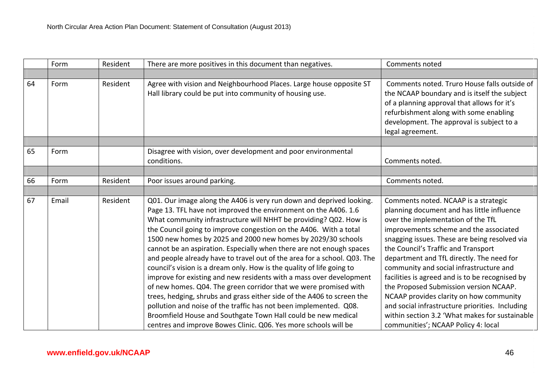|    | Form  | Resident | There are more positives in this document than negatives.                                                                                                                                                                                                                                                                                                                                                                                                                                                                                                                                                                                                                                                                                                                                                                                                                                                                                                                                                    | Comments noted                                                                                                                                                                                                                                                                                                                                                                                                                                                                                                                                                                                                                         |
|----|-------|----------|--------------------------------------------------------------------------------------------------------------------------------------------------------------------------------------------------------------------------------------------------------------------------------------------------------------------------------------------------------------------------------------------------------------------------------------------------------------------------------------------------------------------------------------------------------------------------------------------------------------------------------------------------------------------------------------------------------------------------------------------------------------------------------------------------------------------------------------------------------------------------------------------------------------------------------------------------------------------------------------------------------------|----------------------------------------------------------------------------------------------------------------------------------------------------------------------------------------------------------------------------------------------------------------------------------------------------------------------------------------------------------------------------------------------------------------------------------------------------------------------------------------------------------------------------------------------------------------------------------------------------------------------------------------|
|    |       |          |                                                                                                                                                                                                                                                                                                                                                                                                                                                                                                                                                                                                                                                                                                                                                                                                                                                                                                                                                                                                              |                                                                                                                                                                                                                                                                                                                                                                                                                                                                                                                                                                                                                                        |
| 64 | Form  | Resident | Agree with vision and Neighbourhood Places. Large house opposite ST<br>Hall library could be put into community of housing use.                                                                                                                                                                                                                                                                                                                                                                                                                                                                                                                                                                                                                                                                                                                                                                                                                                                                              | Comments noted. Truro House falls outside of<br>the NCAAP boundary and is itself the subject<br>of a planning approval that allows for it's<br>refurbishment along with some enabling<br>development. The approval is subject to a<br>legal agreement.                                                                                                                                                                                                                                                                                                                                                                                 |
|    |       |          |                                                                                                                                                                                                                                                                                                                                                                                                                                                                                                                                                                                                                                                                                                                                                                                                                                                                                                                                                                                                              |                                                                                                                                                                                                                                                                                                                                                                                                                                                                                                                                                                                                                                        |
| 65 | Form  |          | Disagree with vision, over development and poor environmental<br>conditions.                                                                                                                                                                                                                                                                                                                                                                                                                                                                                                                                                                                                                                                                                                                                                                                                                                                                                                                                 | Comments noted.                                                                                                                                                                                                                                                                                                                                                                                                                                                                                                                                                                                                                        |
| 66 | Form  | Resident | Poor issues around parking.                                                                                                                                                                                                                                                                                                                                                                                                                                                                                                                                                                                                                                                                                                                                                                                                                                                                                                                                                                                  | Comments noted.                                                                                                                                                                                                                                                                                                                                                                                                                                                                                                                                                                                                                        |
|    |       |          |                                                                                                                                                                                                                                                                                                                                                                                                                                                                                                                                                                                                                                                                                                                                                                                                                                                                                                                                                                                                              |                                                                                                                                                                                                                                                                                                                                                                                                                                                                                                                                                                                                                                        |
| 67 | Email | Resident | Q01. Our image along the A406 is very run down and deprived looking.<br>Page 13. TFL have not improved the environment on the A406. 1.6<br>What community infrastructure will NHHT be providing? Q02. How is<br>the Council going to improve congestion on the A406. With a total<br>1500 new homes by 2025 and 2000 new homes by 2029/30 schools<br>cannot be an aspiration. Especially when there are not enough spaces<br>and people already have to travel out of the area for a school. Q03. The<br>council's vision is a dream only. How is the quality of life going to<br>improve for existing and new residents with a mass over development<br>of new homes. Q04. The green corridor that we were promised with<br>trees, hedging, shrubs and grass either side of the A406 to screen the<br>pollution and noise of the traffic has not been implemented. Q08.<br>Broomfield House and Southgate Town Hall could be new medical<br>centres and improve Bowes Clinic. Q06. Yes more schools will be | Comments noted. NCAAP is a strategic<br>planning document and has little influence<br>over the implementation of the TfL<br>improvements scheme and the associated<br>snagging issues. These are being resolved via<br>the Council's Traffic and Transport<br>department and TfL directly. The need for<br>community and social infrastructure and<br>facilities is agreed and is to be recognised by<br>the Proposed Submission version NCAAP.<br>NCAAP provides clarity on how community<br>and social infrastructure priorities. Including<br>within section 3.2 'What makes for sustainable<br>communities'; NCAAP Policy 4: local |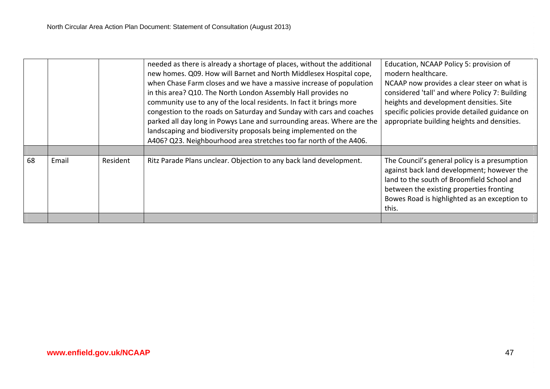|    |       |          | needed as there is already a shortage of places, without the additional<br>new homes. Q09. How will Barnet and North Middlesex Hospital cope,<br>when Chase Farm closes and we have a massive increase of population<br>in this area? Q10. The North London Assembly Hall provides no<br>community use to any of the local residents. In fact it brings more<br>congestion to the roads on Saturday and Sunday with cars and coaches<br>parked all day long in Powys Lane and surrounding areas. Where are the<br>landscaping and biodiversity proposals being implemented on the<br>A406? Q23. Neighbourhood area stretches too far north of the A406. | Education, NCAAP Policy 5: provision of<br>modern healthcare.<br>NCAAP now provides a clear steer on what is<br>considered 'tall' and where Policy 7: Building<br>heights and development densities. Site<br>specific policies provide detailed guidance on<br>appropriate building heights and densities. |
|----|-------|----------|---------------------------------------------------------------------------------------------------------------------------------------------------------------------------------------------------------------------------------------------------------------------------------------------------------------------------------------------------------------------------------------------------------------------------------------------------------------------------------------------------------------------------------------------------------------------------------------------------------------------------------------------------------|------------------------------------------------------------------------------------------------------------------------------------------------------------------------------------------------------------------------------------------------------------------------------------------------------------|
| 68 | Email | Resident | Ritz Parade Plans unclear. Objection to any back land development.                                                                                                                                                                                                                                                                                                                                                                                                                                                                                                                                                                                      | The Council's general policy is a presumption<br>against back land development; however the<br>land to the south of Broomfield School and<br>between the existing properties fronting<br>Bowes Road is highlighted as an exception to<br>this.                                                             |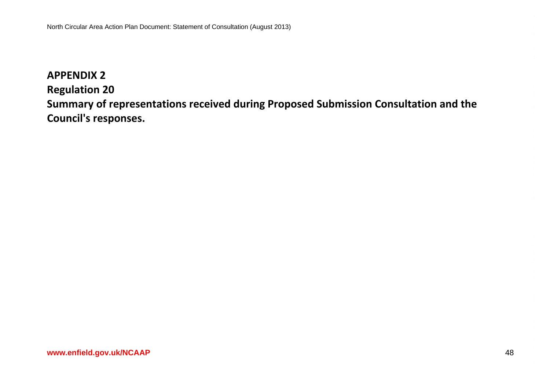**APPENDIX 2 Regulation 20 Summary of representations received during Proposed Submission Consultation and the Council's responses.**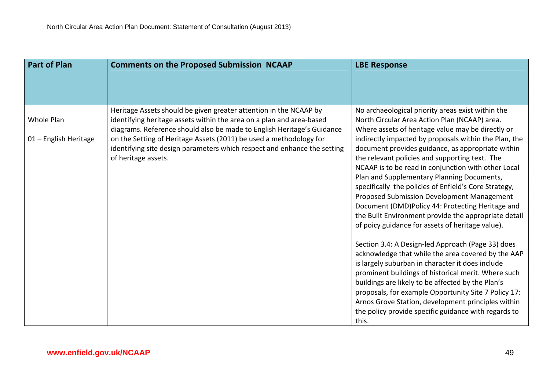| <b>Part of Plan</b>                 | <b>Comments on the Proposed Submission NCAAP</b>                                                                                                                                                                                                                                                                                                                                             | <b>LBE Response</b>                                                                                                                                                                                                                                                                                                                                                                                                                                                                                                                                                                                                                                                                                                                                                                                                                                                                                                                                                                                                                                                                                                                                           |
|-------------------------------------|----------------------------------------------------------------------------------------------------------------------------------------------------------------------------------------------------------------------------------------------------------------------------------------------------------------------------------------------------------------------------------------------|---------------------------------------------------------------------------------------------------------------------------------------------------------------------------------------------------------------------------------------------------------------------------------------------------------------------------------------------------------------------------------------------------------------------------------------------------------------------------------------------------------------------------------------------------------------------------------------------------------------------------------------------------------------------------------------------------------------------------------------------------------------------------------------------------------------------------------------------------------------------------------------------------------------------------------------------------------------------------------------------------------------------------------------------------------------------------------------------------------------------------------------------------------------|
| Whole Plan<br>01 - English Heritage | Heritage Assets should be given greater attention in the NCAAP by<br>identifying heritage assets within the area on a plan and area-based<br>diagrams. Reference should also be made to English Heritage's Guidance<br>on the Setting of Heritage Assets (2011) be used a methodology for<br>identifying site design parameters which respect and enhance the setting<br>of heritage assets. | No archaeological priority areas exist within the<br>North Circular Area Action Plan (NCAAP) area.<br>Where assets of heritage value may be directly or<br>indirectly impacted by proposals within the Plan, the<br>document provides guidance, as appropriate within<br>the relevant policies and supporting text. The<br>NCAAP is to be read in conjunction with other Local<br>Plan and Supplementary Planning Documents,<br>specifically the policies of Enfield's Core Strategy,<br>Proposed Submission Development Management<br>Document (DMD)Policy 44: Protecting Heritage and<br>the Built Environment provide the appropriate detail<br>of poicy guidance for assets of heritage value).<br>Section 3.4: A Design-led Approach (Page 33) does<br>acknowledge that while the area covered by the AAP<br>is largely suburban in character it does include<br>prominent buildings of historical merit. Where such<br>buildings are likely to be affected by the Plan's<br>proposals, for example Opportunity Site 7 Policy 17:<br>Arnos Grove Station, development principles within<br>the policy provide specific guidance with regards to<br>this. |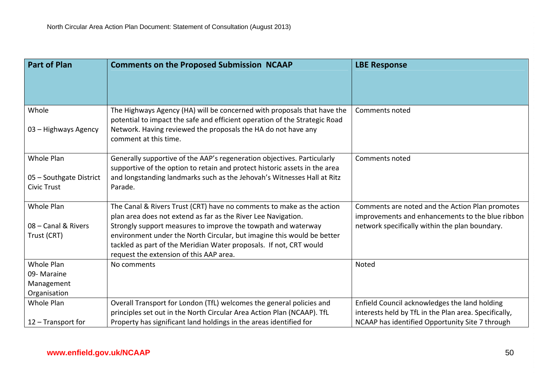| <b>Part of Plan</b>                                | <b>Comments on the Proposed Submission NCAAP</b>                                                                                                                                                                                                         | <b>LBE Response</b>                                                                                                                                       |
|----------------------------------------------------|----------------------------------------------------------------------------------------------------------------------------------------------------------------------------------------------------------------------------------------------------------|-----------------------------------------------------------------------------------------------------------------------------------------------------------|
|                                                    |                                                                                                                                                                                                                                                          |                                                                                                                                                           |
| Whole<br>03 - Highways Agency                      | The Highways Agency (HA) will be concerned with proposals that have the<br>potential to impact the safe and efficient operation of the Strategic Road<br>Network. Having reviewed the proposals the HA do not have any<br>comment at this time.          | Comments noted                                                                                                                                            |
| Whole Plan                                         | Generally supportive of the AAP's regeneration objectives. Particularly<br>supportive of the option to retain and protect historic assets in the area                                                                                                    | Comments noted                                                                                                                                            |
| 05 - Southgate District<br><b>Civic Trust</b>      | and longstanding landmarks such as the Jehovah's Witnesses Hall at Ritz<br>Parade.                                                                                                                                                                       |                                                                                                                                                           |
| Whole Plan                                         | The Canal & Rivers Trust (CRT) have no comments to make as the action<br>plan area does not extend as far as the River Lee Navigation.                                                                                                                   | Comments are noted and the Action Plan promotes<br>improvements and enhancements to the blue ribbon                                                       |
| 08 - Canal & Rivers<br>Trust (CRT)                 | Strongly support measures to improve the towpath and waterway<br>environment under the North Circular, but imagine this would be better<br>tackled as part of the Meridian Water proposals. If not, CRT would<br>request the extension of this AAP area. | network specifically within the plan boundary.                                                                                                            |
| Whole Plan<br>09-Maraine<br>Management             | No comments                                                                                                                                                                                                                                              | Noted                                                                                                                                                     |
| Organisation<br>Whole Plan<br>$12$ – Transport for | Overall Transport for London (TfL) welcomes the general policies and<br>principles set out in the North Circular Area Action Plan (NCAAP). TfL<br>Property has significant land holdings in the areas identified for                                     | Enfield Council acknowledges the land holding<br>interests held by TfL in the Plan area. Specifically,<br>NCAAP has identified Opportunity Site 7 through |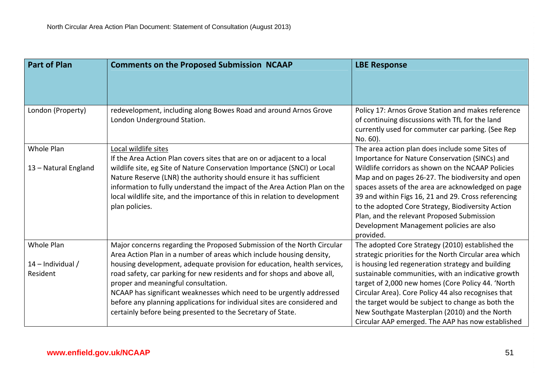| <b>Part of Plan</b>                           | <b>Comments on the Proposed Submission NCAAP</b>                                                                                                                                                                                                                                                                                                                                                                                                                                                                                                               | <b>LBE Response</b>                                                                                                                                                                                                                                                                                                                                                                                                                                                                          |
|-----------------------------------------------|----------------------------------------------------------------------------------------------------------------------------------------------------------------------------------------------------------------------------------------------------------------------------------------------------------------------------------------------------------------------------------------------------------------------------------------------------------------------------------------------------------------------------------------------------------------|----------------------------------------------------------------------------------------------------------------------------------------------------------------------------------------------------------------------------------------------------------------------------------------------------------------------------------------------------------------------------------------------------------------------------------------------------------------------------------------------|
| London (Property)                             | redevelopment, including along Bowes Road and around Arnos Grove<br>London Underground Station.                                                                                                                                                                                                                                                                                                                                                                                                                                                                | Policy 17: Arnos Grove Station and makes reference<br>of continuing discussions with TfL for the land<br>currently used for commuter car parking. (See Rep<br>No. 60).                                                                                                                                                                                                                                                                                                                       |
| Whole Plan<br>13 - Natural England            | Local wildlife sites<br>If the Area Action Plan covers sites that are on or adjacent to a local<br>wildlife site, eg Site of Nature Conservation Importance (SNCI) or Local<br>Nature Reserve (LNR) the authority should ensure it has sufficient<br>information to fully understand the impact of the Area Action Plan on the<br>local wildlife site, and the importance of this in relation to development<br>plan policies.                                                                                                                                 | The area action plan does include some Sites of<br>Importance for Nature Conservation (SINCs) and<br>Wildlife corridors as shown on the NCAAP Policies<br>Map and on pages 26-27. The biodiversity and open<br>spaces assets of the area are acknowledged on page<br>39 and within Figs 16, 21 and 29. Cross referencing<br>to the adopted Core Strategy, Biodiversity Action<br>Plan, and the relevant Proposed Submission<br>Development Management policies are also<br>provided.         |
| Whole Plan<br>$14$ – Individual /<br>Resident | Major concerns regarding the Proposed Submission of the North Circular<br>Area Action Plan in a number of areas which include housing density,<br>housing development, adequate provision for education, health services,<br>road safety, car parking for new residents and for shops and above all,<br>proper and meaningful consultation.<br>NCAAP has significant weaknesses which need to be urgently addressed<br>before any planning applications for individual sites are considered and<br>certainly before being presented to the Secretary of State. | The adopted Core Strategy (2010) established the<br>strategic priorities for the North Circular area which<br>is housing led regeneration strategy and building<br>sustainable communities, with an indicative growth<br>target of 2,000 new homes (Core Policy 44. 'North<br>Circular Area). Core Policy 44 also recognises that<br>the target would be subject to change as both the<br>New Southgate Masterplan (2010) and the North<br>Circular AAP emerged. The AAP has now established |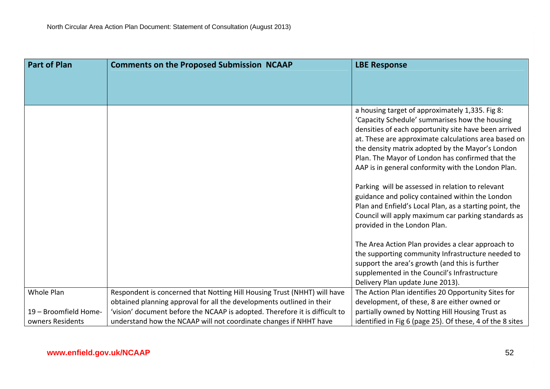| <b>Part of Plan</b>   | <b>Comments on the Proposed Submission NCAAP</b>                                                                                                  | <b>LBE Response</b>                                                                                                                                                                                                                                                                                                                                                                                                                                                                                                                                                                                                                                                                                                                                                                                                                                  |
|-----------------------|---------------------------------------------------------------------------------------------------------------------------------------------------|------------------------------------------------------------------------------------------------------------------------------------------------------------------------------------------------------------------------------------------------------------------------------------------------------------------------------------------------------------------------------------------------------------------------------------------------------------------------------------------------------------------------------------------------------------------------------------------------------------------------------------------------------------------------------------------------------------------------------------------------------------------------------------------------------------------------------------------------------|
|                       |                                                                                                                                                   |                                                                                                                                                                                                                                                                                                                                                                                                                                                                                                                                                                                                                                                                                                                                                                                                                                                      |
|                       |                                                                                                                                                   | a housing target of approximately 1,335. Fig 8:<br>'Capacity Schedule' summarises how the housing<br>densities of each opportunity site have been arrived<br>at. These are approximate calculations area based on<br>the density matrix adopted by the Mayor's London<br>Plan. The Mayor of London has confirmed that the<br>AAP is in general conformity with the London Plan.<br>Parking will be assessed in relation to relevant<br>guidance and policy contained within the London<br>Plan and Enfield's Local Plan, as a starting point, the<br>Council will apply maximum car parking standards as<br>provided in the London Plan.<br>The Area Action Plan provides a clear approach to<br>the supporting community Infrastructure needed to<br>support the area's growth (and this is further<br>supplemented in the Council's Infrastructure |
|                       |                                                                                                                                                   | Delivery Plan update June 2013).                                                                                                                                                                                                                                                                                                                                                                                                                                                                                                                                                                                                                                                                                                                                                                                                                     |
| Whole Plan            | Respondent is concerned that Notting Hill Housing Trust (NHHT) will have<br>obtained planning approval for all the developments outlined in their | The Action Plan identifies 20 Opportunity Sites for<br>development, of these, 8 are either owned or                                                                                                                                                                                                                                                                                                                                                                                                                                                                                                                                                                                                                                                                                                                                                  |
| 19 - Broomfield Home- | 'vision' document before the NCAAP is adopted. Therefore it is difficult to                                                                       | partially owned by Notting Hill Housing Trust as                                                                                                                                                                                                                                                                                                                                                                                                                                                                                                                                                                                                                                                                                                                                                                                                     |
| owners Residents      | understand how the NCAAP will not coordinate changes if NHHT have                                                                                 | identified in Fig 6 (page 25). Of these, 4 of the 8 sites                                                                                                                                                                                                                                                                                                                                                                                                                                                                                                                                                                                                                                                                                                                                                                                            |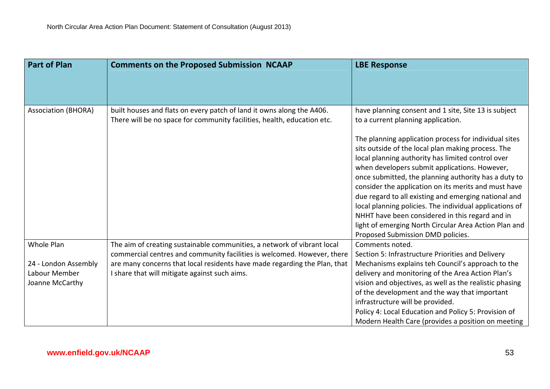| <b>Part of Plan</b>        | <b>Comments on the Proposed Submission NCAAP</b>                          | <b>LBE Response</b>                                                                                      |
|----------------------------|---------------------------------------------------------------------------|----------------------------------------------------------------------------------------------------------|
|                            |                                                                           |                                                                                                          |
|                            |                                                                           |                                                                                                          |
| <b>Association (BHORA)</b> | built houses and flats on every patch of land it owns along the A406.     | have planning consent and 1 site, Site 13 is subject                                                     |
|                            | There will be no space for community facilities, health, education etc.   | to a current planning application.                                                                       |
|                            |                                                                           | The planning application process for individual sites                                                    |
|                            |                                                                           | sits outside of the local plan making process. The                                                       |
|                            |                                                                           | local planning authority has limited control over                                                        |
|                            |                                                                           | when developers submit applications. However,<br>once submitted, the planning authority has a duty to    |
|                            |                                                                           | consider the application on its merits and must have                                                     |
|                            |                                                                           | due regard to all existing and emerging national and                                                     |
|                            |                                                                           | local planning policies. The individual applications of                                                  |
|                            |                                                                           | NHHT have been considered in this regard and in<br>light of emerging North Circular Area Action Plan and |
|                            |                                                                           | Proposed Submission DMD policies.                                                                        |
| Whole Plan                 | The aim of creating sustainable communities, a network of vibrant local   | Comments noted.                                                                                          |
|                            | commercial centres and community facilities is welcomed. However, there   | Section 5: Infrastructure Priorities and Delivery                                                        |
| 24 - London Assembly       | are many concerns that local residents have made regarding the Plan, that | Mechanisms explains teh Council's approach to the                                                        |
| Labour Member              | I share that will mitigate against such aims.                             | delivery and monitoring of the Area Action Plan's                                                        |
| Joanne McCarthy            |                                                                           | vision and objectives, as well as the realistic phasing                                                  |
|                            |                                                                           | of the development and the way that important                                                            |
|                            |                                                                           | infrastructure will be provided.                                                                         |
|                            |                                                                           | Policy 4: Local Education and Policy 5: Provision of                                                     |
|                            |                                                                           | Modern Health Care (provides a position on meeting                                                       |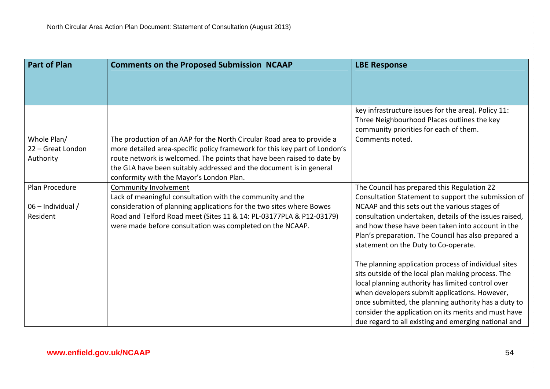| <b>Part of Plan</b>                             | <b>Comments on the Proposed Submission NCAAP</b>                                                                                                                                                                                                                                                                                                  | <b>LBE Response</b>                                                                                                                                                                                                                                                                                                                                                                      |
|-------------------------------------------------|---------------------------------------------------------------------------------------------------------------------------------------------------------------------------------------------------------------------------------------------------------------------------------------------------------------------------------------------------|------------------------------------------------------------------------------------------------------------------------------------------------------------------------------------------------------------------------------------------------------------------------------------------------------------------------------------------------------------------------------------------|
|                                                 |                                                                                                                                                                                                                                                                                                                                                   |                                                                                                                                                                                                                                                                                                                                                                                          |
|                                                 |                                                                                                                                                                                                                                                                                                                                                   | key infrastructure issues for the area). Policy 11:<br>Three Neighbourhood Places outlines the key<br>community priorities for each of them.                                                                                                                                                                                                                                             |
| Whole Plan/<br>22 - Great London<br>Authority   | The production of an AAP for the North Circular Road area to provide a<br>more detailed area-specific policy framework for this key part of London's<br>route network is welcomed. The points that have been raised to date by<br>the GLA have been suitably addressed and the document is in general<br>conformity with the Mayor's London Plan. | Comments noted.                                                                                                                                                                                                                                                                                                                                                                          |
| Plan Procedure<br>06 - Individual /<br>Resident | Community Involvement<br>Lack of meaningful consultation with the community and the<br>consideration of planning applications for the two sites where Bowes<br>Road and Telford Road meet (Sites 11 & 14: PL-03177PLA & P12-03179)<br>were made before consultation was completed on the NCAAP.                                                   | The Council has prepared this Regulation 22<br>Consultation Statement to support the submission of<br>NCAAP and this sets out the various stages of<br>consultation undertaken, details of the issues raised,<br>and how these have been taken into account in the<br>Plan's preparation. The Council has also prepared a<br>statement on the Duty to Co-operate.                        |
|                                                 |                                                                                                                                                                                                                                                                                                                                                   | The planning application process of individual sites<br>sits outside of the local plan making process. The<br>local planning authority has limited control over<br>when developers submit applications. However,<br>once submitted, the planning authority has a duty to<br>consider the application on its merits and must have<br>due regard to all existing and emerging national and |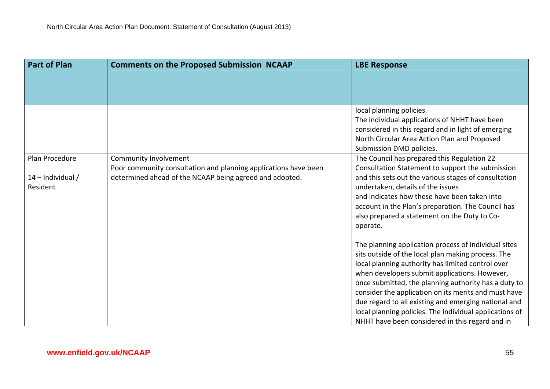| <b>Part of Plan</b>                               | <b>Comments on the Proposed Submission NCAAP</b>                                                                                                    | <b>LBE Response</b>                                                                                                                                                                                                                                                                                                                                                                                                                                                                                    |
|---------------------------------------------------|-----------------------------------------------------------------------------------------------------------------------------------------------------|--------------------------------------------------------------------------------------------------------------------------------------------------------------------------------------------------------------------------------------------------------------------------------------------------------------------------------------------------------------------------------------------------------------------------------------------------------------------------------------------------------|
|                                                   |                                                                                                                                                     |                                                                                                                                                                                                                                                                                                                                                                                                                                                                                                        |
|                                                   |                                                                                                                                                     | local planning policies.<br>The individual applications of NHHT have been<br>considered in this regard and in light of emerging<br>North Circular Area Action Plan and Proposed<br>Submission DMD policies.                                                                                                                                                                                                                                                                                            |
| Plan Procedure<br>$14$ – Individual /<br>Resident | Community Involvement<br>Poor community consultation and planning applications have been<br>determined ahead of the NCAAP being agreed and adopted. | The Council has prepared this Regulation 22<br>Consultation Statement to support the submission<br>and this sets out the various stages of consultation<br>undertaken, details of the issues<br>and indicates how these have been taken into<br>account in the Plan's preparation. The Council has<br>also prepared a statement on the Duty to Co-<br>operate.                                                                                                                                         |
|                                                   |                                                                                                                                                     | The planning application process of individual sites<br>sits outside of the local plan making process. The<br>local planning authority has limited control over<br>when developers submit applications. However,<br>once submitted, the planning authority has a duty to<br>consider the application on its merits and must have<br>due regard to all existing and emerging national and<br>local planning policies. The individual applications of<br>NHHT have been considered in this regard and in |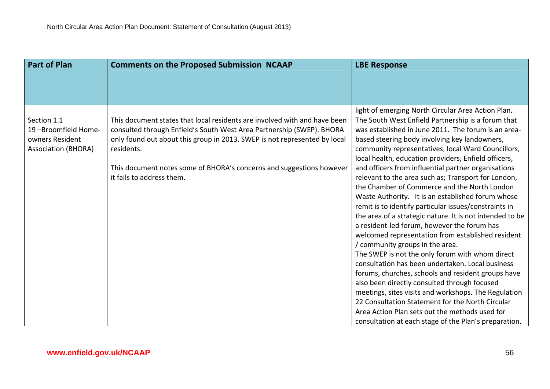| <b>Part of Plan</b>        | <b>Comments on the Proposed Submission NCAAP</b>                          | <b>LBE Response</b>                                      |
|----------------------------|---------------------------------------------------------------------------|----------------------------------------------------------|
|                            |                                                                           | light of emerging North Circular Area Action Plan.       |
| Section 1.1                | This document states that local residents are involved with and have been | The South West Enfield Partnership is a forum that       |
| 19-Broomfield Home-        | consulted through Enfield's South West Area Partnership (SWEP). BHORA     | was established in June 2011. The forum is an area-      |
| owners Resident            | only found out about this group in 2013. SWEP is not represented by local | based steering body involving key landowners,            |
| <b>Association (BHORA)</b> | residents.                                                                | community representatives, local Ward Councillors,       |
|                            |                                                                           | local health, education providers, Enfield officers,     |
|                            | This document notes some of BHORA's concerns and suggestions however      | and officers from influential partner organisations      |
|                            | it fails to address them.                                                 | relevant to the area such as; Transport for London,      |
|                            |                                                                           | the Chamber of Commerce and the North London             |
|                            |                                                                           | Waste Authority. It is an established forum whose        |
|                            |                                                                           | remit is to identify particular issues/constraints in    |
|                            |                                                                           | the area of a strategic nature. It is not intended to be |
|                            |                                                                           | a resident-led forum, however the forum has              |
|                            |                                                                           | welcomed representation from established resident        |
|                            |                                                                           | / community groups in the area.                          |
|                            |                                                                           | The SWEP is not the only forum with whom direct          |
|                            |                                                                           | consultation has been undertaken. Local business         |
|                            |                                                                           | forums, churches, schools and resident groups have       |
|                            |                                                                           | also been directly consulted through focused             |
|                            |                                                                           | meetings, sites visits and workshops. The Regulation     |
|                            |                                                                           | 22 Consultation Statement for the North Circular         |
|                            |                                                                           | Area Action Plan sets out the methods used for           |
|                            |                                                                           | consultation at each stage of the Plan's preparation.    |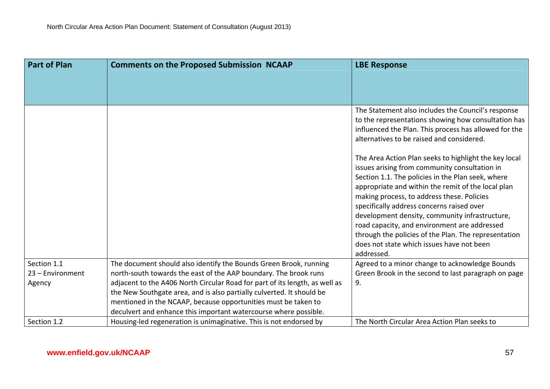| <b>Part of Plan</b>                       | <b>Comments on the Proposed Submission NCAAP</b>                                                                                                                                                                                                                                                                                                                                                                                    | <b>LBE Response</b>                                                                                                                                                                                                                                                                                                                                                                                                                                                                                                                                                                                                                                                                                                                                  |
|-------------------------------------------|-------------------------------------------------------------------------------------------------------------------------------------------------------------------------------------------------------------------------------------------------------------------------------------------------------------------------------------------------------------------------------------------------------------------------------------|------------------------------------------------------------------------------------------------------------------------------------------------------------------------------------------------------------------------------------------------------------------------------------------------------------------------------------------------------------------------------------------------------------------------------------------------------------------------------------------------------------------------------------------------------------------------------------------------------------------------------------------------------------------------------------------------------------------------------------------------------|
|                                           |                                                                                                                                                                                                                                                                                                                                                                                                                                     | The Statement also includes the Council's response<br>to the representations showing how consultation has<br>influenced the Plan. This process has allowed for the<br>alternatives to be raised and considered.<br>The Area Action Plan seeks to highlight the key local<br>issues arising from community consultation in<br>Section 1.1. The policies in the Plan seek, where<br>appropriate and within the remit of the local plan<br>making process, to address these. Policies<br>specifically address concerns raised over<br>development density, community infrastructure,<br>road capacity, and environment are addressed<br>through the policies of the Plan. The representation<br>does not state which issues have not been<br>addressed. |
| Section 1.1<br>23 - Environment<br>Agency | The document should also identify the Bounds Green Brook, running<br>north-south towards the east of the AAP boundary. The brook runs<br>adjacent to the A406 North Circular Road for part of its length, as well as<br>the New Southgate area, and is also partially culverted. It should be<br>mentioned in the NCAAP, because opportunities must be taken to<br>deculvert and enhance this important watercourse where possible. | Agreed to a minor change to acknowledge Bounds<br>Green Brook in the second to last paragraph on page<br>9.                                                                                                                                                                                                                                                                                                                                                                                                                                                                                                                                                                                                                                          |
| Section 1.2                               | Housing-led regeneration is unimaginative. This is not endorsed by                                                                                                                                                                                                                                                                                                                                                                  | The North Circular Area Action Plan seeks to                                                                                                                                                                                                                                                                                                                                                                                                                                                                                                                                                                                                                                                                                                         |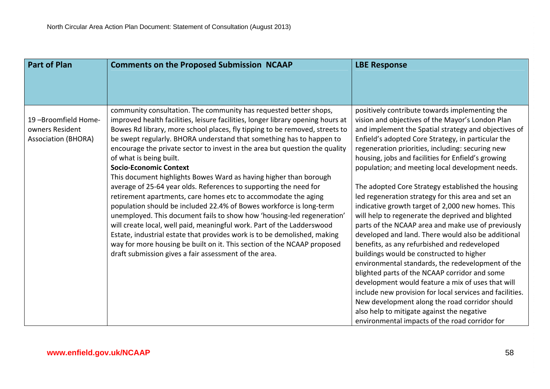| <b>Part of Plan</b>                                                  | <b>Comments on the Proposed Submission NCAAP</b>                                                                                                                                                                                                                                                                                                                                                                                                                                                                                                                                                                                                                                                                                                                                                                                                                                                                                                                                                                                                                                                              | <b>LBE Response</b>                                                                                                                                                                                                                                                                                                                                                                                                                                                                                                                                                                                                                                                                                                                                                                                                                                                                                                                                                                                                                                                                                                                                                                  |
|----------------------------------------------------------------------|---------------------------------------------------------------------------------------------------------------------------------------------------------------------------------------------------------------------------------------------------------------------------------------------------------------------------------------------------------------------------------------------------------------------------------------------------------------------------------------------------------------------------------------------------------------------------------------------------------------------------------------------------------------------------------------------------------------------------------------------------------------------------------------------------------------------------------------------------------------------------------------------------------------------------------------------------------------------------------------------------------------------------------------------------------------------------------------------------------------|--------------------------------------------------------------------------------------------------------------------------------------------------------------------------------------------------------------------------------------------------------------------------------------------------------------------------------------------------------------------------------------------------------------------------------------------------------------------------------------------------------------------------------------------------------------------------------------------------------------------------------------------------------------------------------------------------------------------------------------------------------------------------------------------------------------------------------------------------------------------------------------------------------------------------------------------------------------------------------------------------------------------------------------------------------------------------------------------------------------------------------------------------------------------------------------|
|                                                                      |                                                                                                                                                                                                                                                                                                                                                                                                                                                                                                                                                                                                                                                                                                                                                                                                                                                                                                                                                                                                                                                                                                               |                                                                                                                                                                                                                                                                                                                                                                                                                                                                                                                                                                                                                                                                                                                                                                                                                                                                                                                                                                                                                                                                                                                                                                                      |
| 19-Broomfield Home-<br>owners Resident<br><b>Association (BHORA)</b> | community consultation. The community has requested better shops,<br>improved health facilities, leisure facilities, longer library opening hours at<br>Bowes Rd library, more school places, fly tipping to be removed, streets to<br>be swept regularly. BHORA understand that something has to happen to<br>encourage the private sector to invest in the area but question the quality<br>of what is being built.<br><b>Socio-Economic Context</b><br>This document highlights Bowes Ward as having higher than borough<br>average of 25-64 year olds. References to supporting the need for<br>retirement apartments, care homes etc to accommodate the aging<br>population should be included 22.4% of Bowes workforce is long-term<br>unemployed. This document fails to show how 'housing-led regeneration'<br>will create local, well paid, meaningful work. Part of the Ladderswood<br>Estate, industrial estate that provides work is to be demolished, making<br>way for more housing be built on it. This section of the NCAAP proposed<br>draft submission gives a fair assessment of the area. | positively contribute towards implementing the<br>vision and objectives of the Mayor's London Plan<br>and implement the Spatial strategy and objectives of<br>Enfield's adopted Core Strategy, in particular the<br>regeneration priorities, including: securing new<br>housing, jobs and facilities for Enfield's growing<br>population; and meeting local development needs.<br>The adopted Core Strategy established the housing<br>led regeneration strategy for this area and set an<br>indicative growth target of 2,000 new homes. This<br>will help to regenerate the deprived and blighted<br>parts of the NCAAP area and make use of previously<br>developed and land. There would also be additional<br>benefits, as any refurbished and redeveloped<br>buildings would be constructed to higher<br>environmental standards, the redevelopment of the<br>blighted parts of the NCAAP corridor and some<br>development would feature a mix of uses that will<br>include new provision for local services and facilities.<br>New development along the road corridor should<br>also help to mitigate against the negative<br>environmental impacts of the road corridor for |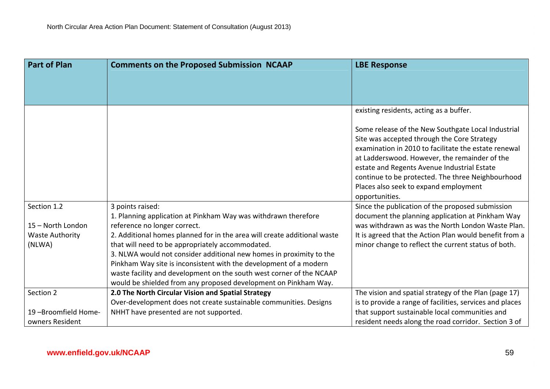| <b>Part of Plan</b>    | <b>Comments on the Proposed Submission NCAAP</b>                         | <b>LBE Response</b>                                                                                                                                                                                                                                                                                                                                                       |
|------------------------|--------------------------------------------------------------------------|---------------------------------------------------------------------------------------------------------------------------------------------------------------------------------------------------------------------------------------------------------------------------------------------------------------------------------------------------------------------------|
|                        |                                                                          |                                                                                                                                                                                                                                                                                                                                                                           |
|                        |                                                                          |                                                                                                                                                                                                                                                                                                                                                                           |
|                        |                                                                          | existing residents, acting as a buffer.                                                                                                                                                                                                                                                                                                                                   |
|                        |                                                                          | Some release of the New Southgate Local Industrial<br>Site was accepted through the Core Strategy<br>examination in 2010 to facilitate the estate renewal<br>at Ladderswood. However, the remainder of the<br>estate and Regents Avenue Industrial Estate<br>continue to be protected. The three Neighbourhood<br>Places also seek to expand employment<br>opportunities. |
| Section 1.2            | 3 points raised:                                                         | Since the publication of the proposed submission                                                                                                                                                                                                                                                                                                                          |
|                        | 1. Planning application at Pinkham Way was withdrawn therefore           | document the planning application at Pinkham Way                                                                                                                                                                                                                                                                                                                          |
| 15 - North London      | reference no longer correct.                                             | was withdrawn as was the North London Waste Plan.                                                                                                                                                                                                                                                                                                                         |
| <b>Waste Authority</b> | 2. Additional homes planned for in the area will create additional waste | It is agreed that the Action Plan would benefit from a                                                                                                                                                                                                                                                                                                                    |
| (NLWA)                 | that will need to be appropriately accommodated.                         | minor change to reflect the current status of both.                                                                                                                                                                                                                                                                                                                       |
|                        | 3. NLWA would not consider additional new homes in proximity to the      |                                                                                                                                                                                                                                                                                                                                                                           |
|                        | Pinkham Way site is inconsistent with the development of a modern        |                                                                                                                                                                                                                                                                                                                                                                           |
|                        | waste facility and development on the south west corner of the NCAAP     |                                                                                                                                                                                                                                                                                                                                                                           |
|                        | would be shielded from any proposed development on Pinkham Way.          |                                                                                                                                                                                                                                                                                                                                                                           |
| Section 2              | 2.0 The North Circular Vision and Spatial Strategy                       | The vision and spatial strategy of the Plan (page 17)                                                                                                                                                                                                                                                                                                                     |
|                        | Over-development does not create sustainable communities. Designs        | is to provide a range of facilities, services and places                                                                                                                                                                                                                                                                                                                  |
| 19-Broomfield Home-    | NHHT have presented are not supported.                                   | that support sustainable local communities and                                                                                                                                                                                                                                                                                                                            |
| owners Resident        |                                                                          | resident needs along the road corridor. Section 3 of                                                                                                                                                                                                                                                                                                                      |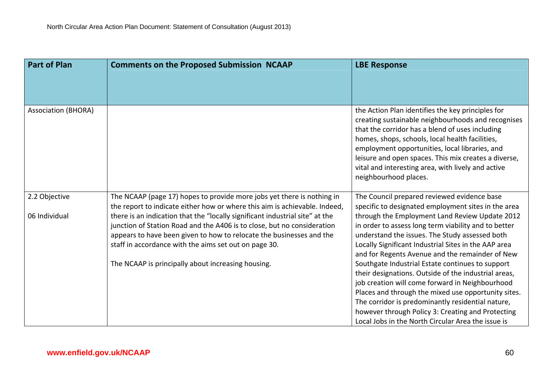| <b>Part of Plan</b>        | <b>Comments on the Proposed Submission NCAAP</b>                                                                                                                                                                                                                                                                                               | <b>LBE Response</b>                                                                                                                                                                                                                                                                                                                                                                                    |
|----------------------------|------------------------------------------------------------------------------------------------------------------------------------------------------------------------------------------------------------------------------------------------------------------------------------------------------------------------------------------------|--------------------------------------------------------------------------------------------------------------------------------------------------------------------------------------------------------------------------------------------------------------------------------------------------------------------------------------------------------------------------------------------------------|
| <b>Association (BHORA)</b> |                                                                                                                                                                                                                                                                                                                                                | the Action Plan identifies the key principles for<br>creating sustainable neighbourhoods and recognises<br>that the corridor has a blend of uses including<br>homes, shops, schools, local health facilities,<br>employment opportunities, local libraries, and<br>leisure and open spaces. This mix creates a diverse,<br>vital and interesting area, with lively and active<br>neighbourhood places. |
| 2.2 Objective              | The NCAAP (page 17) hopes to provide more jobs yet there is nothing in<br>the report to indicate either how or where this aim is achievable. Indeed,                                                                                                                                                                                           | The Council prepared reviewed evidence base<br>specific to designated employment sites in the area                                                                                                                                                                                                                                                                                                     |
| 06 Individual              | there is an indication that the "locally significant industrial site" at the<br>junction of Station Road and the A406 is to close, but no consideration<br>appears to have been given to how to relocate the businesses and the<br>staff in accordance with the aims set out on page 30.<br>The NCAAP is principally about increasing housing. | through the Employment Land Review Update 2012<br>in order to assess long term viability and to better<br>understand the issues. The Study assessed both<br>Locally Significant Industrial Sites in the AAP area<br>and for Regents Avenue and the remainder of New<br>Southgate Industrial Estate continues to support                                                                                |
|                            |                                                                                                                                                                                                                                                                                                                                                | their designations. Outside of the industrial areas,<br>job creation will come forward in Neighbourhood<br>Places and through the mixed use opportunity sites.<br>The corridor is predominantly residential nature,<br>however through Policy 3: Creating and Protecting<br>Local Jobs in the North Circular Area the issue is                                                                         |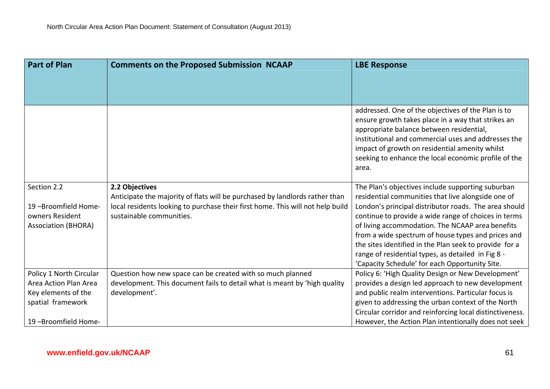| <b>Part of Plan</b>                                                                                                 | <b>Comments on the Proposed Submission NCAAP</b>                                                                                                                                                            | <b>LBE Response</b>                                                                                                                                                                                                                                                                                                                                                                                                                                                                                  |
|---------------------------------------------------------------------------------------------------------------------|-------------------------------------------------------------------------------------------------------------------------------------------------------------------------------------------------------------|------------------------------------------------------------------------------------------------------------------------------------------------------------------------------------------------------------------------------------------------------------------------------------------------------------------------------------------------------------------------------------------------------------------------------------------------------------------------------------------------------|
|                                                                                                                     |                                                                                                                                                                                                             | addressed. One of the objectives of the Plan is to<br>ensure growth takes place in a way that strikes an<br>appropriate balance between residential,<br>institutional and commercial uses and addresses the<br>impact of growth on residential amenity whilst<br>seeking to enhance the local economic profile of the<br>area.                                                                                                                                                                       |
| Section 2.2<br>19-Broomfield Home-<br>owners Resident<br><b>Association (BHORA)</b>                                 | 2.2 Objectives<br>Anticipate the majority of flats will be purchased by landlords rather than<br>local residents looking to purchase their first home. This will not help build<br>sustainable communities. | The Plan's objectives include supporting suburban<br>residential communities that live alongside one of<br>London's principal distributor roads. The area should<br>continue to provide a wide range of choices in terms<br>of living accommodation. The NCAAP area benefits<br>from a wide spectrum of house types and prices and<br>the sites identified in the Plan seek to provide for a<br>range of residential types, as detailed in Fig 8 -<br>'Capacity Schedule' for each Opportunity Site. |
| Policy 1 North Circular<br>Area Action Plan Area<br>Key elements of the<br>spatial framework<br>19-Broomfield Home- | Question how new space can be created with so much planned<br>development. This document fails to detail what is meant by 'high quality<br>development'.                                                    | Policy 6: 'High Quality Design or New Development'<br>provides a design led approach to new development<br>and public realm interventions. Particular focus is<br>given to addressing the urban context of the North<br>Circular corridor and reinforcing local distinctiveness.<br>However, the Action Plan intentionally does not seek                                                                                                                                                             |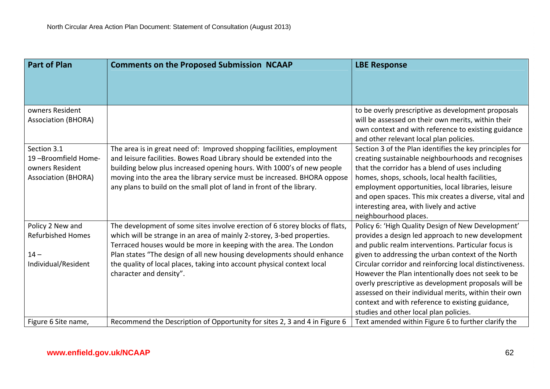| <b>Part of Plan</b>                                                                 | <b>Comments on the Proposed Submission NCAAP</b>                                                                                                                                                                                                                                                                                                                                | <b>LBE Response</b>                                                                                                                                                                                                                                                                                                                                                                                      |
|-------------------------------------------------------------------------------------|---------------------------------------------------------------------------------------------------------------------------------------------------------------------------------------------------------------------------------------------------------------------------------------------------------------------------------------------------------------------------------|----------------------------------------------------------------------------------------------------------------------------------------------------------------------------------------------------------------------------------------------------------------------------------------------------------------------------------------------------------------------------------------------------------|
|                                                                                     |                                                                                                                                                                                                                                                                                                                                                                                 |                                                                                                                                                                                                                                                                                                                                                                                                          |
| owners Resident<br><b>Association (BHORA)</b>                                       |                                                                                                                                                                                                                                                                                                                                                                                 | to be overly prescriptive as development proposals<br>will be assessed on their own merits, within their<br>own context and with reference to existing guidance<br>and other relevant local plan policies.                                                                                                                                                                                               |
| Section 3.1<br>19-Broomfield Home-<br>owners Resident<br><b>Association (BHORA)</b> | The area is in great need of: Improved shopping facilities, employment<br>and leisure facilities. Bowes Road Library should be extended into the<br>building below plus increased opening hours. With 1000's of new people<br>moving into the area the library service must be increased. BHORA oppose<br>any plans to build on the small plot of land in front of the library. | Section 3 of the Plan identifies the key principles for<br>creating sustainable neighbourhoods and recognises<br>that the corridor has a blend of uses including<br>homes, shops, schools, local health facilities,<br>employment opportunities, local libraries, leisure<br>and open spaces. This mix creates a diverse, vital and<br>interesting area, with lively and active<br>neighbourhood places. |
| Policy 2 New and<br><b>Refurbished Homes</b>                                        | The development of some sites involve erection of 6 storey blocks of flats,<br>which will be strange in an area of mainly 2-storey, 3-bed properties.<br>Terraced houses would be more in keeping with the area. The London                                                                                                                                                     | Policy 6: 'High Quality Design of New Development'<br>provides a design led approach to new development<br>and public realm interventions. Particular focus is                                                                                                                                                                                                                                           |
| $14-$<br>Individual/Resident                                                        | Plan states "The design of all new housing developments should enhance<br>the quality of local places, taking into account physical context local<br>character and density".                                                                                                                                                                                                    | given to addressing the urban context of the North<br>Circular corridor and reinforcing local distinctiveness.<br>However the Plan intentionally does not seek to be<br>overly prescriptive as development proposals will be<br>assessed on their individual merits, within their own<br>context and with reference to existing guidance,<br>studies and other local plan policies.                      |
| Figure 6 Site name,                                                                 | Recommend the Description of Opportunity for sites 2, 3 and 4 in Figure 6                                                                                                                                                                                                                                                                                                       | Text amended within Figure 6 to further clarify the                                                                                                                                                                                                                                                                                                                                                      |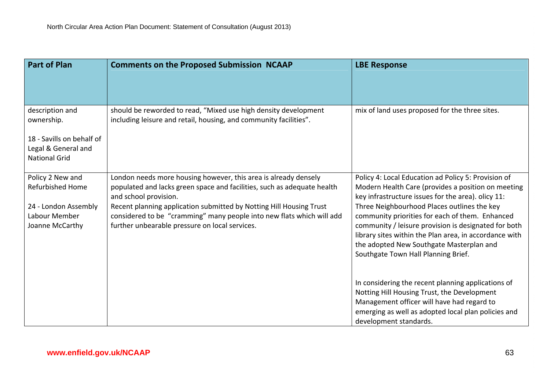| <b>Part of Plan</b>                                                                                       | <b>Comments on the Proposed Submission NCAAP</b>                                                                                                                                                                                                                                                                                                                      | <b>LBE Response</b>                                                                                                                                                                                                                                                                                                                                                                                                                                                    |
|-----------------------------------------------------------------------------------------------------------|-----------------------------------------------------------------------------------------------------------------------------------------------------------------------------------------------------------------------------------------------------------------------------------------------------------------------------------------------------------------------|------------------------------------------------------------------------------------------------------------------------------------------------------------------------------------------------------------------------------------------------------------------------------------------------------------------------------------------------------------------------------------------------------------------------------------------------------------------------|
| description and<br>ownership.<br>18 - Savills on behalf of<br>Legal & General and<br><b>National Grid</b> | should be reworded to read, "Mixed use high density development<br>including leisure and retail, housing, and community facilities".                                                                                                                                                                                                                                  | mix of land uses proposed for the three sites.                                                                                                                                                                                                                                                                                                                                                                                                                         |
| Policy 2 New and<br><b>Refurbished Home</b><br>24 - London Assembly<br>Labour Member<br>Joanne McCarthy   | London needs more housing however, this area is already densely<br>populated and lacks green space and facilities, such as adequate health<br>and school provision.<br>Recent planning application submitted by Notting Hill Housing Trust<br>considered to be "cramming" many people into new flats which will add<br>further unbearable pressure on local services. | Policy 4: Local Education ad Policy 5: Provision of<br>Modern Health Care (provides a position on meeting<br>key infrastructure issues for the area). olicy 11:<br>Three Neighbourhood Places outlines the key<br>community priorities for each of them. Enhanced<br>community / leisure provision is designated for both<br>library sites within the Plan area, in accordance with<br>the adopted New Southgate Masterplan and<br>Southgate Town Hall Planning Brief. |
|                                                                                                           |                                                                                                                                                                                                                                                                                                                                                                       | In considering the recent planning applications of<br>Notting Hill Housing Trust, the Development<br>Management officer will have had regard to<br>emerging as well as adopted local plan policies and<br>development standards.                                                                                                                                                                                                                                       |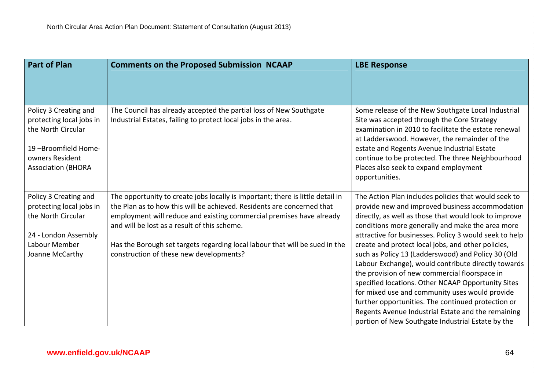| <b>Part of Plan</b>                                                                                                                            | <b>Comments on the Proposed Submission NCAAP</b>                                                                                                                                                                                                                                                                                                                                                           | <b>LBE Response</b>                                                                                                                                                                                                                                                                                                                                                                                                                                                                                                                                                                                                                                                                                                                                                         |
|------------------------------------------------------------------------------------------------------------------------------------------------|------------------------------------------------------------------------------------------------------------------------------------------------------------------------------------------------------------------------------------------------------------------------------------------------------------------------------------------------------------------------------------------------------------|-----------------------------------------------------------------------------------------------------------------------------------------------------------------------------------------------------------------------------------------------------------------------------------------------------------------------------------------------------------------------------------------------------------------------------------------------------------------------------------------------------------------------------------------------------------------------------------------------------------------------------------------------------------------------------------------------------------------------------------------------------------------------------|
| Policy 3 Creating and<br>protecting local jobs in<br>the North Circular<br>19-Broomfield Home-<br>owners Resident<br><b>Association (BHORA</b> | The Council has already accepted the partial loss of New Southgate<br>Industrial Estates, failing to protect local jobs in the area.                                                                                                                                                                                                                                                                       | Some release of the New Southgate Local Industrial<br>Site was accepted through the Core Strategy<br>examination in 2010 to facilitate the estate renewal<br>at Ladderswood. However, the remainder of the<br>estate and Regents Avenue Industrial Estate<br>continue to be protected. The three Neighbourhood<br>Places also seek to expand employment<br>opportunities.                                                                                                                                                                                                                                                                                                                                                                                                   |
| Policy 3 Creating and<br>protecting local jobs in<br>the North Circular<br>24 - London Assembly<br>Labour Member<br>Joanne McCarthy            | The opportunity to create jobs locally is important; there is little detail in<br>the Plan as to how this will be achieved. Residents are concerned that<br>employment will reduce and existing commercial premises have already<br>and will be lost as a result of this scheme.<br>Has the Borough set targets regarding local labour that will be sued in the<br>construction of these new developments? | The Action Plan includes policies that would seek to<br>provide new and improved business accommodation<br>directly, as well as those that would look to improve<br>conditions more generally and make the area more<br>attractive for businesses. Policy 3 would seek to help<br>create and protect local jobs, and other policies,<br>such as Policy 13 (Ladderswood) and Policy 30 (Old<br>Labour Exchange), would contribute directly towards<br>the provision of new commercial floorspace in<br>specified locations. Other NCAAP Opportunity Sites<br>for mixed use and community uses would provide<br>further opportunities. The continued protection or<br>Regents Avenue Industrial Estate and the remaining<br>portion of New Southgate Industrial Estate by the |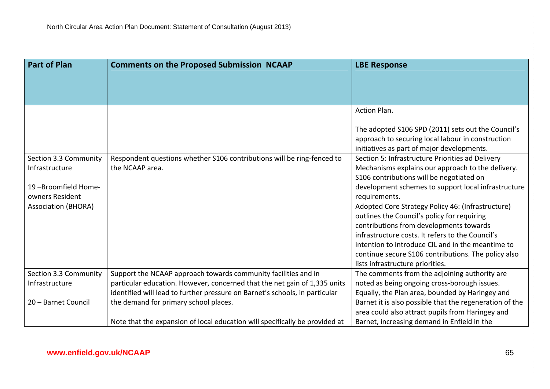| <b>Part of Plan</b>                     | <b>Comments on the Proposed Submission NCAAP</b>                                                                     | <b>LBE Response</b>                                                                                                                                            |
|-----------------------------------------|----------------------------------------------------------------------------------------------------------------------|----------------------------------------------------------------------------------------------------------------------------------------------------------------|
|                                         |                                                                                                                      |                                                                                                                                                                |
|                                         |                                                                                                                      |                                                                                                                                                                |
|                                         |                                                                                                                      | Action Plan.                                                                                                                                                   |
|                                         |                                                                                                                      | The adopted S106 SPD (2011) sets out the Council's<br>approach to securing local labour in construction<br>initiatives as part of major developments.          |
| Section 3.3 Community<br>Infrastructure | Respondent questions whether S106 contributions will be ring-fenced to<br>the NCAAP area.                            | Section 5: Infrastructure Priorities ad Delivery<br>Mechanisms explains our approach to the delivery.<br>S106 contributions will be negotiated on              |
| 19-Broomfield Home-<br>owners Resident  |                                                                                                                      | development schemes to support local infrastructure<br>requirements.                                                                                           |
| <b>Association (BHORA)</b>              |                                                                                                                      | Adopted Core Strategy Policy 46: (Infrastructure)<br>outlines the Council's policy for requiring                                                               |
|                                         |                                                                                                                      | contributions from developments towards                                                                                                                        |
|                                         |                                                                                                                      | infrastructure costs. It refers to the Council's<br>intention to introduce CIL and in the meantime to                                                          |
|                                         |                                                                                                                      | continue secure S106 contributions. The policy also<br>lists infrastructure priorities.                                                                        |
| Section 3.3 Community                   | Support the NCAAP approach towards community facilities and in                                                       | The comments from the adjoining authority are                                                                                                                  |
| Infrastructure                          | particular education. However, concerned that the net gain of 1,335 units                                            | noted as being ongoing cross-borough issues.                                                                                                                   |
| 20 - Barnet Council                     | identified will lead to further pressure on Barnet's schools, in particular<br>the demand for primary school places. | Equally, the Plan area, bounded by Haringey and<br>Barnet it is also possible that the regeneration of the<br>area could also attract pupils from Haringey and |
|                                         | Note that the expansion of local education will specifically be provided at                                          | Barnet, increasing demand in Enfield in the                                                                                                                    |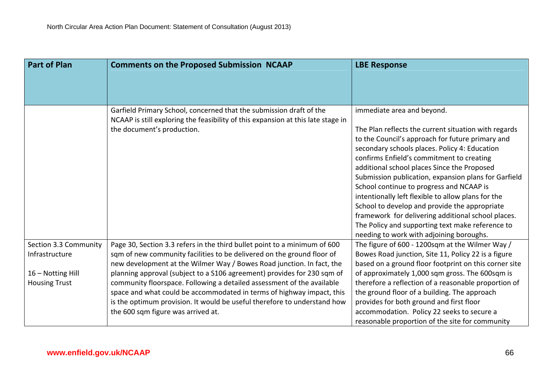| <b>Part of Plan</b>                       | <b>Comments on the Proposed Submission NCAAP</b>                                                                                                                                                                                                                                                                                             | <b>LBE Response</b>                                                                                                                                                                                                                                                                                                                                                                                                                                                                            |
|-------------------------------------------|----------------------------------------------------------------------------------------------------------------------------------------------------------------------------------------------------------------------------------------------------------------------------------------------------------------------------------------------|------------------------------------------------------------------------------------------------------------------------------------------------------------------------------------------------------------------------------------------------------------------------------------------------------------------------------------------------------------------------------------------------------------------------------------------------------------------------------------------------|
|                                           |                                                                                                                                                                                                                                                                                                                                              |                                                                                                                                                                                                                                                                                                                                                                                                                                                                                                |
|                                           | Garfield Primary School, concerned that the submission draft of the<br>NCAAP is still exploring the feasibility of this expansion at this late stage in<br>the document's production.                                                                                                                                                        | immediate area and beyond.<br>The Plan reflects the current situation with regards<br>to the Council's approach for future primary and<br>secondary schools places. Policy 4: Education<br>confirms Enfield's commitment to creating<br>additional school places Since the Proposed<br>Submission publication, expansion plans for Garfield<br>School continue to progress and NCAAP is<br>intentionally left flexible to allow plans for the<br>School to develop and provide the appropriate |
|                                           |                                                                                                                                                                                                                                                                                                                                              | framework for delivering additional school places.<br>The Policy and supporting text make reference to<br>needing to work with adjoining boroughs.                                                                                                                                                                                                                                                                                                                                             |
| Section 3.3 Community<br>Infrastructure   | Page 30, Section 3.3 refers in the third bullet point to a minimum of 600<br>sqm of new community facilities to be delivered on the ground floor of<br>new development at the Wilmer Way / Bowes Road junction. In fact, the                                                                                                                 | The figure of 600 - 1200sqm at the Wilmer Way /<br>Bowes Road junction, Site 11, Policy 22 is a figure<br>based on a ground floor footprint on this corner site                                                                                                                                                                                                                                                                                                                                |
| 16 - Notting Hill<br><b>Housing Trust</b> | planning approval (subject to a S106 agreement) provides for 230 sqm of<br>community floorspace. Following a detailed assessment of the available<br>space and what could be accommodated in terms of highway impact, this<br>is the optimum provision. It would be useful therefore to understand how<br>the 600 sqm figure was arrived at. | of approximately 1,000 sqm gross. The 600sqm is<br>therefore a reflection of a reasonable proportion of<br>the ground floor of a building. The approach<br>provides for both ground and first floor<br>accommodation. Policy 22 seeks to secure a<br>reasonable proportion of the site for community                                                                                                                                                                                           |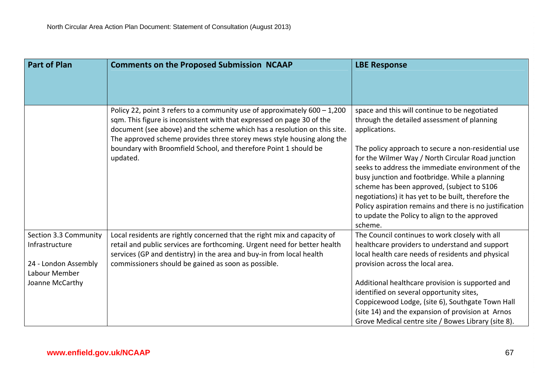| <b>Part of Plan</b>                                                                                 | <b>Comments on the Proposed Submission NCAAP</b>                                                                                                                                                                                                                                                                                                                                          | <b>LBE Response</b>                                                                                                                                                                                                                                                                                                                                                                                                                                                                                                                                          |
|-----------------------------------------------------------------------------------------------------|-------------------------------------------------------------------------------------------------------------------------------------------------------------------------------------------------------------------------------------------------------------------------------------------------------------------------------------------------------------------------------------------|--------------------------------------------------------------------------------------------------------------------------------------------------------------------------------------------------------------------------------------------------------------------------------------------------------------------------------------------------------------------------------------------------------------------------------------------------------------------------------------------------------------------------------------------------------------|
|                                                                                                     |                                                                                                                                                                                                                                                                                                                                                                                           |                                                                                                                                                                                                                                                                                                                                                                                                                                                                                                                                                              |
|                                                                                                     | Policy 22, point 3 refers to a community use of approximately 600 - 1,200<br>sqm. This figure is inconsistent with that expressed on page 30 of the<br>document (see above) and the scheme which has a resolution on this site.<br>The approved scheme provides three storey mews style housing along the<br>boundary with Broomfield School, and therefore Point 1 should be<br>updated. | space and this will continue to be negotiated<br>through the detailed assessment of planning<br>applications.<br>The policy approach to secure a non-residential use<br>for the Wilmer Way / North Circular Road junction<br>seeks to address the immediate environment of the<br>busy junction and footbridge. While a planning<br>scheme has been approved, (subject to S106<br>negotiations) it has yet to be built, therefore the<br>Policy aspiration remains and there is no justification<br>to update the Policy to align to the approved<br>scheme. |
| Section 3.3 Community<br>Infrastructure<br>24 - London Assembly<br>Labour Member<br>Joanne McCarthy | Local residents are rightly concerned that the right mix and capacity of<br>retail and public services are forthcoming. Urgent need for better health<br>services (GP and dentistry) in the area and buy-in from local health<br>commissioners should be gained as soon as possible.                                                                                                      | The Council continues to work closely with all<br>healthcare providers to understand and support<br>local health care needs of residents and physical<br>provision across the local area.<br>Additional healthcare provision is supported and<br>identified on several opportunity sites,<br>Coppicewood Lodge, (site 6), Southgate Town Hall<br>(site 14) and the expansion of provision at Arnos<br>Grove Medical centre site / Bowes Library (site 8).                                                                                                    |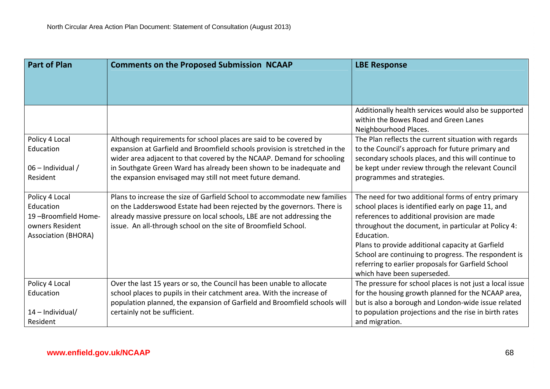| <b>Part of Plan</b>                                                                                 | <b>Comments on the Proposed Submission NCAAP</b>                                                                                                                                                                                                                                               | <b>LBE Response</b>                                                                                                                                                                                                         |
|-----------------------------------------------------------------------------------------------------|------------------------------------------------------------------------------------------------------------------------------------------------------------------------------------------------------------------------------------------------------------------------------------------------|-----------------------------------------------------------------------------------------------------------------------------------------------------------------------------------------------------------------------------|
|                                                                                                     |                                                                                                                                                                                                                                                                                                |                                                                                                                                                                                                                             |
|                                                                                                     |                                                                                                                                                                                                                                                                                                | Additionally health services would also be supported<br>within the Bowes Road and Green Lanes<br>Neighbourhood Places.                                                                                                      |
| Policy 4 Local<br>Education                                                                         | Although requirements for school places are said to be covered by<br>expansion at Garfield and Broomfield schools provision is stretched in the<br>wider area adjacent to that covered by the NCAAP. Demand for schooling                                                                      | The Plan reflects the current situation with regards<br>to the Council's approach for future primary and<br>secondary schools places, and this will continue to                                                             |
| 06 - Individual /<br>Resident                                                                       | in Southgate Green Ward has already been shown to be inadequate and<br>the expansion envisaged may still not meet future demand.                                                                                                                                                               | be kept under review through the relevant Council<br>programmes and strategies.                                                                                                                                             |
| Policy 4 Local<br>Education<br>19-Broomfield Home-<br>owners Resident<br><b>Association (BHORA)</b> | Plans to increase the size of Garfield School to accommodate new families<br>on the Ladderswood Estate had been rejected by the governors. There is<br>already massive pressure on local schools, LBE are not addressing the<br>issue. An all-through school on the site of Broomfield School. | The need for two additional forms of entry primary<br>school places is identified early on page 11, and<br>references to additional provision are made<br>throughout the document, in particular at Policy 4:<br>Education. |
|                                                                                                     |                                                                                                                                                                                                                                                                                                | Plans to provide additional capacity at Garfield<br>School are continuing to progress. The respondent is<br>referring to earlier proposals for Garfield School<br>which have been superseded.                               |
| Policy 4 Local<br>Education                                                                         | Over the last 15 years or so, the Council has been unable to allocate<br>school places to pupils in their catchment area. With the increase of<br>population planned, the expansion of Garfield and Broomfield schools will                                                                    | The pressure for school places is not just a local issue<br>for the housing growth planned for the NCAAP area,<br>but is also a borough and London-wide issue related                                                       |
| $14$ – Individual/<br>Resident                                                                      | certainly not be sufficient.                                                                                                                                                                                                                                                                   | to population projections and the rise in birth rates<br>and migration.                                                                                                                                                     |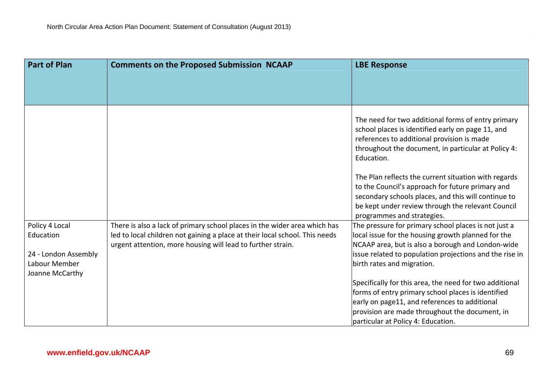| <b>Part of Plan</b>                                      | <b>Comments on the Proposed Submission NCAAP</b>                                                                                                                                                                        | <b>LBE Response</b>                                                                                                                                                                                                                                                                |
|----------------------------------------------------------|-------------------------------------------------------------------------------------------------------------------------------------------------------------------------------------------------------------------------|------------------------------------------------------------------------------------------------------------------------------------------------------------------------------------------------------------------------------------------------------------------------------------|
|                                                          |                                                                                                                                                                                                                         |                                                                                                                                                                                                                                                                                    |
|                                                          |                                                                                                                                                                                                                         | The need for two additional forms of entry primary<br>school places is identified early on page 11, and<br>references to additional provision is made<br>throughout the document, in particular at Policy 4:<br>Education.<br>The Plan reflects the current situation with regards |
|                                                          |                                                                                                                                                                                                                         | to the Council's approach for future primary and<br>secondary schools places, and this will continue to<br>be kept under review through the relevant Council<br>programmes and strategies.                                                                                         |
| Policy 4 Local<br>Education                              | There is also a lack of primary school places in the wider area which has<br>led to local children not gaining a place at their local school. This needs<br>urgent attention, more housing will lead to further strain. | The pressure for primary school places is not just a<br>local issue for the housing growth planned for the<br>NCAAP area, but is also a borough and London-wide                                                                                                                    |
| 24 - London Assembly<br>Labour Member<br>Joanne McCarthy |                                                                                                                                                                                                                         | issue related to population projections and the rise in<br>birth rates and migration.                                                                                                                                                                                              |
|                                                          |                                                                                                                                                                                                                         | Specifically for this area, the need for two additional<br>forms of entry primary school places is identified<br>early on page11, and references to additional<br>provision are made throughout the document, in<br>particular at Policy 4: Education.                             |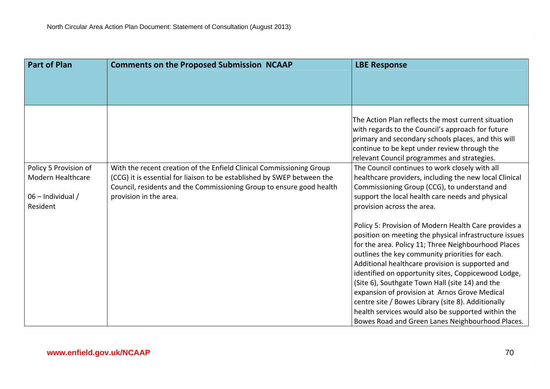| <b>Part of Plan</b>                                                                | <b>Comments on the Proposed Submission NCAAP</b>                                                                                                                                                                                                  | <b>LBE Response</b>                                                                                                                                                                                                                                                                                                                                                                                                                                                                                                                                                                                     |
|------------------------------------------------------------------------------------|---------------------------------------------------------------------------------------------------------------------------------------------------------------------------------------------------------------------------------------------------|---------------------------------------------------------------------------------------------------------------------------------------------------------------------------------------------------------------------------------------------------------------------------------------------------------------------------------------------------------------------------------------------------------------------------------------------------------------------------------------------------------------------------------------------------------------------------------------------------------|
|                                                                                    |                                                                                                                                                                                                                                                   | The Action Plan reflects the most current situation<br>with regards to the Council's approach for future<br>primary and secondary schools places, and this will<br>continue to be kept under review through the<br>relevant Council programmes and strategies.                                                                                                                                                                                                                                                                                                                                          |
| Policy 5 Provision of<br><b>Modern Healthcare</b><br>06 - Individual /<br>Resident | With the recent creation of the Enfield Clinical Commissioning Group<br>(CCG) it is essential for liaison to be established by SWEP between the<br>Council, residents and the Commissioning Group to ensure good health<br>provision in the area. | The Council continues to work closely with all<br>healthcare providers, including the new local Clinical<br>Commissioning Group (CCG), to understand and<br>support the local health care needs and physical<br>provision across the area.                                                                                                                                                                                                                                                                                                                                                              |
|                                                                                    |                                                                                                                                                                                                                                                   | Policy 5: Provision of Modern Health Care provides a<br>position on meeting the physical infrastructure issues<br>for the area. Policy 11; Three Neighbourhood Places<br>outlines the key community priorities for each.<br>Additional healthcare provision is supported and<br>identified on opportunity sites, Coppicewood Lodge,<br>(Site 6), Southgate Town Hall (site 14) and the<br>expansion of provision at Arnos Grove Medical<br>centre site / Bowes Library (site 8). Additionally<br>health services would also be supported within the<br>Bowes Road and Green Lanes Neighbourhood Places. |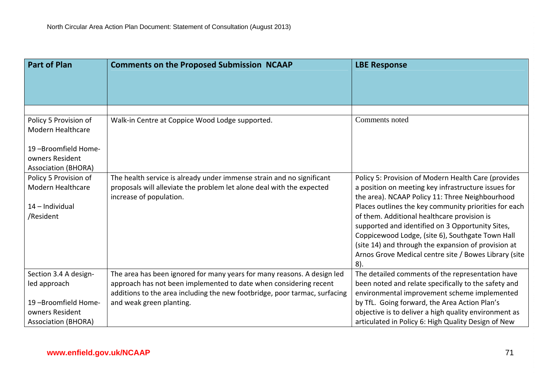| <b>Part of Plan</b>                                                  | <b>Comments on the Proposed Submission NCAAP</b>                                                       | <b>LBE Response</b>                                                                                    |
|----------------------------------------------------------------------|--------------------------------------------------------------------------------------------------------|--------------------------------------------------------------------------------------------------------|
|                                                                      |                                                                                                        |                                                                                                        |
| Policy 5 Provision of<br>Modern Healthcare                           | Walk-in Centre at Coppice Wood Lodge supported.                                                        | Comments noted                                                                                         |
| 19-Broomfield Home-<br>owners Resident<br><b>Association (BHORA)</b> |                                                                                                        |                                                                                                        |
| Policy 5 Provision of                                                | The health service is already under immense strain and no significant                                  | Policy 5: Provision of Modern Health Care (provides                                                    |
| <b>Modern Healthcare</b>                                             | proposals will alleviate the problem let alone deal with the expected<br>increase of population.       | a position on meeting key infrastructure issues for<br>the area). NCAAP Policy 11: Three Neighbourhood |
| 14 - Individual                                                      |                                                                                                        | Places outlines the key community priorities for each                                                  |
| /Resident                                                            |                                                                                                        | of them. Additional healthcare provision is                                                            |
|                                                                      |                                                                                                        | supported and identified on 3 Opportunity Sites,<br>Coppicewood Lodge, (site 6), Southgate Town Hall   |
|                                                                      |                                                                                                        | (site 14) and through the expansion of provision at                                                    |
|                                                                      |                                                                                                        | Arnos Grove Medical centre site / Bowes Library (site<br>8).                                           |
| Section 3.4 A design-                                                | The area has been ignored for many years for many reasons. A design led                                | The detailed comments of the representation have                                                       |
| led approach                                                         | approach has not been implemented to date when considering recent                                      | been noted and relate specifically to the safety and                                                   |
| 19-Broomfield Home-                                                  | additions to the area including the new footbridge, poor tarmac, surfacing<br>and weak green planting. | environmental improvement scheme implemented<br>by TfL. Going forward, the Area Action Plan's          |
| owners Resident                                                      |                                                                                                        | objective is to deliver a high quality environment as                                                  |
| <b>Association (BHORA)</b>                                           |                                                                                                        | articulated in Policy 6: High Quality Design of New                                                    |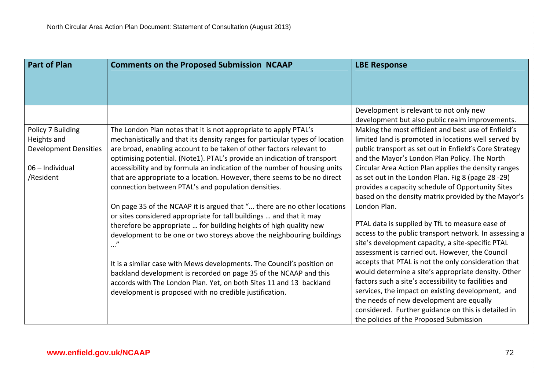| <b>Part of Plan</b>                                                                 | <b>Comments on the Proposed Submission NCAAP</b>                                                                                                                                                                                                                                                                                                                                  | <b>LBE Response</b>                                                                                                                                                                                                                                                            |
|-------------------------------------------------------------------------------------|-----------------------------------------------------------------------------------------------------------------------------------------------------------------------------------------------------------------------------------------------------------------------------------------------------------------------------------------------------------------------------------|--------------------------------------------------------------------------------------------------------------------------------------------------------------------------------------------------------------------------------------------------------------------------------|
|                                                                                     |                                                                                                                                                                                                                                                                                                                                                                                   |                                                                                                                                                                                                                                                                                |
|                                                                                     |                                                                                                                                                                                                                                                                                                                                                                                   | Development is relevant to not only new<br>development but also public realm improvements.                                                                                                                                                                                     |
| Policy 7 Building<br>Heights and<br><b>Development Densities</b><br>06 - Individual | The London Plan notes that it is not appropriate to apply PTAL's<br>mechanistically and that its density ranges for particular types of location<br>are broad, enabling account to be taken of other factors relevant to<br>optimising potential. (Note1). PTAL's provide an indication of transport<br>accessibility and by formula an indication of the number of housing units | Making the most efficient and best use of Enfield's<br>limited land is promoted in locations well served by<br>public transport as set out in Enfield's Core Strategy<br>and the Mayor's London Plan Policy. The North<br>Circular Area Action Plan applies the density ranges |
| /Resident                                                                           | that are appropriate to a location. However, there seems to be no direct<br>connection between PTAL's and population densities.<br>On page 35 of the NCAAP it is argued that " there are no other locations                                                                                                                                                                       | as set out in the London Plan. Fig 8 (page 28 -29)<br>provides a capacity schedule of Opportunity Sites<br>based on the density matrix provided by the Mayor's<br>London Plan.                                                                                                 |
|                                                                                     | or sites considered appropriate for tall buildings  and that it may<br>therefore be appropriate  for building heights of high quality new<br>development to be one or two storeys above the neighbouring buildings<br>$\cdots$                                                                                                                                                    | PTAL data is supplied by TfL to measure ease of<br>access to the public transport network. In assessing a<br>site's development capacity, a site-specific PTAL<br>assessment is carried out. However, the Council                                                              |
|                                                                                     | It is a similar case with Mews developments. The Council's position on<br>backland development is recorded on page 35 of the NCAAP and this<br>accords with The London Plan. Yet, on both Sites 11 and 13 backland<br>development is proposed with no credible justification.                                                                                                     | accepts that PTAL is not the only consideration that<br>would determine a site's appropriate density. Other<br>factors such a site's accessibility to facilities and<br>services, the impact on existing development, and<br>the needs of new development are equally          |
|                                                                                     |                                                                                                                                                                                                                                                                                                                                                                                   | considered. Further guidance on this is detailed in<br>the policies of the Proposed Submission                                                                                                                                                                                 |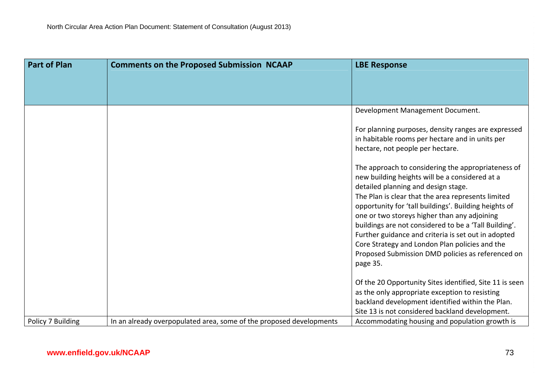| <b>Part of Plan</b> | <b>Comments on the Proposed Submission NCAAP</b>                    | <b>LBE Response</b>                                                                                                                                                                                                                                                                                                                                                                                                                                                                                                                           |
|---------------------|---------------------------------------------------------------------|-----------------------------------------------------------------------------------------------------------------------------------------------------------------------------------------------------------------------------------------------------------------------------------------------------------------------------------------------------------------------------------------------------------------------------------------------------------------------------------------------------------------------------------------------|
|                     |                                                                     |                                                                                                                                                                                                                                                                                                                                                                                                                                                                                                                                               |
|                     |                                                                     |                                                                                                                                                                                                                                                                                                                                                                                                                                                                                                                                               |
|                     |                                                                     | Development Management Document.                                                                                                                                                                                                                                                                                                                                                                                                                                                                                                              |
|                     |                                                                     | For planning purposes, density ranges are expressed<br>in habitable rooms per hectare and in units per<br>hectare, not people per hectare.                                                                                                                                                                                                                                                                                                                                                                                                    |
|                     |                                                                     | The approach to considering the appropriateness of<br>new building heights will be a considered at a<br>detailed planning and design stage.<br>The Plan is clear that the area represents limited<br>opportunity for 'tall buildings'. Building heights of<br>one or two storeys higher than any adjoining<br>buildings are not considered to be a 'Tall Building'.<br>Further guidance and criteria is set out in adopted<br>Core Strategy and London Plan policies and the<br>Proposed Submission DMD policies as referenced on<br>page 35. |
|                     |                                                                     | Of the 20 Opportunity Sites identified, Site 11 is seen<br>as the only appropriate exception to resisting                                                                                                                                                                                                                                                                                                                                                                                                                                     |
|                     |                                                                     | backland development identified within the Plan.                                                                                                                                                                                                                                                                                                                                                                                                                                                                                              |
|                     |                                                                     | Site 13 is not considered backland development.                                                                                                                                                                                                                                                                                                                                                                                                                                                                                               |
| Policy 7 Building   | In an already overpopulated area, some of the proposed developments | Accommodating housing and population growth is                                                                                                                                                                                                                                                                                                                                                                                                                                                                                                |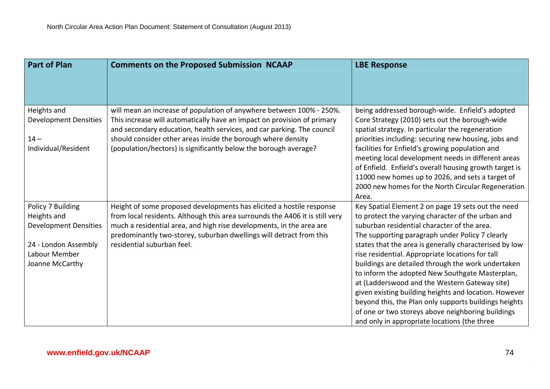| <b>Part of Plan</b>                                                                                                          | <b>Comments on the Proposed Submission NCAAP</b>                                                                                                                                                                                                                                                                                                              | <b>LBE Response</b>                                                                                                                                                                                                                                                                                                                                                                                                                                                                                                                                                                                                                                                                                      |
|------------------------------------------------------------------------------------------------------------------------------|---------------------------------------------------------------------------------------------------------------------------------------------------------------------------------------------------------------------------------------------------------------------------------------------------------------------------------------------------------------|----------------------------------------------------------------------------------------------------------------------------------------------------------------------------------------------------------------------------------------------------------------------------------------------------------------------------------------------------------------------------------------------------------------------------------------------------------------------------------------------------------------------------------------------------------------------------------------------------------------------------------------------------------------------------------------------------------|
|                                                                                                                              |                                                                                                                                                                                                                                                                                                                                                               |                                                                                                                                                                                                                                                                                                                                                                                                                                                                                                                                                                                                                                                                                                          |
| Heights and<br><b>Development Densities</b><br>$14 -$<br>Individual/Resident                                                 | will mean an increase of population of anywhere between 100% - 250%.<br>This increase will automatically have an impact on provision of primary<br>and secondary education, health services, and car parking. The council<br>should consider other areas inside the borough where density<br>(population/hectors) is significantly below the borough average? | being addressed borough-wide. Enfield's adopted<br>Core Strategy (2010) sets out the borough-wide<br>spatial strategy. In particular the regeneration<br>priorities including: securing new housing, jobs and<br>facilities for Enfield's growing population and<br>meeting local development needs in different areas<br>of Enfield. Enfield's overall housing growth target is<br>11000 new homes up to 2026, and sets a target of<br>2000 new homes for the North Circular Regeneration<br>Area.                                                                                                                                                                                                      |
| Policy 7 Building<br>Heights and<br><b>Development Densities</b><br>24 - London Assembly<br>Labour Member<br>Joanne McCarthy | Height of some proposed developments has elicited a hostile response<br>from local residents. Although this area surrounds the A406 it is still very<br>much a residential area, and high rise developments, in the area are<br>predominantly two-storey, suburban dwellings will detract from this<br>residential suburban feel.                             | Key Spatial Element 2 on page 19 sets out the need<br>to protect the varying character of the urban and<br>suburban residential character of the area.<br>The supporting paragraph under Policy 7 clearly<br>states that the area is generally characterised by low<br>rise residential. Appropriate locations for tall<br>buildings are detailed through the work undertaken<br>to inform the adopted New Southgate Masterplan,<br>at (Ladderswood and the Western Gateway site)<br>given existing building heights and location. However<br>beyond this, the Plan only supports buildings heights<br>of one or two storeys above neighboring buildings<br>and only in appropriate locations (the three |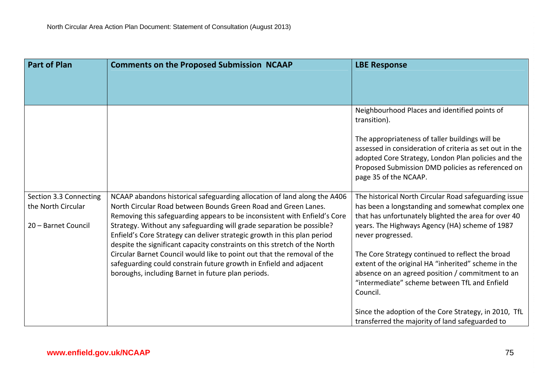| <b>Part of Plan</b>                                                 | <b>Comments on the Proposed Submission NCAAP</b>                                                                                                                                                                                                                                                                                                                                                                                                                                                                                     | <b>LBE Response</b>                                                                                                                                                                                                                                                                                              |
|---------------------------------------------------------------------|--------------------------------------------------------------------------------------------------------------------------------------------------------------------------------------------------------------------------------------------------------------------------------------------------------------------------------------------------------------------------------------------------------------------------------------------------------------------------------------------------------------------------------------|------------------------------------------------------------------------------------------------------------------------------------------------------------------------------------------------------------------------------------------------------------------------------------------------------------------|
|                                                                     |                                                                                                                                                                                                                                                                                                                                                                                                                                                                                                                                      | Neighbourhood Places and identified points of<br>transition).<br>The appropriateness of taller buildings will be<br>assessed in consideration of criteria as set out in the<br>adopted Core Strategy, London Plan policies and the<br>Proposed Submission DMD policies as referenced on<br>page 35 of the NCAAP. |
| Section 3.3 Connecting<br>the North Circular<br>20 - Barnet Council | NCAAP abandons historical safeguarding allocation of land along the A406<br>North Circular Road between Bounds Green Road and Green Lanes.<br>Removing this safeguarding appears to be inconsistent with Enfield's Core<br>Strategy. Without any safeguarding will grade separation be possible?<br>Enfield's Core Strategy can deliver strategic growth in this plan period<br>despite the significant capacity constraints on this stretch of the North<br>Circular Barnet Council would like to point out that the removal of the | The historical North Circular Road safeguarding issue<br>has been a longstanding and somewhat complex one<br>that has unfortunately blighted the area for over 40<br>years. The Highways Agency (HA) scheme of 1987<br>never progressed.<br>The Core Strategy continued to reflect the broad                     |
|                                                                     | safeguarding could constrain future growth in Enfield and adjacent<br>boroughs, including Barnet in future plan periods.                                                                                                                                                                                                                                                                                                                                                                                                             | extent of the original HA "inherited" scheme in the<br>absence on an agreed position / commitment to an<br>"intermediate" scheme between TfL and Enfield<br>Council.<br>Since the adoption of the Core Strategy, in 2010, TfL<br>transferred the majority of land safeguarded to                                 |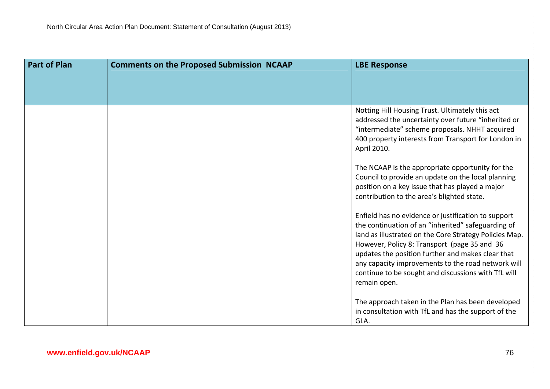| <b>Part of Plan</b> | <b>Comments on the Proposed Submission NCAAP</b> | <b>LBE Response</b>                                                                                                                                                                                                                                                                                                                                                                                   |
|---------------------|--------------------------------------------------|-------------------------------------------------------------------------------------------------------------------------------------------------------------------------------------------------------------------------------------------------------------------------------------------------------------------------------------------------------------------------------------------------------|
|                     |                                                  | Notting Hill Housing Trust. Ultimately this act<br>addressed the uncertainty over future "inherited or<br>"intermediate" scheme proposals. NHHT acquired<br>400 property interests from Transport for London in<br>April 2010.                                                                                                                                                                        |
|                     |                                                  | The NCAAP is the appropriate opportunity for the<br>Council to provide an update on the local planning<br>position on a key issue that has played a major<br>contribution to the area's blighted state.                                                                                                                                                                                               |
|                     |                                                  | Enfield has no evidence or justification to support<br>the continuation of an "inherited" safeguarding of<br>land as illustrated on the Core Strategy Policies Map.<br>However, Policy 8: Transport (page 35 and 36<br>updates the position further and makes clear that<br>any capacity improvements to the road network will<br>continue to be sought and discussions with TfL will<br>remain open. |
|                     |                                                  | The approach taken in the Plan has been developed<br>in consultation with TfL and has the support of the<br>GLA.                                                                                                                                                                                                                                                                                      |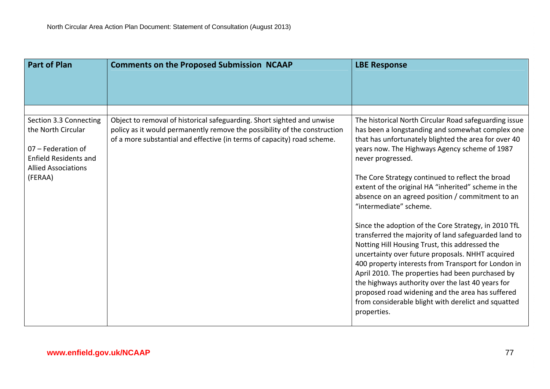| <b>Part of Plan</b>                                                                                                                         | <b>Comments on the Proposed Submission NCAAP</b>                                                                                                                                                                               | <b>LBE Response</b>                                                                                                                                                                                                                                                                                                                                                                                                                                                                                                                                                                                                                                                                                                                                                                                                                                                                                                                              |
|---------------------------------------------------------------------------------------------------------------------------------------------|--------------------------------------------------------------------------------------------------------------------------------------------------------------------------------------------------------------------------------|--------------------------------------------------------------------------------------------------------------------------------------------------------------------------------------------------------------------------------------------------------------------------------------------------------------------------------------------------------------------------------------------------------------------------------------------------------------------------------------------------------------------------------------------------------------------------------------------------------------------------------------------------------------------------------------------------------------------------------------------------------------------------------------------------------------------------------------------------------------------------------------------------------------------------------------------------|
| Section 3.3 Connecting<br>the North Circular<br>07 - Federation of<br><b>Enfield Residents and</b><br><b>Allied Associations</b><br>(FERAA) | Object to removal of historical safeguarding. Short sighted and unwise<br>policy as it would permanently remove the possibility of the construction<br>of a more substantial and effective (in terms of capacity) road scheme. | The historical North Circular Road safeguarding issue<br>has been a longstanding and somewhat complex one<br>that has unfortunately blighted the area for over 40<br>years now. The Highways Agency scheme of 1987<br>never progressed.<br>The Core Strategy continued to reflect the broad<br>extent of the original HA "inherited" scheme in the<br>absence on an agreed position / commitment to an<br>"intermediate" scheme.<br>Since the adoption of the Core Strategy, in 2010 TfL<br>transferred the majority of land safeguarded land to<br>Notting Hill Housing Trust, this addressed the<br>uncertainty over future proposals. NHHT acquired<br>400 property interests from Transport for London in<br>April 2010. The properties had been purchased by<br>the highways authority over the last 40 years for<br>proposed road widening and the area has suffered<br>from considerable blight with derelict and squatted<br>properties. |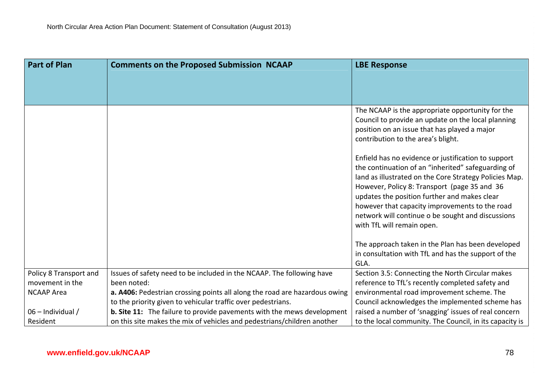| <b>Part of Plan</b>    | <b>Comments on the Proposed Submission NCAAP</b>                                                                                              | <b>LBE Response</b>                                                                                                                                                                                                                                                                                                                               |
|------------------------|-----------------------------------------------------------------------------------------------------------------------------------------------|---------------------------------------------------------------------------------------------------------------------------------------------------------------------------------------------------------------------------------------------------------------------------------------------------------------------------------------------------|
|                        |                                                                                                                                               | The NCAAP is the appropriate opportunity for the<br>Council to provide an update on the local planning<br>position on an issue that has played a major<br>contribution to the area's blight.<br>Enfield has no evidence or justification to support                                                                                               |
|                        |                                                                                                                                               | the continuation of an "inherited" safeguarding of<br>land as illustrated on the Core Strategy Policies Map.<br>However, Policy 8: Transport (page 35 and 36<br>updates the position further and makes clear<br>however that capacity improvements to the road<br>network will continue o be sought and discussions<br>with TfL will remain open. |
|                        |                                                                                                                                               | The approach taken in the Plan has been developed<br>in consultation with TfL and has the support of the<br>GLA.                                                                                                                                                                                                                                  |
| Policy 8 Transport and | Issues of safety need to be included in the NCAAP. The following have                                                                         | Section 3.5: Connecting the North Circular makes                                                                                                                                                                                                                                                                                                  |
| movement in the        | been noted:                                                                                                                                   | reference to TfL's recently completed safety and                                                                                                                                                                                                                                                                                                  |
| <b>NCAAP</b> Area      | a. A406: Pedestrian crossing points all along the road are hazardous owing                                                                    | environmental road improvement scheme. The                                                                                                                                                                                                                                                                                                        |
| 06 - Individual /      | to the priority given to vehicular traffic over pedestrians.<br><b>b. Site 11:</b> The failure to provide pavements with the mews development | Council acknowledges the implemented scheme has<br>raised a number of 'snagging' issues of real concern                                                                                                                                                                                                                                           |
| Resident               | on this site makes the mix of vehicles and pedestrians/children another                                                                       | to the local community. The Council, in its capacity is                                                                                                                                                                                                                                                                                           |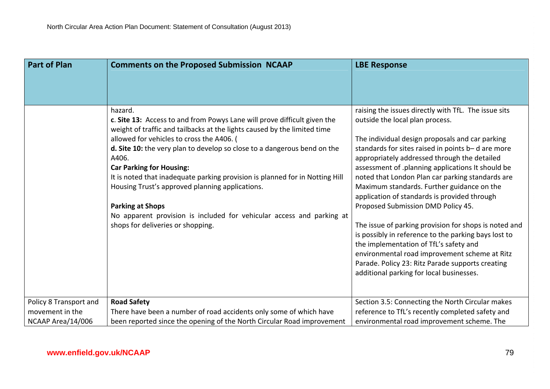| <b>Part of Plan</b>                                            | <b>Comments on the Proposed Submission NCAAP</b>                                                                                                                                                                                                                                                                                                                                                                                                                                                                                                                                                                 | <b>LBE Response</b>                                                                                                                                                                                                                                                                                                                                                                                                                                                                                                                                                                                                                                                                                                                                                                                       |
|----------------------------------------------------------------|------------------------------------------------------------------------------------------------------------------------------------------------------------------------------------------------------------------------------------------------------------------------------------------------------------------------------------------------------------------------------------------------------------------------------------------------------------------------------------------------------------------------------------------------------------------------------------------------------------------|-----------------------------------------------------------------------------------------------------------------------------------------------------------------------------------------------------------------------------------------------------------------------------------------------------------------------------------------------------------------------------------------------------------------------------------------------------------------------------------------------------------------------------------------------------------------------------------------------------------------------------------------------------------------------------------------------------------------------------------------------------------------------------------------------------------|
|                                                                | hazard.<br>c. Site 13: Access to and from Powys Lane will prove difficult given the<br>weight of traffic and tailbacks at the lights caused by the limited time<br>allowed for vehicles to cross the A406. (<br>d. Site 10: the very plan to develop so close to a dangerous bend on the<br>A406.<br><b>Car Parking for Housing:</b><br>It is noted that inadequate parking provision is planned for in Notting Hill<br>Housing Trust's approved planning applications.<br><b>Parking at Shops</b><br>No apparent provision is included for vehicular access and parking at<br>shops for deliveries or shopping. | raising the issues directly with TfL. The issue sits<br>outside the local plan process.<br>The individual design proposals and car parking<br>standards for sites raised in points b- d are more<br>appropriately addressed through the detailed<br>assessment of .planning applications It should be<br>noted that London Plan car parking standards are<br>Maximum standards. Further guidance on the<br>application of standards is provided through<br>Proposed Submission DMD Policy 45.<br>The issue of parking provision for shops is noted and<br>is possibly in reference to the parking bays lost to<br>the implementation of TfL's safety and<br>environmental road improvement scheme at Ritz<br>Parade. Policy 23: Ritz Parade supports creating<br>additional parking for local businesses. |
| Policy 8 Transport and<br>movement in the<br>NCAAP Area/14/006 | <b>Road Safety</b><br>There have been a number of road accidents only some of which have<br>been reported since the opening of the North Circular Road improvement                                                                                                                                                                                                                                                                                                                                                                                                                                               | Section 3.5: Connecting the North Circular makes<br>reference to TfL's recently completed safety and<br>environmental road improvement scheme. The                                                                                                                                                                                                                                                                                                                                                                                                                                                                                                                                                                                                                                                        |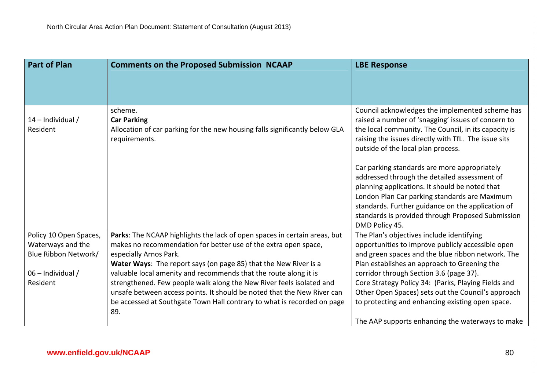| <b>Part of Plan</b>                                                                                  | <b>Comments on the Proposed Submission NCAAP</b>                                                                                                                                                                                                                                                                                                                                                                                                                                                                                                    | <b>LBE Response</b>                                                                                                                                                                                                                                                                                                                                                                                                                                                                                                                                                                        |
|------------------------------------------------------------------------------------------------------|-----------------------------------------------------------------------------------------------------------------------------------------------------------------------------------------------------------------------------------------------------------------------------------------------------------------------------------------------------------------------------------------------------------------------------------------------------------------------------------------------------------------------------------------------------|--------------------------------------------------------------------------------------------------------------------------------------------------------------------------------------------------------------------------------------------------------------------------------------------------------------------------------------------------------------------------------------------------------------------------------------------------------------------------------------------------------------------------------------------------------------------------------------------|
|                                                                                                      |                                                                                                                                                                                                                                                                                                                                                                                                                                                                                                                                                     |                                                                                                                                                                                                                                                                                                                                                                                                                                                                                                                                                                                            |
| 14 - Individual /<br>Resident                                                                        | scheme.<br><b>Car Parking</b><br>Allocation of car parking for the new housing falls significantly below GLA<br>requirements.                                                                                                                                                                                                                                                                                                                                                                                                                       | Council acknowledges the implemented scheme has<br>raised a number of 'snagging' issues of concern to<br>the local community. The Council, in its capacity is<br>raising the issues directly with TfL. The issue sits<br>outside of the local plan process.<br>Car parking standards are more appropriately<br>addressed through the detailed assessment of<br>planning applications. It should be noted that<br>London Plan Car parking standards are Maximum<br>standards. Further guidance on the application of<br>standards is provided through Proposed Submission<br>DMD Policy 45. |
| Policy 10 Open Spaces,<br>Waterways and the<br>Blue Ribbon Network/<br>06 - Individual /<br>Resident | Parks: The NCAAP highlights the lack of open spaces in certain areas, but<br>makes no recommendation for better use of the extra open space,<br>especially Arnos Park.<br>Water Ways: The report says (on page 85) that the New River is a<br>valuable local amenity and recommends that the route along it is<br>strengthened. Few people walk along the New River feels isolated and<br>unsafe between access points. It should be noted that the New River can<br>be accessed at Southgate Town Hall contrary to what is recorded on page<br>89. | The Plan's objectives include identifying<br>opportunities to improve publicly accessible open<br>and green spaces and the blue ribbon network. The<br>Plan establishes an approach to Greening the<br>corridor through Section 3.6 (page 37).<br>Core Strategy Policy 34: (Parks, Playing Fields and<br>Other Open Spaces) sets out the Council's approach<br>to protecting and enhancing existing open space.<br>The AAP supports enhancing the waterways to make                                                                                                                        |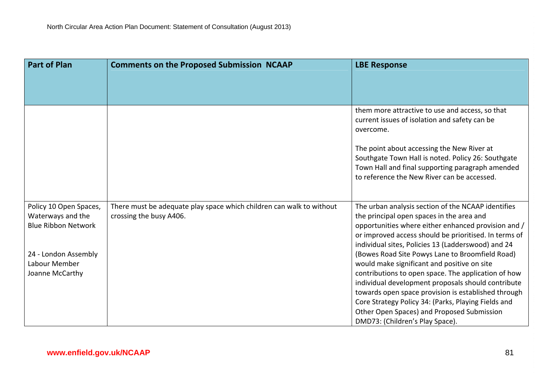| <b>Part of Plan</b>                                                       | <b>Comments on the Proposed Submission NCAAP</b>                                                | <b>LBE Response</b>                                                                                                                                                                                                                                                                                                                                                                                        |
|---------------------------------------------------------------------------|-------------------------------------------------------------------------------------------------|------------------------------------------------------------------------------------------------------------------------------------------------------------------------------------------------------------------------------------------------------------------------------------------------------------------------------------------------------------------------------------------------------------|
|                                                                           |                                                                                                 |                                                                                                                                                                                                                                                                                                                                                                                                            |
|                                                                           |                                                                                                 | them more attractive to use and access, so that<br>current issues of isolation and safety can be<br>overcome.                                                                                                                                                                                                                                                                                              |
|                                                                           |                                                                                                 | The point about accessing the New River at<br>Southgate Town Hall is noted. Policy 26: Southgate<br>Town Hall and final supporting paragraph amended<br>to reference the New River can be accessed.                                                                                                                                                                                                        |
| Policy 10 Open Spaces,<br>Waterways and the<br><b>Blue Ribbon Network</b> | There must be adequate play space which children can walk to without<br>crossing the busy A406. | The urban analysis section of the NCAAP identifies<br>the principal open spaces in the area and<br>opportunities where either enhanced provision and /<br>or improved access should be prioritised. In terms of<br>individual sites, Policies 13 (Ladderswood) and 24                                                                                                                                      |
| 24 - London Assembly<br>Labour Member<br>Joanne McCarthy                  |                                                                                                 | (Bowes Road Site Powys Lane to Broomfield Road)<br>would make significant and positive on site<br>contributions to open space. The application of how<br>individual development proposals should contribute<br>towards open space provision is established through<br>Core Strategy Policy 34: (Parks, Playing Fields and<br>Other Open Spaces) and Proposed Submission<br>DMD73: (Children's Play Space). |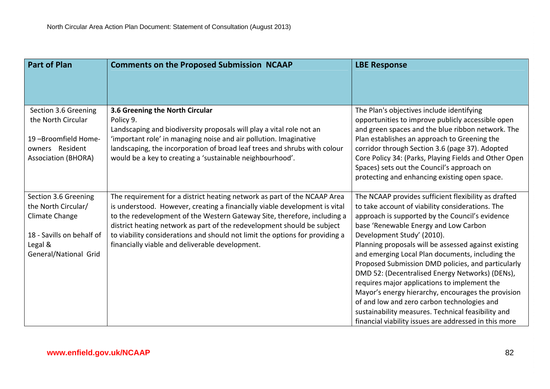| <b>Part of Plan</b>                                                                                                            | <b>Comments on the Proposed Submission NCAAP</b>                                                                                                                                                                                                                                                                                                                                                                                                 | <b>LBE Response</b>                                                                                                                                                                                                                                                                                                                                                                                                                                                                                                                                                                                                                                                                                                         |
|--------------------------------------------------------------------------------------------------------------------------------|--------------------------------------------------------------------------------------------------------------------------------------------------------------------------------------------------------------------------------------------------------------------------------------------------------------------------------------------------------------------------------------------------------------------------------------------------|-----------------------------------------------------------------------------------------------------------------------------------------------------------------------------------------------------------------------------------------------------------------------------------------------------------------------------------------------------------------------------------------------------------------------------------------------------------------------------------------------------------------------------------------------------------------------------------------------------------------------------------------------------------------------------------------------------------------------------|
| Section 3.6 Greening<br>the North Circular<br>19-Broomfield Home-<br>owners Resident<br><b>Association (BHORA)</b>             | 3.6 Greening the North Circular<br>Policy 9.<br>Landscaping and biodiversity proposals will play a vital role not an<br>'important role' in managing noise and air pollution. Imaginative<br>landscaping, the incorporation of broad leaf trees and shrubs with colour<br>would be a key to creating a 'sustainable neighbourhood'.                                                                                                              | The Plan's objectives include identifying<br>opportunities to improve publicly accessible open<br>and green spaces and the blue ribbon network. The<br>Plan establishes an approach to Greening the<br>corridor through Section 3.6 (page 37). Adopted<br>Core Policy 34: (Parks, Playing Fields and Other Open<br>Spaces) sets out the Council's approach on<br>protecting and enhancing existing open space.                                                                                                                                                                                                                                                                                                              |
| Section 3.6 Greening<br>the North Circular/<br>Climate Change<br>18 - Savills on behalf of<br>Legal &<br>General/National Grid | The requirement for a district heating network as part of the NCAAP Area<br>is understood. However, creating a financially viable development is vital<br>to the redevelopment of the Western Gateway Site, therefore, including a<br>district heating network as part of the redevelopment should be subject<br>to viability considerations and should not limit the options for providing a<br>financially viable and deliverable development. | The NCAAP provides sufficient flexibility as drafted<br>to take account of viability considerations. The<br>approach is supported by the Council's evidence<br>base 'Renewable Energy and Low Carbon<br>Development Study' (2010).<br>Planning proposals will be assessed against existing<br>and emerging Local Plan documents, including the<br>Proposed Submission DMD policies, and particularly<br>DMD 52: (Decentralised Energy Networks) (DENs),<br>requires major applications to implement the<br>Mayor's energy hierarchy, encourages the provision<br>of and low and zero carbon technologies and<br>sustainability measures. Technical feasibility and<br>financial viability issues are addressed in this more |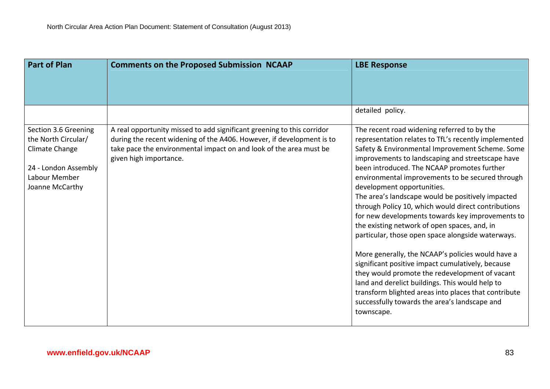| <b>Part of Plan</b>                                                                                                       | <b>Comments on the Proposed Submission NCAAP</b>                                                                                                                                                                                                | <b>LBE Response</b>                                                                                                                                                                                                                                                                                                                                                                                                                                                                                                                                                                                                                                                                                                                                                                                                                                                                                                                                    |
|---------------------------------------------------------------------------------------------------------------------------|-------------------------------------------------------------------------------------------------------------------------------------------------------------------------------------------------------------------------------------------------|--------------------------------------------------------------------------------------------------------------------------------------------------------------------------------------------------------------------------------------------------------------------------------------------------------------------------------------------------------------------------------------------------------------------------------------------------------------------------------------------------------------------------------------------------------------------------------------------------------------------------------------------------------------------------------------------------------------------------------------------------------------------------------------------------------------------------------------------------------------------------------------------------------------------------------------------------------|
|                                                                                                                           |                                                                                                                                                                                                                                                 |                                                                                                                                                                                                                                                                                                                                                                                                                                                                                                                                                                                                                                                                                                                                                                                                                                                                                                                                                        |
|                                                                                                                           |                                                                                                                                                                                                                                                 | detailed policy.                                                                                                                                                                                                                                                                                                                                                                                                                                                                                                                                                                                                                                                                                                                                                                                                                                                                                                                                       |
| Section 3.6 Greening<br>the North Circular/<br>Climate Change<br>24 - London Assembly<br>Labour Member<br>Joanne McCarthy | A real opportunity missed to add significant greening to this corridor<br>during the recent widening of the A406. However, if development is to<br>take pace the environmental impact on and look of the area must be<br>given high importance. | The recent road widening referred to by the<br>representation relates to TfL's recently implemented<br>Safety & Environmental Improvement Scheme. Some<br>improvements to landscaping and streetscape have<br>been introduced. The NCAAP promotes further<br>environmental improvements to be secured through<br>development opportunities.<br>The area's landscape would be positively impacted<br>through Policy 10, which would direct contributions<br>for new developments towards key improvements to<br>the existing network of open spaces, and, in<br>particular, those open space alongside waterways.<br>More generally, the NCAAP's policies would have a<br>significant positive impact cumulatively, because<br>they would promote the redevelopment of vacant<br>land and derelict buildings. This would help to<br>transform blighted areas into places that contribute<br>successfully towards the area's landscape and<br>townscape. |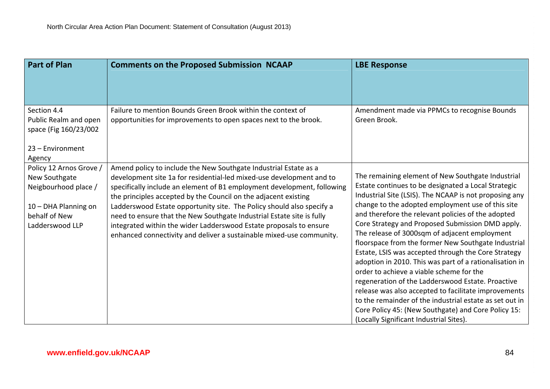| <b>Part of Plan</b>                                                                                                          | <b>Comments on the Proposed Submission NCAAP</b>                                                                                                                                                                                                                                                                                                                                                                                                                                                                                                                                       | <b>LBE Response</b>                                                                                                                                                                                                                                                                                                                                                                                                                                                                                                                                                                                                                                                                                                                                                                                                                                                               |
|------------------------------------------------------------------------------------------------------------------------------|----------------------------------------------------------------------------------------------------------------------------------------------------------------------------------------------------------------------------------------------------------------------------------------------------------------------------------------------------------------------------------------------------------------------------------------------------------------------------------------------------------------------------------------------------------------------------------------|-----------------------------------------------------------------------------------------------------------------------------------------------------------------------------------------------------------------------------------------------------------------------------------------------------------------------------------------------------------------------------------------------------------------------------------------------------------------------------------------------------------------------------------------------------------------------------------------------------------------------------------------------------------------------------------------------------------------------------------------------------------------------------------------------------------------------------------------------------------------------------------|
|                                                                                                                              |                                                                                                                                                                                                                                                                                                                                                                                                                                                                                                                                                                                        |                                                                                                                                                                                                                                                                                                                                                                                                                                                                                                                                                                                                                                                                                                                                                                                                                                                                                   |
| Section 4.4<br>Public Realm and open<br>space (Fig 160/23/002<br>23 - Environment<br>Agency                                  | Failure to mention Bounds Green Brook within the context of<br>opportunities for improvements to open spaces next to the brook.                                                                                                                                                                                                                                                                                                                                                                                                                                                        | Amendment made via PPMCs to recognise Bounds<br>Green Brook.                                                                                                                                                                                                                                                                                                                                                                                                                                                                                                                                                                                                                                                                                                                                                                                                                      |
| Policy 12 Arnos Grove /<br>New Southgate<br>Neigbourhood place /<br>10 - DHA Planning on<br>behalf of New<br>Ladderswood LLP | Amend policy to include the New Southgate Industrial Estate as a<br>development site 1a for residential-led mixed-use development and to<br>specifically include an element of B1 employment development, following<br>the principles accepted by the Council on the adjacent existing<br>Ladderswood Estate opportunity site. The Policy should also specify a<br>need to ensure that the New Southgate Industrial Estate site is fully<br>integrated within the wider Ladderswood Estate proposals to ensure<br>enhanced connectivity and deliver a sustainable mixed-use community. | The remaining element of New Southgate Industrial<br>Estate continues to be designated a Local Strategic<br>Industrial Site (LSIS). The NCAAP is not proposing any<br>change to the adopted employment use of this site<br>and therefore the relevant policies of the adopted<br>Core Strategy and Proposed Submission DMD apply.<br>The release of 3000sqm of adjacent employment<br>floorspace from the former New Southgate Industrial<br>Estate, LSIS was accepted through the Core Strategy<br>adoption in 2010. This was part of a rationalisation in<br>order to achieve a viable scheme for the<br>regeneration of the Ladderswood Estate. Proactive<br>release was also accepted to facilitate improvements<br>to the remainder of the industrial estate as set out in<br>Core Policy 45: (New Southgate) and Core Policy 15:<br>(Locally Significant Industrial Sites). |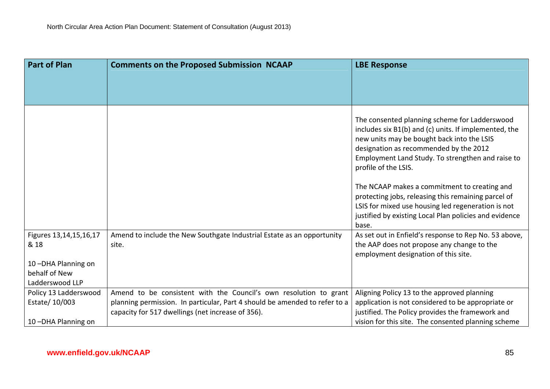| <b>Part of Plan</b>                                                                          | <b>Comments on the Proposed Submission NCAAP</b>                                                                                                                                                     | <b>LBE Response</b>                                                                                                                                                                                                                                                                                                                                                                                                                                                                                         |
|----------------------------------------------------------------------------------------------|------------------------------------------------------------------------------------------------------------------------------------------------------------------------------------------------------|-------------------------------------------------------------------------------------------------------------------------------------------------------------------------------------------------------------------------------------------------------------------------------------------------------------------------------------------------------------------------------------------------------------------------------------------------------------------------------------------------------------|
|                                                                                              |                                                                                                                                                                                                      | The consented planning scheme for Ladderswood<br>includes six B1(b) and (c) units. If implemented, the<br>new units may be bought back into the LSIS<br>designation as recommended by the 2012<br>Employment Land Study. To strengthen and raise to<br>profile of the LSIS.<br>The NCAAP makes a commitment to creating and<br>protecting jobs, releasing this remaining parcel of<br>LSIS for mixed use housing led regeneration is not<br>justified by existing Local Plan policies and evidence<br>base. |
| Figures 13, 14, 15, 16, 17<br>& 18<br>10-DHA Planning on<br>behalf of New<br>Ladderswood LLP | Amend to include the New Southgate Industrial Estate as an opportunity<br>site.                                                                                                                      | As set out in Enfield's response to Rep No. 53 above,<br>the AAP does not propose any change to the<br>employment designation of this site.                                                                                                                                                                                                                                                                                                                                                                 |
| Policy 13 Ladderswood<br>Estate/ 10/003<br>10-DHA Planning on                                | Amend to be consistent with the Council's own resolution to grant<br>planning permission. In particular, Part 4 should be amended to refer to a<br>capacity for 517 dwellings (net increase of 356). | Aligning Policy 13 to the approved planning<br>application is not considered to be appropriate or<br>justified. The Policy provides the framework and<br>vision for this site. The consented planning scheme                                                                                                                                                                                                                                                                                                |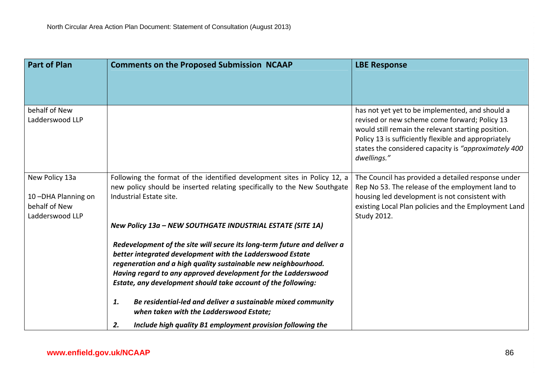| <b>Part of Plan</b>                                                      | <b>Comments on the Proposed Submission NCAAP</b>                                                                                                                                                                                                                                                                                                                                                                | <b>LBE Response</b>                                                                                                                                                                                                                                                                   |
|--------------------------------------------------------------------------|-----------------------------------------------------------------------------------------------------------------------------------------------------------------------------------------------------------------------------------------------------------------------------------------------------------------------------------------------------------------------------------------------------------------|---------------------------------------------------------------------------------------------------------------------------------------------------------------------------------------------------------------------------------------------------------------------------------------|
| behalf of New<br>Ladderswood LLP                                         |                                                                                                                                                                                                                                                                                                                                                                                                                 | has not yet yet to be implemented, and should a<br>revised or new scheme come forward; Policy 13<br>would still remain the relevant starting position.<br>Policy 13 is sufficiently flexible and appropriately<br>states the considered capacity is "approximately 400<br>dwellings." |
| New Policy 13a<br>10-DHA Planning on<br>behalf of New<br>Ladderswood LLP | Following the format of the identified development sites in Policy 12, a<br>new policy should be inserted relating specifically to the New Southgate<br>Industrial Estate site.<br>New Policy 13a - NEW SOUTHGATE INDUSTRIAL ESTATE (SITE 1A)                                                                                                                                                                   | The Council has provided a detailed response under<br>Rep No 53. The release of the employment land to<br>housing led development is not consistent with<br>existing Local Plan policies and the Employment Land<br>Study 2012.                                                       |
|                                                                          | Redevelopment of the site will secure its long-term future and deliver a<br>better integrated development with the Ladderswood Estate<br>regeneration and a high quality sustainable new neighbourhood.<br>Having regard to any approved development for the Ladderswood<br>Estate, any development should take account of the following:<br>Be residential-led and deliver a sustainable mixed community<br>1. |                                                                                                                                                                                                                                                                                       |
|                                                                          | when taken with the Ladderswood Estate;<br>Include high quality B1 employment provision following the<br>2.                                                                                                                                                                                                                                                                                                     |                                                                                                                                                                                                                                                                                       |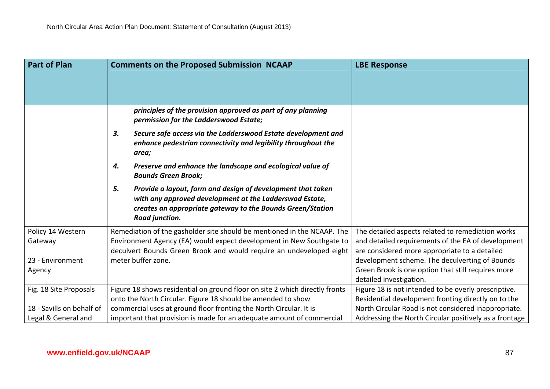| <b>Part of Plan</b>                              | <b>Comments on the Proposed Submission NCAAP</b>                                                                                                                                                                                             | <b>LBE Response</b>                                                                                                                                                                                        |
|--------------------------------------------------|----------------------------------------------------------------------------------------------------------------------------------------------------------------------------------------------------------------------------------------------|------------------------------------------------------------------------------------------------------------------------------------------------------------------------------------------------------------|
|                                                  | principles of the provision approved as part of any planning<br>permission for the Ladderswood Estate;                                                                                                                                       |                                                                                                                                                                                                            |
|                                                  | Secure safe access via the Ladderswood Estate development and<br>3.<br>enhance pedestrian connectivity and legibility throughout the<br>area;                                                                                                |                                                                                                                                                                                                            |
|                                                  | Preserve and enhance the landscape and ecological value of<br>4.<br><b>Bounds Green Brook;</b>                                                                                                                                               |                                                                                                                                                                                                            |
|                                                  | Provide a layout, form and design of development that taken<br>5.<br>with any approved development at the Ladderswod Estate,<br>creates an appropriate gateway to the Bounds Green/Station<br>Road junction.                                 |                                                                                                                                                                                                            |
| Policy 14 Western<br>Gateway<br>23 - Environment | Remediation of the gasholder site should be mentioned in the NCAAP. The<br>Environment Agency (EA) would expect development in New Southgate to<br>deculvert Bounds Green Brook and would require an undeveloped eight<br>meter buffer zone. | The detailed aspects related to remediation works<br>and detailed requirements of the EA of development<br>are considered more appropriate to a detailed<br>development scheme. The deculverting of Bounds |
| Agency                                           |                                                                                                                                                                                                                                              | Green Brook is one option that still requires more<br>detailed investigation.                                                                                                                              |
| Fig. 18 Site Proposals                           | Figure 18 shows residential on ground floor on site 2 which directly fronts<br>onto the North Circular. Figure 18 should be amended to show                                                                                                  | Figure 18 is not intended to be overly prescriptive.<br>Residential development fronting directly on to the                                                                                                |
| 18 - Savills on behalf of                        | commercial uses at ground floor fronting the North Circular. It is                                                                                                                                                                           | North Circular Road is not considered inappropriate.                                                                                                                                                       |
| Legal & General and                              | important that provision is made for an adequate amount of commercial                                                                                                                                                                        | Addressing the North Circular positively as a frontage                                                                                                                                                     |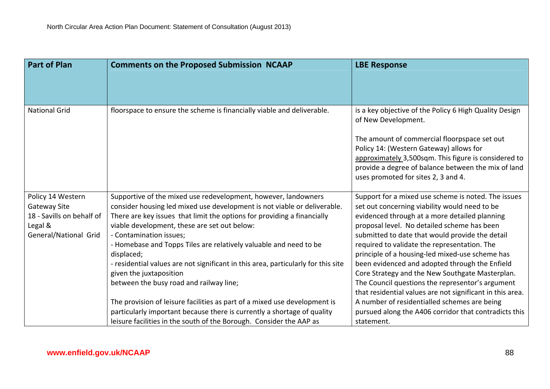| <b>Part of Plan</b>                       | <b>Comments on the Proposed Submission NCAAP</b>                                                                                                    | <b>LBE Response</b>                                                                                                                                                                                                                           |
|-------------------------------------------|-----------------------------------------------------------------------------------------------------------------------------------------------------|-----------------------------------------------------------------------------------------------------------------------------------------------------------------------------------------------------------------------------------------------|
|                                           |                                                                                                                                                     |                                                                                                                                                                                                                                               |
| <b>National Grid</b>                      | floorspace to ensure the scheme is financially viable and deliverable.                                                                              | is a key objective of the Policy 6 High Quality Design<br>of New Development.                                                                                                                                                                 |
|                                           |                                                                                                                                                     | The amount of commercial floorpspace set out<br>Policy 14: (Western Gateway) allows for<br>approximately 3,500sqm. This figure is considered to<br>provide a degree of balance between the mix of land<br>uses promoted for sites 2, 3 and 4. |
| Policy 14 Western                         | Supportive of the mixed use redevelopment, however, landowners                                                                                      | Support for a mixed use scheme is noted. The issues                                                                                                                                                                                           |
| Gateway Site<br>18 - Savills on behalf of | consider housing led mixed use development is not viable or deliverable.<br>There are key issues that limit the options for providing a financially | set out concerning viability would need to be<br>evidenced through at a more detailed planning                                                                                                                                                |
| Legal &                                   | viable development, these are set out below:                                                                                                        | proposal level. No detailed scheme has been                                                                                                                                                                                                   |
| General/National Grid                     | - Contamination issues;                                                                                                                             | submitted to date that would provide the detail                                                                                                                                                                                               |
|                                           | - Homebase and Topps Tiles are relatively valuable and need to be                                                                                   | required to validate the representation. The                                                                                                                                                                                                  |
|                                           | displaced;                                                                                                                                          | principle of a housing-led mixed-use scheme has                                                                                                                                                                                               |
|                                           | - residential values are not significant in this area, particularly for this site                                                                   | been evidenced and adopted through the Enfield                                                                                                                                                                                                |
|                                           | given the juxtaposition                                                                                                                             | Core Strategy and the New Southgate Masterplan.                                                                                                                                                                                               |
|                                           | between the busy road and railway line;                                                                                                             | The Council questions the representor's argument                                                                                                                                                                                              |
|                                           |                                                                                                                                                     | that residential values are not significant in this area.                                                                                                                                                                                     |
|                                           | The provision of leisure facilities as part of a mixed use development is                                                                           | A number of residentialled schemes are being                                                                                                                                                                                                  |
|                                           | particularly important because there is currently a shortage of quality                                                                             | pursued along the A406 corridor that contradicts this                                                                                                                                                                                         |
|                                           | leisure facilities in the south of the Borough. Consider the AAP as                                                                                 | statement.                                                                                                                                                                                                                                    |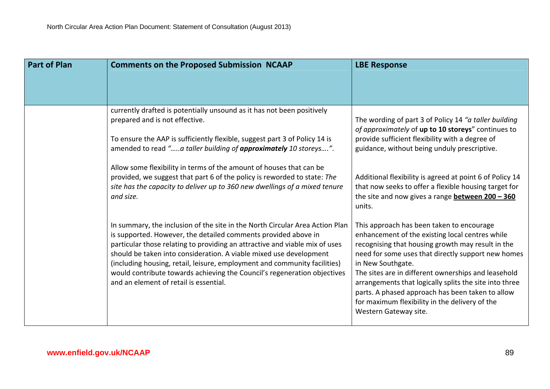| <b>Part of Plan</b> | <b>Comments on the Proposed Submission NCAAP</b>                                                                                                                                                                                                                                                                                                                                                                                                                                                         | <b>LBE Response</b>                                                                                                                                                                                                                                                                                                                                                                                                                                                          |
|---------------------|----------------------------------------------------------------------------------------------------------------------------------------------------------------------------------------------------------------------------------------------------------------------------------------------------------------------------------------------------------------------------------------------------------------------------------------------------------------------------------------------------------|------------------------------------------------------------------------------------------------------------------------------------------------------------------------------------------------------------------------------------------------------------------------------------------------------------------------------------------------------------------------------------------------------------------------------------------------------------------------------|
|                     | currently drafted is potentially unsound as it has not been positively<br>prepared and is not effective.<br>To ensure the AAP is sufficiently flexible, suggest part 3 of Policy 14 is<br>amended to read "a taller building of approximately 10 storeys".<br>Allow some flexibility in terms of the amount of houses that can be<br>provided, we suggest that part 6 of the policy is reworded to state: The<br>site has the capacity to deliver up to 360 new dwellings of a mixed tenure<br>and size. | The wording of part 3 of Policy 14 "a taller building<br>of approximately of up to 10 storeys" continues to<br>provide sufficient flexibility with a degree of<br>guidance, without being unduly prescriptive.<br>Additional flexibility is agreed at point 6 of Policy 14<br>that now seeks to offer a flexible housing target for<br>the site and now gives a range <b>between <math>200 - 360</math></b><br>units.                                                        |
|                     | In summary, the inclusion of the site in the North Circular Area Action Plan<br>is supported. However, the detailed comments provided above in<br>particular those relating to providing an attractive and viable mix of uses<br>should be taken into consideration. A viable mixed use development<br>(including housing, retail, leisure, employment and community facilities)<br>would contribute towards achieving the Council's regeneration objectives<br>and an element of retail is essential.   | This approach has been taken to encourage<br>enhancement of the existing local centres while<br>recognising that housing growth may result in the<br>need for some uses that directly support new homes<br>in New Southgate.<br>The sites are in different ownerships and leasehold<br>arrangements that logically splits the site into three<br>parts. A phased approach has been taken to allow<br>for maximum flexibility in the delivery of the<br>Western Gateway site. |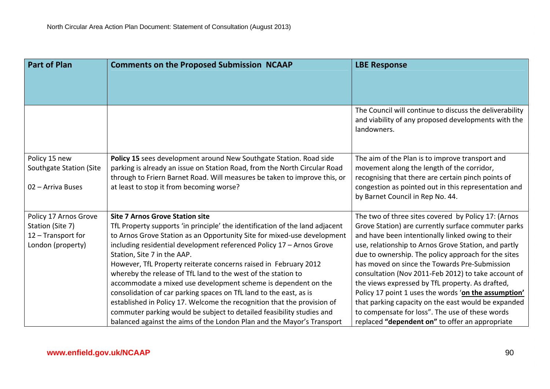| <b>Part of Plan</b>                      | <b>Comments on the Proposed Submission NCAAP</b>                                                                                                                                                                             | <b>LBE Response</b>                                                                                                                                 |
|------------------------------------------|------------------------------------------------------------------------------------------------------------------------------------------------------------------------------------------------------------------------------|-----------------------------------------------------------------------------------------------------------------------------------------------------|
|                                          |                                                                                                                                                                                                                              |                                                                                                                                                     |
|                                          |                                                                                                                                                                                                                              | The Council will continue to discuss the deliverability<br>and viability of any proposed developments with the<br>landowners.                       |
| Policy 15 new<br>Southgate Station (Site | Policy 15 sees development around New Southgate Station. Road side<br>parking is already an issue on Station Road, from the North Circular Road<br>through to Friern Barnet Road. Will measures be taken to improve this, or | The aim of the Plan is to improve transport and<br>movement along the length of the corridor,<br>recognising that there are certain pinch points of |
| 02 - Arriva Buses                        | at least to stop it from becoming worse?                                                                                                                                                                                     | congestion as pointed out in this representation and<br>by Barnet Council in Rep No. 44.                                                            |
| Policy 17 Arnos Grove                    | <b>Site 7 Arnos Grove Station site</b>                                                                                                                                                                                       | The two of three sites covered by Policy 17: (Arnos                                                                                                 |
| Station (Site 7)                         | TfL Property supports 'in principle' the identification of the land adjacent                                                                                                                                                 | Grove Station) are currently surface commuter parks                                                                                                 |
| 12 - Transport for                       | to Arnos Grove Station as an Opportunity Site for mixed-use development                                                                                                                                                      | and have been intentionally linked owing to their                                                                                                   |
| London (property)                        | including residential development referenced Policy 17 - Arnos Grove<br>Station, Site 7 in the AAP.                                                                                                                          | use, relationship to Arnos Grove Station, and partly<br>due to ownership. The policy approach for the sites                                         |
|                                          | However, TfL Property reiterate concerns raised in February 2012                                                                                                                                                             | has moved on since the Towards Pre-Submission                                                                                                       |
|                                          | whereby the release of TfL land to the west of the station to                                                                                                                                                                | consultation (Nov 2011-Feb 2012) to take account of                                                                                                 |
|                                          | accommodate a mixed use development scheme is dependent on the                                                                                                                                                               | the views expressed by TfL property. As drafted,                                                                                                    |
|                                          | consolidation of car parking spaces on TfL land to the east, as is                                                                                                                                                           | Policy 17 point 1 uses the words 'on the assumption'                                                                                                |
|                                          | established in Policy 17. Welcome the recognition that the provision of                                                                                                                                                      | that parking capacity on the east would be expanded                                                                                                 |
|                                          | commuter parking would be subject to detailed feasibility studies and                                                                                                                                                        | to compensate for loss". The use of these words                                                                                                     |
|                                          | balanced against the aims of the London Plan and the Mayor's Transport                                                                                                                                                       | replaced "dependent on" to offer an appropriate                                                                                                     |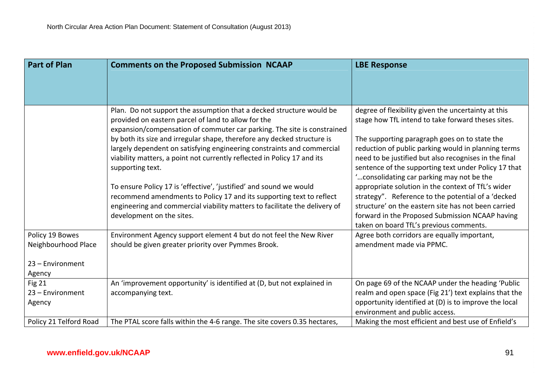| <b>Part of Plan</b>                         | <b>Comments on the Proposed Submission NCAAP</b>                                                                                                                                                                                                      | <b>LBE Response</b>                                                                                                                                                                                                                                                |
|---------------------------------------------|-------------------------------------------------------------------------------------------------------------------------------------------------------------------------------------------------------------------------------------------------------|--------------------------------------------------------------------------------------------------------------------------------------------------------------------------------------------------------------------------------------------------------------------|
|                                             |                                                                                                                                                                                                                                                       |                                                                                                                                                                                                                                                                    |
|                                             | Plan. Do not support the assumption that a decked structure would be<br>provided on eastern parcel of land to allow for the<br>expansion/compensation of commuter car parking. The site is constrained                                                | degree of flexibility given the uncertainty at this<br>stage how TfL intend to take forward theses sites.                                                                                                                                                          |
|                                             | by both its size and irregular shape, therefore any decked structure is<br>largely dependent on satisfying engineering constraints and commercial<br>viability matters, a point not currently reflected in Policy 17 and its<br>supporting text.      | The supporting paragraph goes on to state the<br>reduction of public parking would in planning terms<br>need to be justified but also recognises in the final<br>sentence of the supporting text under Policy 17 that<br>"consolidating car parking may not be the |
|                                             | To ensure Policy 17 is 'effective', 'justified' and sound we would<br>recommend amendments to Policy 17 and its supporting text to reflect<br>engineering and commercial viability matters to facilitate the delivery of<br>development on the sites. | appropriate solution in the context of TfL's wider<br>strategy". Reference to the potential of a 'decked<br>structure' on the eastern site has not been carried<br>forward in the Proposed Submission NCAAP having<br>taken on board TfL's previous comments.      |
| Policy 19 Bowes<br>Neighbourhood Place      | Environment Agency support element 4 but do not feel the New River<br>should be given greater priority over Pymmes Brook.                                                                                                                             | Agree both corridors are equally important,<br>amendment made via PPMC.                                                                                                                                                                                            |
| 23 - Environment<br>Agency                  |                                                                                                                                                                                                                                                       |                                                                                                                                                                                                                                                                    |
| <b>Fig 21</b><br>23 - Environment<br>Agency | An 'improvement opportunity' is identified at (D, but not explained in<br>accompanying text.                                                                                                                                                          | On page 69 of the NCAAP under the heading 'Public<br>realm and open space (Fig 21') text explains that the<br>opportunity identified at (D) is to improve the local<br>environment and public access.                                                              |
| Policy 21 Telford Road                      | The PTAL score falls within the 4-6 range. The site covers 0.35 hectares,                                                                                                                                                                             | Making the most efficient and best use of Enfield's                                                                                                                                                                                                                |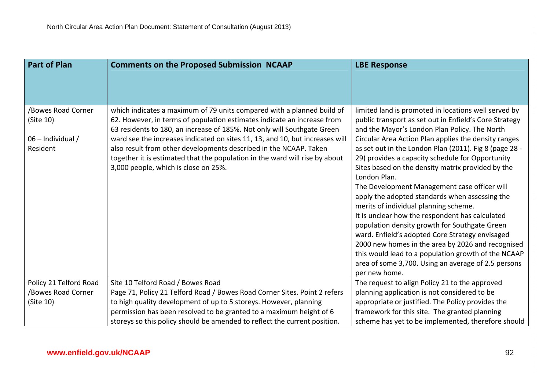| <b>Part of Plan</b>                                              | <b>Comments on the Proposed Submission NCAAP</b>                                                                                                                                                                                                                                                                                                                                                                                                                                                         | <b>LBE Response</b>                                                                                                                                                                                                                                                                                                                                                                                                                                                                                                                                                                                                                                                                                                                                                                                                                                                             |
|------------------------------------------------------------------|----------------------------------------------------------------------------------------------------------------------------------------------------------------------------------------------------------------------------------------------------------------------------------------------------------------------------------------------------------------------------------------------------------------------------------------------------------------------------------------------------------|---------------------------------------------------------------------------------------------------------------------------------------------------------------------------------------------------------------------------------------------------------------------------------------------------------------------------------------------------------------------------------------------------------------------------------------------------------------------------------------------------------------------------------------------------------------------------------------------------------------------------------------------------------------------------------------------------------------------------------------------------------------------------------------------------------------------------------------------------------------------------------|
|                                                                  |                                                                                                                                                                                                                                                                                                                                                                                                                                                                                                          |                                                                                                                                                                                                                                                                                                                                                                                                                                                                                                                                                                                                                                                                                                                                                                                                                                                                                 |
| /Bowes Road Corner<br>(Site 10)<br>06 - Individual /<br>Resident | which indicates a maximum of 79 units compared with a planned build of<br>62. However, in terms of population estimates indicate an increase from<br>63 residents to 180, an increase of 185%. Not only will Southgate Green<br>ward see the increases indicated on sites 11, 13, and 10, but increases will<br>also result from other developments described in the NCAAP. Taken<br>together it is estimated that the population in the ward will rise by about<br>3,000 people, which is close on 25%. | limited land is promoted in locations well served by<br>public transport as set out in Enfield's Core Strategy<br>and the Mayor's London Plan Policy. The North<br>Circular Area Action Plan applies the density ranges<br>as set out in the London Plan (2011). Fig 8 (page 28 -<br>29) provides a capacity schedule for Opportunity<br>Sites based on the density matrix provided by the<br>London Plan.<br>The Development Management case officer will<br>apply the adopted standards when assessing the<br>merits of individual planning scheme.<br>It is unclear how the respondent has calculated<br>population density growth for Southgate Green<br>ward. Enfield's adopted Core Strategy envisaged<br>2000 new homes in the area by 2026 and recognised<br>this would lead to a population growth of the NCAAP<br>area of some 3,700. Using an average of 2.5 persons |
| Policy 21 Telford Road<br>/Bowes Road Corner                     | Site 10 Telford Road / Bowes Road<br>Page 71, Policy 21 Telford Road / Bowes Road Corner Sites. Point 2 refers                                                                                                                                                                                                                                                                                                                                                                                           | per new home.<br>The request to align Policy 21 to the approved<br>planning application is not considered to be                                                                                                                                                                                                                                                                                                                                                                                                                                                                                                                                                                                                                                                                                                                                                                 |
| (Site 10)                                                        | to high quality development of up to 5 storeys. However, planning<br>permission has been resolved to be granted to a maximum height of 6<br>storeys so this policy should be amended to reflect the current position.                                                                                                                                                                                                                                                                                    | appropriate or justified. The Policy provides the<br>framework for this site. The granted planning<br>scheme has yet to be implemented, therefore should                                                                                                                                                                                                                                                                                                                                                                                                                                                                                                                                                                                                                                                                                                                        |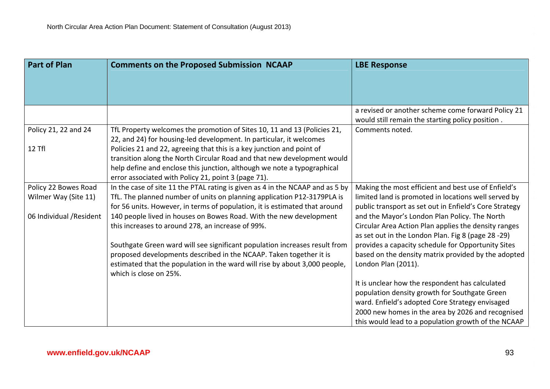| <b>Part of Plan</b>                          | <b>Comments on the Proposed Submission NCAAP</b>                                                                                                                                                                                                                                   | <b>LBE Response</b>                                                                                                                                                                                                                                             |
|----------------------------------------------|------------------------------------------------------------------------------------------------------------------------------------------------------------------------------------------------------------------------------------------------------------------------------------|-----------------------------------------------------------------------------------------------------------------------------------------------------------------------------------------------------------------------------------------------------------------|
|                                              |                                                                                                                                                                                                                                                                                    |                                                                                                                                                                                                                                                                 |
|                                              |                                                                                                                                                                                                                                                                                    | a revised or another scheme come forward Policy 21<br>would still remain the starting policy position.                                                                                                                                                          |
| Policy 21, 22 and 24                         | TfL Property welcomes the promotion of Sites 10, 11 and 13 (Policies 21,<br>22, and 24) for housing-led development. In particular, it welcomes                                                                                                                                    | Comments noted.                                                                                                                                                                                                                                                 |
| 12 Tfl                                       | Policies 21 and 22, agreeing that this is a key junction and point of<br>transition along the North Circular Road and that new development would<br>help define and enclose this junction, although we note a typographical<br>error associated with Policy 21, point 3 (page 71). |                                                                                                                                                                                                                                                                 |
| Policy 22 Bowes Road<br>Wilmer Way (Site 11) | In the case of site 11 the PTAL rating is given as 4 in the NCAAP and as 5 by<br>TfL. The planned number of units on planning application P12-3179PLA is<br>for 56 units. However, in terms of population, it is estimated that around                                             | Making the most efficient and best use of Enfield's<br>limited land is promoted in locations well served by<br>public transport as set out in Enfield's Core Strategy                                                                                           |
| 06 Individual / Resident                     | 140 people lived in houses on Bowes Road. With the new development<br>this increases to around 278, an increase of 99%.                                                                                                                                                            | and the Mayor's London Plan Policy. The North<br>Circular Area Action Plan applies the density ranges<br>as set out in the London Plan. Fig 8 (page 28 -29)                                                                                                     |
|                                              | Southgate Green ward will see significant population increases result from<br>proposed developments described in the NCAAP. Taken together it is<br>estimated that the population in the ward will rise by about 3,000 people,<br>which is close on 25%.                           | provides a capacity schedule for Opportunity Sites<br>based on the density matrix provided by the adopted<br>London Plan (2011).                                                                                                                                |
|                                              |                                                                                                                                                                                                                                                                                    | It is unclear how the respondent has calculated<br>population density growth for Southgate Green<br>ward. Enfield's adopted Core Strategy envisaged<br>2000 new homes in the area by 2026 and recognised<br>this would lead to a population growth of the NCAAP |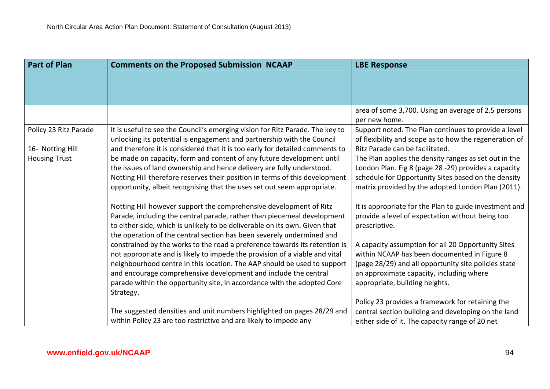| <b>Part of Plan</b>                                               | <b>Comments on the Proposed Submission NCAAP</b>                                                                                                                                                                                                                                                                                                                                                                                                                                                                                                                                                                                                                                                         | <b>LBE Response</b>                                                                                                                                                                                                                                                                                                                                                                                                         |
|-------------------------------------------------------------------|----------------------------------------------------------------------------------------------------------------------------------------------------------------------------------------------------------------------------------------------------------------------------------------------------------------------------------------------------------------------------------------------------------------------------------------------------------------------------------------------------------------------------------------------------------------------------------------------------------------------------------------------------------------------------------------------------------|-----------------------------------------------------------------------------------------------------------------------------------------------------------------------------------------------------------------------------------------------------------------------------------------------------------------------------------------------------------------------------------------------------------------------------|
|                                                                   |                                                                                                                                                                                                                                                                                                                                                                                                                                                                                                                                                                                                                                                                                                          | area of some 3,700. Using an average of 2.5 persons<br>per new home.                                                                                                                                                                                                                                                                                                                                                        |
| Policy 23 Ritz Parade<br>16- Notting Hill<br><b>Housing Trust</b> | It is useful to see the Council's emerging vision for Ritz Parade. The key to<br>unlocking its potential is engagement and partnership with the Council<br>and therefore it is considered that it is too early for detailed comments to<br>be made on capacity, form and content of any future development until<br>the issues of land ownership and hence delivery are fully understood.<br>Notting Hill therefore reserves their position in terms of this development<br>opportunity, albeit recognising that the uses set out seem appropriate.                                                                                                                                                      | Support noted. The Plan continues to provide a level<br>of flexibility and scope as to how the regeneration of<br>Ritz Parade can be facilitated.<br>The Plan applies the density ranges as set out in the<br>London Plan. Fig 8 (page 28 -29) provides a capacity<br>schedule for Opportunity Sites based on the density<br>matrix provided by the adopted London Plan (2011).                                             |
|                                                                   | Notting Hill however support the comprehensive development of Ritz<br>Parade, including the central parade, rather than piecemeal development<br>to either side, which is unlikely to be deliverable on its own. Given that<br>the operation of the central section has been severely undermined and<br>constrained by the works to the road a preference towards its retention is<br>not appropriate and is likely to impede the provision of a viable and vital<br>neighbourhood centre in this location. The AAP should be used to support<br>and encourage comprehensive development and include the central<br>parade within the opportunity site, in accordance with the adopted Core<br>Strategy. | It is appropriate for the Plan to guide investment and<br>provide a level of expectation without being too<br>prescriptive.<br>A capacity assumption for all 20 Opportunity Sites<br>within NCAAP has been documented in Figure 8<br>(page 28/29) and all opportunity site policies state<br>an approximate capacity, including where<br>appropriate, building heights.<br>Policy 23 provides a framework for retaining the |
|                                                                   | The suggested densities and unit numbers highlighted on pages 28/29 and<br>within Policy 23 are too restrictive and are likely to impede any                                                                                                                                                                                                                                                                                                                                                                                                                                                                                                                                                             | central section building and developing on the land<br>either side of it. The capacity range of 20 net                                                                                                                                                                                                                                                                                                                      |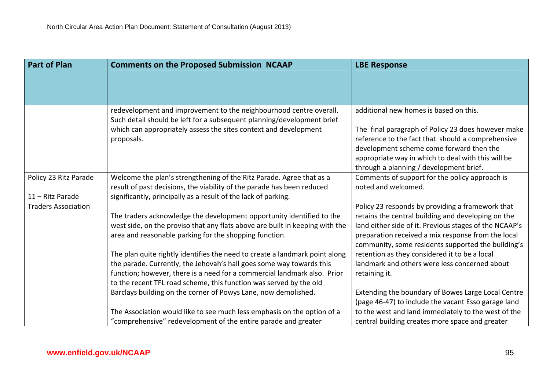| <b>Part of Plan</b>                       | <b>Comments on the Proposed Submission NCAAP</b>                                                                                                                                                                                                                                                      | <b>LBE Response</b>                                                                                                                                                                                                                                                                            |
|-------------------------------------------|-------------------------------------------------------------------------------------------------------------------------------------------------------------------------------------------------------------------------------------------------------------------------------------------------------|------------------------------------------------------------------------------------------------------------------------------------------------------------------------------------------------------------------------------------------------------------------------------------------------|
|                                           | redevelopment and improvement to the neighbourhood centre overall.<br>Such detail should be left for a subsequent planning/development brief<br>which can appropriately assess the sites context and development<br>proposals.                                                                        | additional new homes is based on this.<br>The final paragraph of Policy 23 does however make<br>reference to the fact that should a comprehensive<br>development scheme come forward then the<br>appropriate way in which to deal with this will be<br>through a planning / development brief. |
| Policy 23 Ritz Parade<br>11 - Ritz Parade | Welcome the plan's strengthening of the Ritz Parade. Agree that as a<br>result of past decisions, the viability of the parade has been reduced<br>significantly, principally as a result of the lack of parking.                                                                                      | Comments of support for the policy approach is<br>noted and welcomed.                                                                                                                                                                                                                          |
| <b>Traders Association</b>                | The traders acknowledge the development opportunity identified to the<br>west side, on the proviso that any flats above are built in keeping with the<br>area and reasonable parking for the shopping function.                                                                                       | Policy 23 responds by providing a framework that<br>retains the central building and developing on the<br>land either side of it. Previous stages of the NCAAP's<br>preparation received a mix response from the local<br>community, some residents supported the building's                   |
|                                           | The plan quite rightly identifies the need to create a landmark point along<br>the parade. Currently, the Jehovah's hall goes some way towards this<br>function; however, there is a need for a commercial landmark also. Prior<br>to the recent TFL road scheme, this function was served by the old | retention as they considered it to be a local<br>landmark and others were less concerned about<br>retaining it.                                                                                                                                                                                |
|                                           | Barclays building on the corner of Powys Lane, now demolished.                                                                                                                                                                                                                                        | Extending the boundary of Bowes Large Local Centre<br>(page 46-47) to include the vacant Esso garage land                                                                                                                                                                                      |
|                                           | The Association would like to see much less emphasis on the option of a<br>"comprehensive" redevelopment of the entire parade and greater                                                                                                                                                             | to the west and land immediately to the west of the<br>central building creates more space and greater                                                                                                                                                                                         |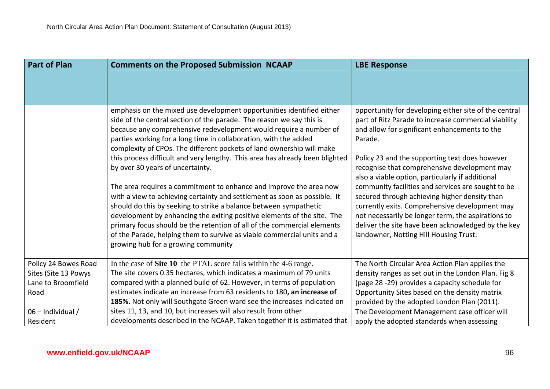| <b>Part of Plan</b>                                                        | <b>Comments on the Proposed Submission NCAAP</b>                                                                                                                                                                                                                                                                                                                                                                                                                                                                                                                                                                                                                                                                                                                                                                                                                  | <b>LBE Response</b>                                                                                                                                                                                                                                                                                                                                                                                                                                                                                                                                                                                  |
|----------------------------------------------------------------------------|-------------------------------------------------------------------------------------------------------------------------------------------------------------------------------------------------------------------------------------------------------------------------------------------------------------------------------------------------------------------------------------------------------------------------------------------------------------------------------------------------------------------------------------------------------------------------------------------------------------------------------------------------------------------------------------------------------------------------------------------------------------------------------------------------------------------------------------------------------------------|------------------------------------------------------------------------------------------------------------------------------------------------------------------------------------------------------------------------------------------------------------------------------------------------------------------------------------------------------------------------------------------------------------------------------------------------------------------------------------------------------------------------------------------------------------------------------------------------------|
|                                                                            |                                                                                                                                                                                                                                                                                                                                                                                                                                                                                                                                                                                                                                                                                                                                                                                                                                                                   |                                                                                                                                                                                                                                                                                                                                                                                                                                                                                                                                                                                                      |
|                                                                            | emphasis on the mixed use development opportunities identified either<br>side of the central section of the parade. The reason we say this is<br>because any comprehensive redevelopment would require a number of<br>parties working for a long time in collaboration, with the added<br>complexity of CPOs. The different pockets of land ownership will make<br>this process difficult and very lengthy. This area has already been blighted<br>by over 30 years of uncertainty.<br>The area requires a commitment to enhance and improve the area now<br>with a view to achieving certainty and settlement as soon as possible. It<br>should do this by seeking to strike a balance between sympathetic<br>development by enhancing the exiting positive elements of the site. The<br>primary focus should be the retention of all of the commercial elements | opportunity for developing either site of the central<br>part of Ritz Parade to increase commercial viability<br>and allow for significant enhancements to the<br>Parade.<br>Policy 23 and the supporting text does however<br>recognise that comprehensive development may<br>also a viable option, particularly if additional<br>community facilities and services are sought to be<br>secured through achieving higher density than<br>currently exits. Comprehensive development may<br>not necessarily be longer term, the aspirations to<br>deliver the site have been acknowledged by the key |
|                                                                            | of the Parade, helping them to survive as viable commercial units and a<br>growing hub for a growing community                                                                                                                                                                                                                                                                                                                                                                                                                                                                                                                                                                                                                                                                                                                                                    | landowner, Notting Hill Housing Trust.                                                                                                                                                                                                                                                                                                                                                                                                                                                                                                                                                               |
| Policy 24 Bowes Road<br>Sites (Site 13 Powys<br>Lane to Broomfield<br>Road | In the case of Site 10 the PTAL score falls within the 4-6 range.<br>The site covers 0.35 hectares, which indicates a maximum of 79 units<br>compared with a planned build of 62. However, in terms of population<br>estimates indicate an increase from 63 residents to 180, an increase of<br>185%. Not only will Southgate Green ward see the increases indicated on                                                                                                                                                                                                                                                                                                                                                                                                                                                                                           | The North Circular Area Action Plan applies the<br>density ranges as set out in the London Plan. Fig 8<br>(page 28 -29) provides a capacity schedule for<br>Opportunity Sites based on the density matrix<br>provided by the adopted London Plan (2011).                                                                                                                                                                                                                                                                                                                                             |
| 06 - Individual /<br>Resident                                              | sites 11, 13, and 10, but increases will also result from other<br>developments described in the NCAAP. Taken together it is estimated that                                                                                                                                                                                                                                                                                                                                                                                                                                                                                                                                                                                                                                                                                                                       | The Development Management case officer will<br>apply the adopted standards when assessing                                                                                                                                                                                                                                                                                                                                                                                                                                                                                                           |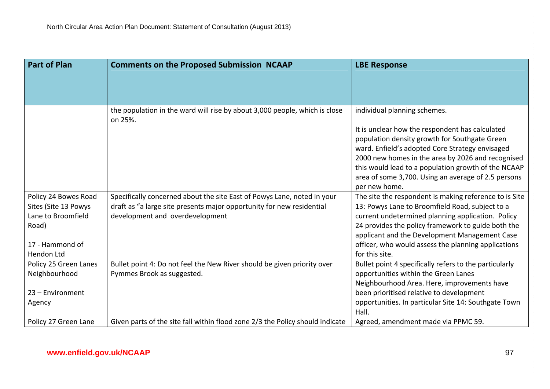| <b>Part of Plan</b>                                                                                          | <b>Comments on the Proposed Submission NCAAP</b>                                                                                                                                    | <b>LBE Response</b>                                                                                                                                                                                                                                                                                                                                                     |
|--------------------------------------------------------------------------------------------------------------|-------------------------------------------------------------------------------------------------------------------------------------------------------------------------------------|-------------------------------------------------------------------------------------------------------------------------------------------------------------------------------------------------------------------------------------------------------------------------------------------------------------------------------------------------------------------------|
|                                                                                                              | the population in the ward will rise by about 3,000 people, which is close<br>on 25%.                                                                                               | individual planning schemes.<br>It is unclear how the respondent has calculated<br>population density growth for Southgate Green<br>ward. Enfield's adopted Core Strategy envisaged<br>2000 new homes in the area by 2026 and recognised<br>this would lead to a population growth of the NCAAP<br>area of some 3,700. Using an average of 2.5 persons<br>per new home. |
| Policy 24 Bowes Road<br>Sites (Site 13 Powys<br>Lane to Broomfield<br>Road)<br>17 - Hammond of<br>Hendon Ltd | Specifically concerned about the site East of Powys Lane, noted in your<br>draft as "a large site presents major opportunity for new residential<br>development and overdevelopment | The site the respondent is making reference to is Site<br>13: Powys Lane to Broomfield Road, subject to a<br>current undetermined planning application. Policy<br>24 provides the policy framework to guide both the<br>applicant and the Development Management Case<br>officer, who would assess the planning applications<br>for this site.                          |
| Policy 25 Green Lanes<br>Neighbourhood<br>23 - Environment<br>Agency                                         | Bullet point 4: Do not feel the New River should be given priority over<br>Pymmes Brook as suggested.                                                                               | Bullet point 4 specifically refers to the particularly<br>opportunities within the Green Lanes<br>Neighbourhood Area. Here, improvements have<br>been prioritised relative to development<br>opportunities. In particular Site 14: Southgate Town<br>Hall.                                                                                                              |
| Policy 27 Green Lane                                                                                         | Given parts of the site fall within flood zone 2/3 the Policy should indicate                                                                                                       | Agreed, amendment made via PPMC 59.                                                                                                                                                                                                                                                                                                                                     |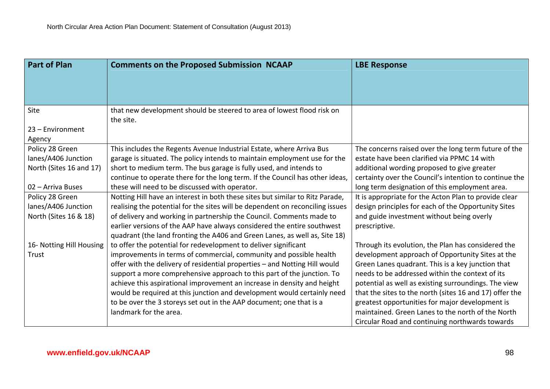| <b>Part of Plan</b>      | <b>Comments on the Proposed Submission NCAAP</b>                                              | <b>LBE Response</b>                                                                                  |
|--------------------------|-----------------------------------------------------------------------------------------------|------------------------------------------------------------------------------------------------------|
|                          |                                                                                               |                                                                                                      |
|                          |                                                                                               |                                                                                                      |
| Site                     | that new development should be steered to area of lowest flood risk on                        |                                                                                                      |
| 23 - Environment         | the site.                                                                                     |                                                                                                      |
| Agency                   |                                                                                               |                                                                                                      |
| Policy 28 Green          | This includes the Regents Avenue Industrial Estate, where Arriva Bus                          | The concerns raised over the long term future of the                                                 |
| lanes/A406 Junction      | garage is situated. The policy intends to maintain employment use for the                     | estate have been clarified via PPMC 14 with                                                          |
| North (Sites 16 and 17)  | short to medium term. The bus garage is fully used, and intends to                            | additional wording proposed to give greater                                                          |
|                          | continue to operate there for the long term. If the Council has other ideas,                  | certainty over the Council's intention to continue the                                               |
| 02 - Arriva Buses        | these will need to be discussed with operator.                                                | long term designation of this employment area.                                                       |
| Policy 28 Green          | Notting Hill have an interest in both these sites but similar to Ritz Parade,                 | It is appropriate for the Acton Plan to provide clear                                                |
| lanes/A406 Junction      | realising the potential for the sites will be dependent on reconciling issues                 | design principles for each of the Opportunity Sites                                                  |
| North (Sites 16 & 18)    | of delivery and working in partnership the Council. Comments made to                          | and guide investment without being overly                                                            |
|                          | earlier versions of the AAP have always considered the entire southwest                       | prescriptive.                                                                                        |
|                          | quadrant (the land fronting the A406 and Green Lanes, as well as, Site 18)                    |                                                                                                      |
| 16- Notting Hill Housing | to offer the potential for redevelopment to deliver significant                               | Through its evolution, the Plan has considered the                                                   |
| <b>Trust</b>             | improvements in terms of commercial, community and possible health                            | development approach of Opportunity Sites at the                                                     |
|                          | offer with the delivery of residential properties - and Notting Hill would                    | Green Lanes quadrant. This is a key junction that                                                    |
|                          | support a more comprehensive approach to this part of the junction. To                        | needs to be addressed within the context of its                                                      |
|                          | achieve this aspirational improvement an increase in density and height                       | potential as well as existing surroundings. The view                                                 |
|                          | would be required at this junction and development would certainly need                       | that the sites to the north (sites 16 and 17) offer the                                              |
|                          | to be over the 3 storeys set out in the AAP document; one that is a<br>landmark for the area. | greatest opportunities for major development is<br>maintained. Green Lanes to the north of the North |
|                          |                                                                                               | Circular Road and continuing northwards towards                                                      |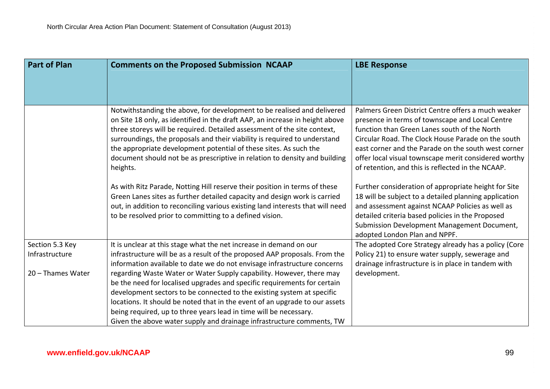| <b>Part of Plan</b>               | <b>Comments on the Proposed Submission NCAAP</b>                                                                                                                                                                                                                                                                                                                                                                                                                                                                                                                                                                                                                                                                                                                                        | <b>LBE Response</b>                                                                                                                                                                                                                                                                                                                                                                                                                                                                                                                                                                                                                                     |
|-----------------------------------|-----------------------------------------------------------------------------------------------------------------------------------------------------------------------------------------------------------------------------------------------------------------------------------------------------------------------------------------------------------------------------------------------------------------------------------------------------------------------------------------------------------------------------------------------------------------------------------------------------------------------------------------------------------------------------------------------------------------------------------------------------------------------------------------|---------------------------------------------------------------------------------------------------------------------------------------------------------------------------------------------------------------------------------------------------------------------------------------------------------------------------------------------------------------------------------------------------------------------------------------------------------------------------------------------------------------------------------------------------------------------------------------------------------------------------------------------------------|
|                                   |                                                                                                                                                                                                                                                                                                                                                                                                                                                                                                                                                                                                                                                                                                                                                                                         |                                                                                                                                                                                                                                                                                                                                                                                                                                                                                                                                                                                                                                                         |
|                                   | Notwithstanding the above, for development to be realised and delivered<br>on Site 18 only, as identified in the draft AAP, an increase in height above<br>three storeys will be required. Detailed assessment of the site context,<br>surroundings, the proposals and their viability is required to understand<br>the appropriate development potential of these sites. As such the<br>document should not be as prescriptive in relation to density and building<br>heights.<br>As with Ritz Parade, Notting Hill reserve their position in terms of these<br>Green Lanes sites as further detailed capacity and design work is carried<br>out, in addition to reconciling various existing land interests that will need<br>to be resolved prior to committing to a defined vision. | Palmers Green District Centre offers a much weaker<br>presence in terms of townscape and Local Centre<br>function than Green Lanes south of the North<br>Circular Road. The Clock House Parade on the south<br>east corner and the Parade on the south west corner<br>offer local visual townscape merit considered worthy<br>of retention, and this is reflected in the NCAAP.<br>Further consideration of appropriate height for Site<br>18 will be subject to a detailed planning application<br>and assessment against NCAAP Policies as well as<br>detailed criteria based policies in the Proposed<br>Submission Development Management Document, |
|                                   |                                                                                                                                                                                                                                                                                                                                                                                                                                                                                                                                                                                                                                                                                                                                                                                         | adopted London Plan and NPPF.                                                                                                                                                                                                                                                                                                                                                                                                                                                                                                                                                                                                                           |
| Section 5.3 Key<br>Infrastructure | It is unclear at this stage what the net increase in demand on our<br>infrastructure will be as a result of the proposed AAP proposals. From the<br>information available to date we do not envisage infrastructure concerns                                                                                                                                                                                                                                                                                                                                                                                                                                                                                                                                                            | The adopted Core Strategy already has a policy (Core<br>Policy 21) to ensure water supply, sewerage and<br>drainage infrastructure is in place in tandem with                                                                                                                                                                                                                                                                                                                                                                                                                                                                                           |
| 20 - Thames Water                 | regarding Waste Water or Water Supply capability. However, there may<br>be the need for localised upgrades and specific requirements for certain<br>development sectors to be connected to the existing system at specific<br>locations. It should be noted that in the event of an upgrade to our assets                                                                                                                                                                                                                                                                                                                                                                                                                                                                               | development.                                                                                                                                                                                                                                                                                                                                                                                                                                                                                                                                                                                                                                            |
|                                   | being required, up to three years lead in time will be necessary.<br>Given the above water supply and drainage infrastructure comments, TW                                                                                                                                                                                                                                                                                                                                                                                                                                                                                                                                                                                                                                              |                                                                                                                                                                                                                                                                                                                                                                                                                                                                                                                                                                                                                                                         |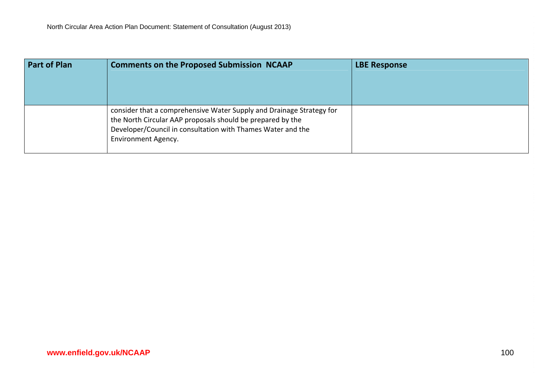| <b>Part of Plan</b> | <b>Comments on the Proposed Submission NCAAP</b>                                                                                                                                                                         | <b>LBE Response</b> |
|---------------------|--------------------------------------------------------------------------------------------------------------------------------------------------------------------------------------------------------------------------|---------------------|
|                     | consider that a comprehensive Water Supply and Drainage Strategy for<br>the North Circular AAP proposals should be prepared by the<br>Developer/Council in consultation with Thames Water and the<br>Environment Agency. |                     |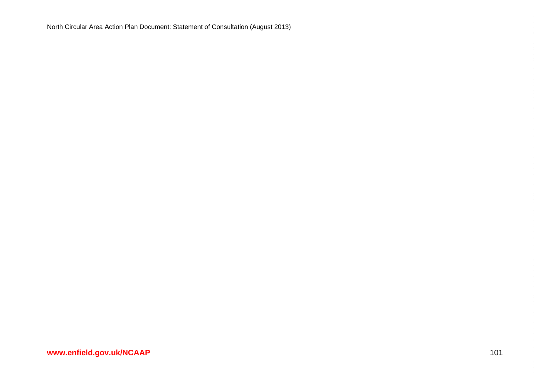North Circular Area Action Plan Document: Statement of Consultation (August 2013)

**www.enfield.gov.uk/NCAAP** 101